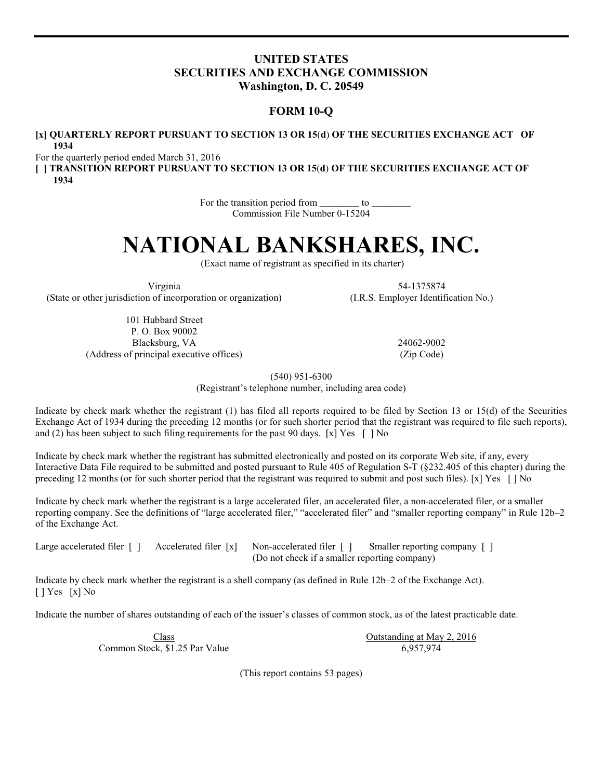# **UNITED STATES SECURITIES AND EXCHANGE COMMISSION Washington, D. C. 20549**

# **FORM 10-Q**

# **[x] QUARTERLY REPORT PURSUANT TO SECTION 13 OR 15**(**d**) **OF THE SECURITIES EXCHANGE ACT OF 1934**

For the quarterly period ended March 31, 2016

**[ ] TRANSITION REPORT PURSUANT TO SECTION 13 OR 15**(**d**) **OF THE SECURITIES EXCHANGE ACT OF 1934**

> For the transition period from \_\_\_\_\_\_\_\_\_ to Commission File Number 0-15204

# **NATIONAL BANKSHARES, INC.**

(Exact name of registrant as specified in its charter)

Virginia (State or other jurisdiction of incorporation or organization)

> 101 Hubbard Street P. O. Box 90002 Blacksburg, VA 24062-9002 (Address of principal executive offices) (Zip Code)

54-1375874 (I.R.S. Employer Identification No.)

(540) 951-6300

(Registrant's telephone number, including area code)

Indicate by check mark whether the registrant (1) has filed all reports required to be filed by Section 13 or 15(d) of the Securities Exchange Act of 1934 during the preceding 12 months (or for such shorter period that the registrant was required to file such reports), and (2) has been subject to such filing requirements for the past 90 days. [x] Yes [ ] No

Indicate by check mark whether the registrant has submitted electronically and posted on its corporate Web site, if any, every Interactive Data File required to be submitted and posted pursuant to Rule 405 of Regulation S-T (§232.405 of this chapter) during the preceding 12 months (or for such shorter period that the registrant was required to submit and post such files). [x] Yes [ ] No

Indicate by check mark whether the registrant is a large accelerated filer, an accelerated filer, a non-accelerated filer, or a smaller reporting company. See the definitions of "large accelerated filer," "accelerated filer" and "smaller reporting company" in Rule 12b–2 of the Exchange Act.

Large accelerated filer  $\begin{bmatrix} 1 \end{bmatrix}$  Accelerated filer  $\begin{bmatrix} x \end{bmatrix}$  Non-accelerated filer  $\begin{bmatrix} 1 \end{bmatrix}$  Smaller reporting company  $\begin{bmatrix} 1 \end{bmatrix}$ (Do not check if a smaller reporting company)

Indicate by check mark whether the registrant is a shell company (as defined in Rule 12b–2 of the Exchange Act). [ ] Yes [x] No

Indicate the number of shares outstanding of each of the issuer's classes of common stock, as of the latest practicable date.

Class Common Stock, \$1.25 Par Value Outstanding at May 2, 2016 6,957,974

(This report contains 53 pages)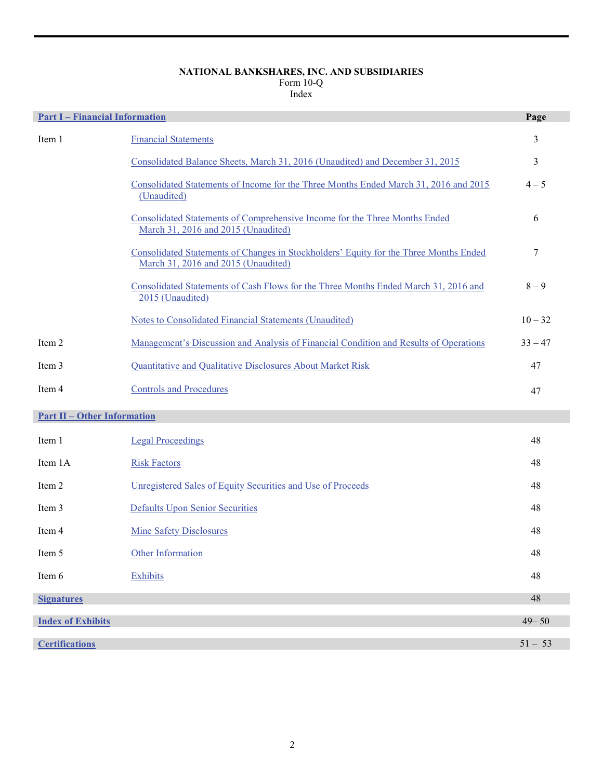# **NATIONAL BANKSHARES, INC. AND SUBSIDIARIES**

Form 10-Q Index

| <b>Part I - Financial Information</b> |                                                                                                                              | Page      |
|---------------------------------------|------------------------------------------------------------------------------------------------------------------------------|-----------|
| Item 1                                | <b>Financial Statements</b>                                                                                                  | 3         |
|                                       | Consolidated Balance Sheets, March 31, 2016 (Unaudited) and December 31, 2015                                                | 3         |
|                                       | Consolidated Statements of Income for the Three Months Ended March 31, 2016 and 2015<br>(Unaudited)                          | $4 - 5$   |
|                                       | Consolidated Statements of Comprehensive Income for the Three Months Ended<br>March 31, 2016 and 2015 (Unaudited)            | 6         |
|                                       | Consolidated Statements of Changes in Stockholders' Equity for the Three Months Ended<br>March 31, 2016 and 2015 (Unaudited) | 7         |
|                                       | Consolidated Statements of Cash Flows for the Three Months Ended March 31, 2016 and<br>2015 (Unaudited)                      | $8-9$     |
|                                       | Notes to Consolidated Financial Statements (Unaudited)                                                                       | $10 - 32$ |
| Item 2                                | Management's Discussion and Analysis of Financial Condition and Results of Operations                                        | $33 - 47$ |
| Item 3                                | Quantitative and Qualitative Disclosures About Market Risk                                                                   | 47        |
| Item 4                                | <b>Controls and Procedures</b>                                                                                               | 47        |
| <b>Part II - Other Information</b>    |                                                                                                                              |           |
| Item 1                                | <b>Legal Proceedings</b>                                                                                                     | 48        |
| Item 1A                               | <b>Risk Factors</b>                                                                                                          | 48        |
| Item 2                                | Unregistered Sales of Equity Securities and Use of Proceeds                                                                  | 48        |
| Item 3                                | <b>Defaults Upon Senior Securities</b>                                                                                       | 48        |
| Item 4                                | <b>Mine Safety Disclosures</b>                                                                                               | 48        |
| Item 5                                | Other Information                                                                                                            | 48        |
| Item 6                                | <b>Exhibits</b>                                                                                                              | 48        |
| <b>Signatures</b>                     |                                                                                                                              | 48        |
| <b>Index of Exhibits</b>              |                                                                                                                              | $49 - 50$ |
| <b>Certifications</b>                 |                                                                                                                              | $51 - 53$ |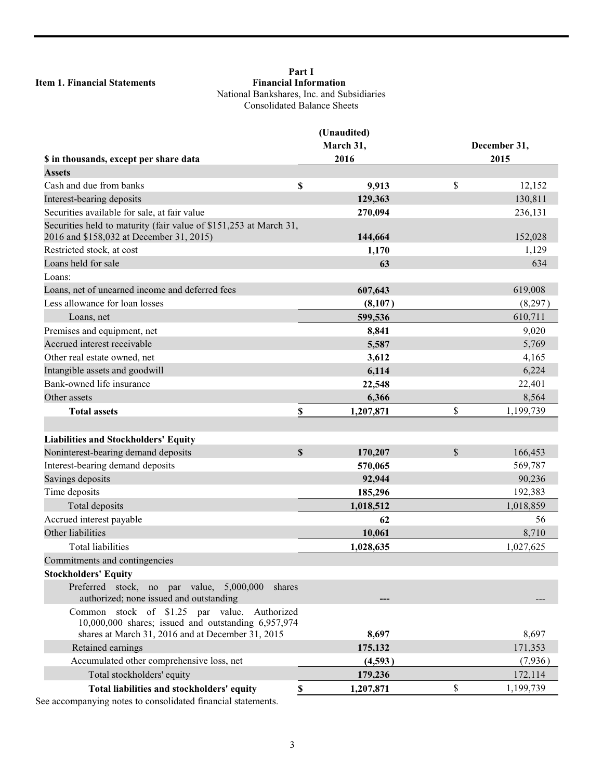# <span id="page-2-1"></span><span id="page-2-0"></span>**Item 1. Financial Statements**

# **Part I**<br>Financial Information National Bankshares, Inc. and Subsidiaries Consolidated Balance Sheets

|                                                                                                               |             | (Unaudited) |              |           |  |  |  |
|---------------------------------------------------------------------------------------------------------------|-------------|-------------|--------------|-----------|--|--|--|
|                                                                                                               |             | March 31,   | December 31, |           |  |  |  |
| \$ in thousands, except per share data                                                                        |             | 2016        |              | 2015      |  |  |  |
| <b>Assets</b>                                                                                                 |             |             |              |           |  |  |  |
| Cash and due from banks                                                                                       | \$          | 9,913       | \$           | 12,152    |  |  |  |
| Interest-bearing deposits                                                                                     |             | 129,363     |              | 130,811   |  |  |  |
| Securities available for sale, at fair value                                                                  |             | 270,094     |              | 236,131   |  |  |  |
| Securities held to maturity (fair value of \$151,253 at March 31,<br>2016 and \$158,032 at December 31, 2015) |             | 144,664     |              | 152,028   |  |  |  |
| Restricted stock, at cost                                                                                     |             | 1,170       |              | 1,129     |  |  |  |
| Loans held for sale                                                                                           |             | 63          |              | 634       |  |  |  |
| Loans:                                                                                                        |             |             |              |           |  |  |  |
| Loans, net of unearned income and deferred fees                                                               |             | 607,643     |              | 619,008   |  |  |  |
| Less allowance for loan losses                                                                                |             | (8, 107)    |              | (8,297)   |  |  |  |
| Loans, net                                                                                                    |             | 599,536     |              | 610,711   |  |  |  |
| Premises and equipment, net                                                                                   |             | 8,841       |              | 9,020     |  |  |  |
| Accrued interest receivable                                                                                   |             | 5,587       |              | 5,769     |  |  |  |
| Other real estate owned, net                                                                                  |             | 3,612       |              | 4,165     |  |  |  |
| Intangible assets and goodwill                                                                                |             | 6,114       |              | 6,224     |  |  |  |
| Bank-owned life insurance                                                                                     |             | 22,548      |              | 22,401    |  |  |  |
| Other assets                                                                                                  |             | 6,366       |              | 8,564     |  |  |  |
| <b>Total assets</b>                                                                                           | \$          | 1,207,871   | \$           | 1,199,739 |  |  |  |
|                                                                                                               |             |             |              |           |  |  |  |
| <b>Liabilities and Stockholders' Equity</b>                                                                   |             |             |              |           |  |  |  |
| Noninterest-bearing demand deposits                                                                           | $\mathbf S$ | 170,207     | $\mathbb{S}$ | 166,453   |  |  |  |
| Interest-bearing demand deposits                                                                              |             | 570,065     |              | 569,787   |  |  |  |
| Savings deposits                                                                                              |             | 92,944      |              | 90,236    |  |  |  |
| Time deposits                                                                                                 |             | 185,296     |              | 192,383   |  |  |  |
| Total deposits                                                                                                |             | 1,018,512   |              | 1,018,859 |  |  |  |
| Accrued interest payable                                                                                      |             | 62          |              | 56        |  |  |  |
| Other liabilities                                                                                             |             | 10,061      |              | 8,710     |  |  |  |
| <b>Total liabilities</b>                                                                                      |             | 1,028,635   |              | 1,027,625 |  |  |  |
| Commitments and contingencies                                                                                 |             |             |              |           |  |  |  |
| <b>Stockholders' Equity</b>                                                                                   |             |             |              |           |  |  |  |
| Preferred stock, no par value, 5,000,000 shares<br>authorized; none issued and outstanding                    |             |             |              |           |  |  |  |
| Common stock of \$1.25 par value.<br>Authorized<br>10,000,000 shares; issued and outstanding 6,957,974        |             |             |              |           |  |  |  |
| shares at March 31, 2016 and at December 31, 2015                                                             |             | 8,697       |              | 8,697     |  |  |  |
| Retained earnings                                                                                             |             | 175,132     |              | 171,353   |  |  |  |
| Accumulated other comprehensive loss, net                                                                     |             | (4,593)     |              | (7,936)   |  |  |  |
| Total stockholders' equity                                                                                    |             | 179,236     |              | 172,114   |  |  |  |
| Total liabilities and stockholders' equity                                                                    | \$          | 1,207,871   | \$           | 1,199,739 |  |  |  |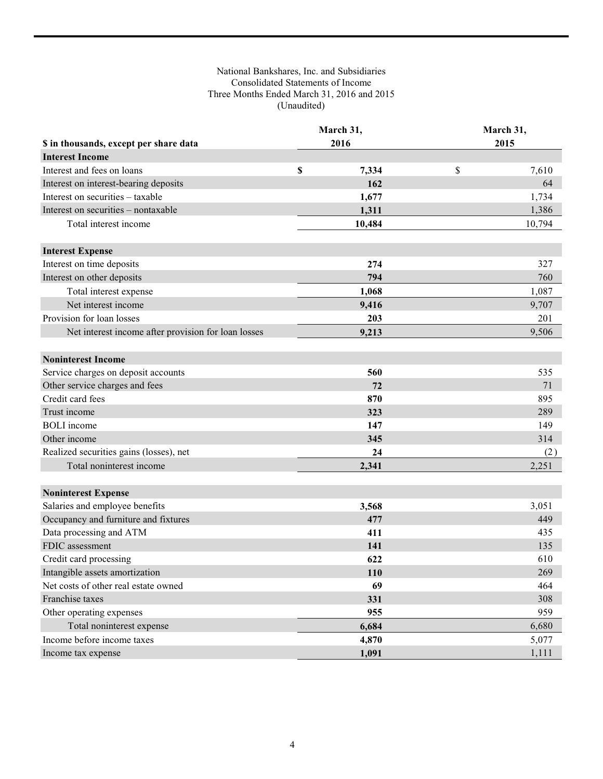# National Bankshares, Inc. and Subsidiaries Consolidated Statements of Income Three Months Ended March 31, 2016 and 2015 (Unaudited)

<span id="page-3-0"></span>

|                                                              | March 31,   | March 31,   |
|--------------------------------------------------------------|-------------|-------------|
| \$ in thousands, except per share data                       | 2016        | 2015        |
| <b>Interest Income</b>                                       |             |             |
| Interest and fees on loans                                   | \$<br>7,334 | \$<br>7,610 |
| Interest on interest-bearing deposits                        | 162         | 64          |
| Interest on securities – taxable                             | 1,677       | 1,734       |
| Interest on securities - nontaxable                          | 1,311       | 1,386       |
| Total interest income                                        | 10,484      | 10,794      |
| <b>Interest Expense</b>                                      |             |             |
| Interest on time deposits                                    | 274         | 327         |
| Interest on other deposits                                   | 794         | 760         |
| Total interest expense                                       | 1,068       | 1,087       |
| Net interest income                                          | 9,416       | 9,707       |
| Provision for loan losses                                    | 203         | 201         |
| Net interest income after provision for loan losses          | 9,213       | 9,506       |
| <b>Noninterest Income</b>                                    |             |             |
| Service charges on deposit accounts                          | 560         | 535         |
| Other service charges and fees                               | 72          | 71          |
| Credit card fees                                             | 870         | 895         |
| Trust income                                                 | 323         | 289         |
| <b>BOLI</b> income                                           | 147         | 149         |
| Other income                                                 | 345         | 314         |
| Realized securities gains (losses), net                      | 24          | (2)         |
| Total noninterest income                                     | 2,341       | 2,251       |
|                                                              |             |             |
| <b>Noninterest Expense</b><br>Salaries and employee benefits | 3,568       | 3,051       |
| Occupancy and furniture and fixtures                         | 477         | 449         |
| Data processing and ATM                                      | 411         | 435         |
| FDIC assessment                                              | 141         | 135         |
| Credit card processing                                       | 622         | 610         |
| Intangible assets amortization                               | 110         | 269         |
| Net costs of other real estate owned                         | 69          | 464         |
| Franchise taxes                                              | 331         | 308         |
| Other operating expenses                                     | 955         | 959         |
| Total noninterest expense                                    | 6,684       | 6,680       |
| Income before income taxes                                   | 4,870       | 5,077       |
| Income tax expense                                           | 1,091       | 1,111       |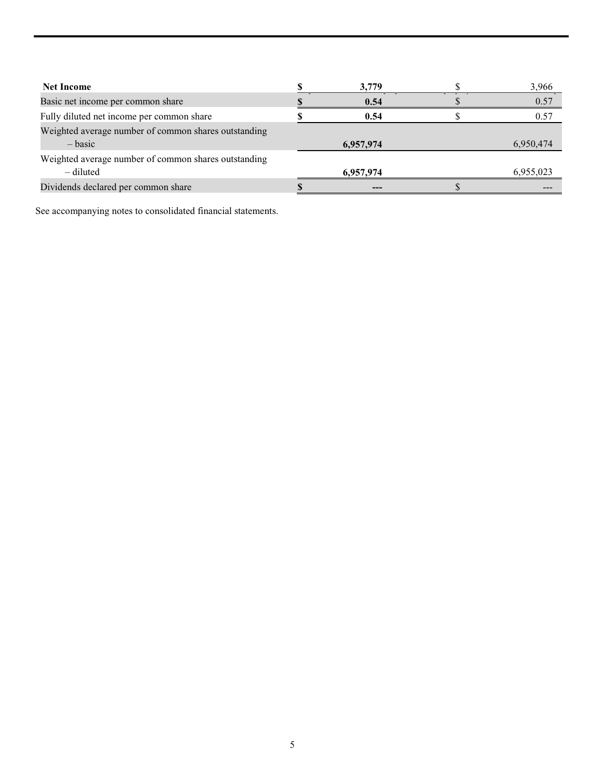| <b>Net Income</b>                                    | 3,779     | 3,966     |
|------------------------------------------------------|-----------|-----------|
| Basic net income per common share                    | 0.54      | 0.57      |
| Fully diluted net income per common share            | 0.54      | 0.57      |
| Weighted average number of common shares outstanding |           |           |
| $-basic$                                             | 6,957,974 | 6,950,474 |
| Weighted average number of common shares outstanding |           |           |
| – diluted                                            | 6,957,974 | 6,955,023 |
| Dividends declared per common share                  |           |           |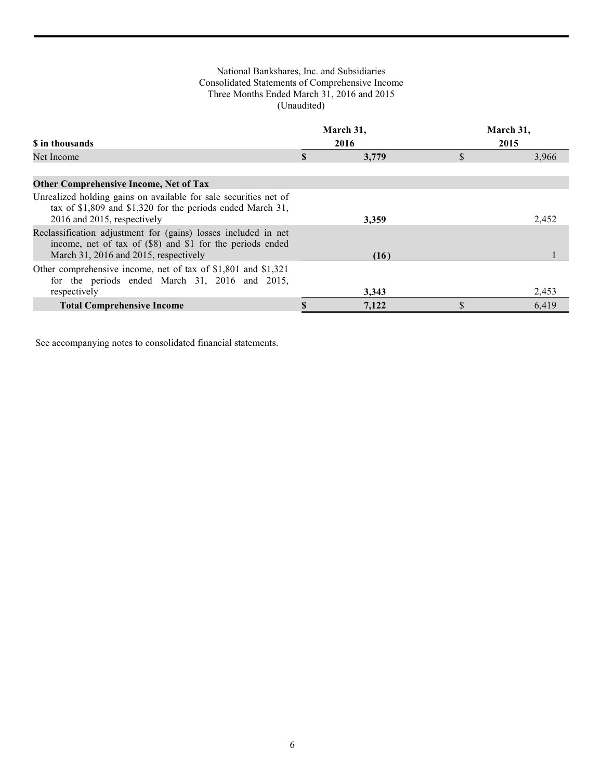# National Bankshares, Inc. and Subsidiaries Consolidated Statements of Comprehensive Income Three Months Ended March 31, 2016 and 2015 (Unaudited)

<span id="page-5-0"></span>

|                                                                                                                                                                      | March 31, | March 31,   |
|----------------------------------------------------------------------------------------------------------------------------------------------------------------------|-----------|-------------|
| <b>S</b> in thousands                                                                                                                                                | 2016      | 2015        |
| Net Income                                                                                                                                                           | 3,779     | \$<br>3,966 |
| <b>Other Comprehensive Income, Net of Tax</b>                                                                                                                        |           |             |
| Unrealized holding gains on available for sale securities net of<br>tax of \$1,809 and \$1,320 for the periods ended March 31,<br>2016 and 2015, respectively        | 3.359     | 2,452       |
| Reclassification adjustment for (gains) losses included in net<br>income, net of tax of (\$8) and \$1 for the periods ended<br>March 31, 2016 and 2015, respectively | (16)      |             |
| Other comprehensive income, net of tax of \$1,801 and \$1,321<br>for the periods ended March 31, 2016 and 2015,<br>respectively                                      | 3,343     | 2,453       |
| <b>Total Comprehensive Income</b>                                                                                                                                    | 7,122     | 6.419       |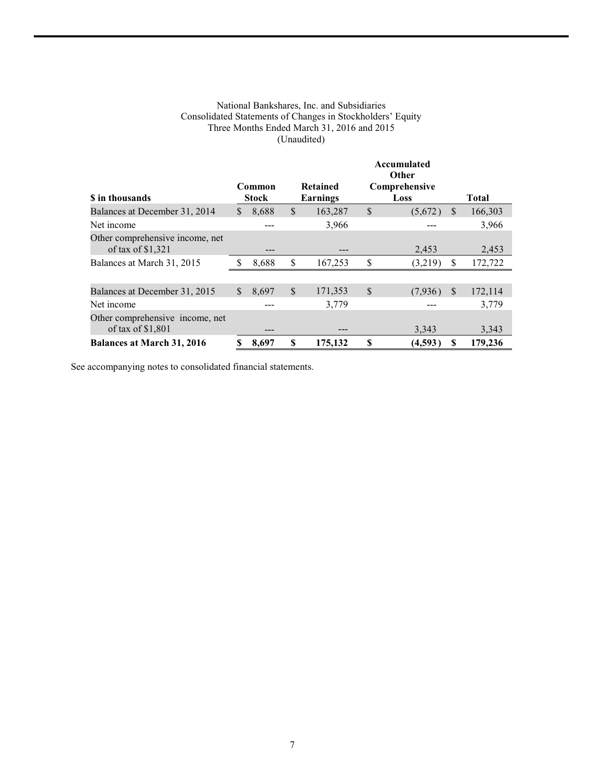# National Bankshares, Inc. and Subsidiaries Consolidated Statements of Changes in Stockholders' Equity Three Months Ended March 31, 2016 and 2015 (Unaudited)

<span id="page-6-0"></span>

| <b>S</b> in thousands                                                              |               | Common<br><b>Stock</b> |               | <b>Retained</b><br>Earnings |               | Accumulated<br>Other<br>Comprehensive<br>Loss |   | <b>Total</b>     |
|------------------------------------------------------------------------------------|---------------|------------------------|---------------|-----------------------------|---------------|-----------------------------------------------|---|------------------|
| Balances at December 31, 2014                                                      | $\mathcal{S}$ | 8,688                  | <sup>\$</sup> | 163,287                     | $\mathcal{S}$ | (5,672)                                       | S | 166,303          |
| Net income                                                                         |               |                        |               | 3,966                       |               |                                               |   | 3,966            |
| Other comprehensive income, net<br>of tax of \$1,321<br>Balances at March 31, 2015 | \$            | 8,688                  | S             | ---<br>167,253              | \$            | 2,453<br>(3,219)                              | S | 2,453<br>172,722 |
| Balances at December 31, 2015<br>Net income                                        | \$            | 8,697                  | <sup>\$</sup> | 171,353<br>3,779            | $\mathcal{S}$ | (7,936)                                       | S | 172,114<br>3,779 |
| Other comprehensive income, net<br>of tax of $$1,801$                              |               |                        |               |                             |               | 3,343                                         |   | 3,343            |
| <b>Balances at March 31, 2016</b>                                                  |               | 8,697                  | S             | 175,132                     | \$            | (4,593)                                       | S | 179,236          |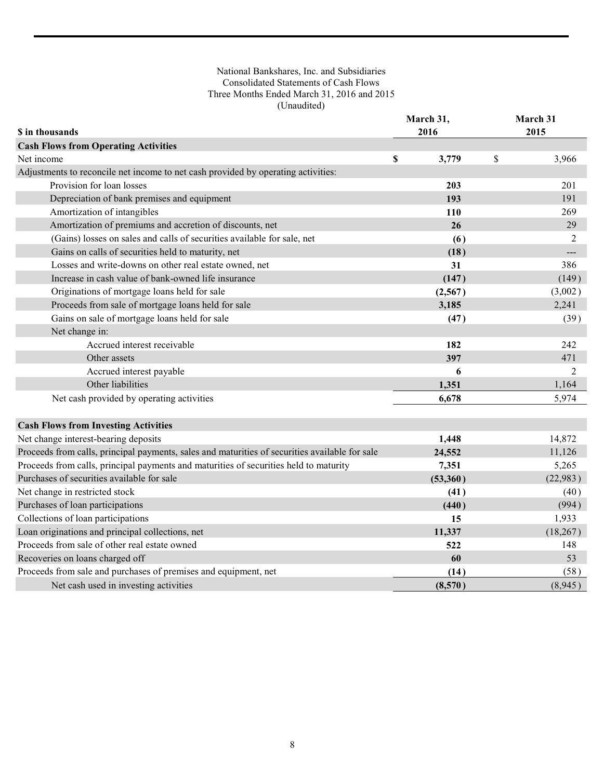# National Bankshares, Inc. and Subsidiaries Consolidated Statements of Cash Flows Three Months Ended March 31, 2016 and 2015 (Unaudited)

<span id="page-7-0"></span>

|                                                                                                | March 31,   | March 31 |           |  |  |
|------------------------------------------------------------------------------------------------|-------------|----------|-----------|--|--|
| <b>S</b> in thousands                                                                          | 2016        |          | 2015      |  |  |
| <b>Cash Flows from Operating Activities</b>                                                    |             |          |           |  |  |
| Net income                                                                                     | \$<br>3,779 | \$       | 3,966     |  |  |
| Adjustments to reconcile net income to net cash provided by operating activities:              |             |          |           |  |  |
| Provision for loan losses                                                                      | 203         |          | 201       |  |  |
| Depreciation of bank premises and equipment                                                    | 193         |          | 191       |  |  |
| Amortization of intangibles                                                                    | 110         |          | 269       |  |  |
| Amortization of premiums and accretion of discounts, net                                       | 26          |          | 29        |  |  |
| (Gains) losses on sales and calls of securities available for sale, net                        | (6)         |          | 2         |  |  |
| Gains on calls of securities held to maturity, net                                             | (18)        |          |           |  |  |
| Losses and write-downs on other real estate owned, net                                         | 31          |          | 386       |  |  |
| Increase in cash value of bank-owned life insurance                                            | (147)       |          | (149)     |  |  |
| Originations of mortgage loans held for sale                                                   | (2,567)     |          | (3,002)   |  |  |
| Proceeds from sale of mortgage loans held for sale                                             | 3,185       |          | 2,241     |  |  |
| Gains on sale of mortgage loans held for sale                                                  | (47)        |          | (39)      |  |  |
| Net change in:                                                                                 |             |          |           |  |  |
| Accrued interest receivable                                                                    | 182         |          | 242       |  |  |
| Other assets                                                                                   | 397         |          | 471       |  |  |
| Accrued interest payable                                                                       | 6           |          | 2         |  |  |
| Other liabilities                                                                              | 1,351       |          | 1,164     |  |  |
| Net cash provided by operating activities                                                      | 6,678       |          | 5,974     |  |  |
| <b>Cash Flows from Investing Activities</b>                                                    |             |          |           |  |  |
| Net change interest-bearing deposits                                                           | 1,448       |          | 14,872    |  |  |
| Proceeds from calls, principal payments, sales and maturities of securities available for sale | 24,552      |          | 11,126    |  |  |
| Proceeds from calls, principal payments and maturities of securities held to maturity          | 7,351       |          | 5,265     |  |  |
| Purchases of securities available for sale                                                     | (53,360)    |          | (22,983)  |  |  |
| Net change in restricted stock                                                                 | (41)        |          | (40)      |  |  |
| Purchases of loan participations                                                               | (440)       |          | (994)     |  |  |
| Collections of loan participations                                                             | 15          |          | 1,933     |  |  |
| Loan originations and principal collections, net                                               | 11,337      |          | (18, 267) |  |  |
| Proceeds from sale of other real estate owned                                                  | 522         |          | 148       |  |  |
| Recoveries on loans charged off                                                                | 60          |          | 53        |  |  |
| Proceeds from sale and purchases of premises and equipment, net                                | (14)        |          | (58)      |  |  |
| Net cash used in investing activities                                                          | (8,570)     |          | (8,945)   |  |  |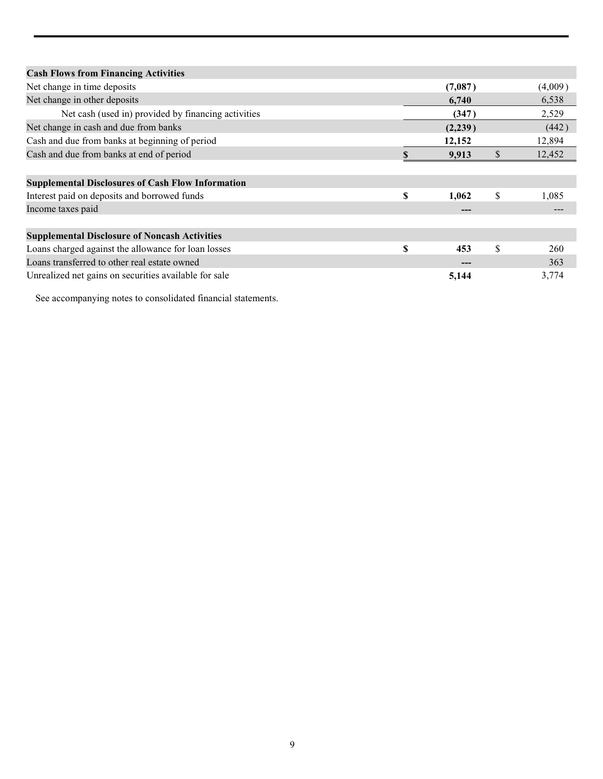| <b>Cash Flows from Financing Activities</b>              |               |         |              |         |
|----------------------------------------------------------|---------------|---------|--------------|---------|
| Net change in time deposits                              |               | (7,087) |              | (4,009) |
| Net change in other deposits                             |               | 6,740   |              | 6,538   |
| Net cash (used in) provided by financing activities      |               | (347)   |              | 2,529   |
| Net change in cash and due from banks                    |               | (2,239) |              | (442)   |
| Cash and due from banks at beginning of period           |               | 12,152  |              | 12,894  |
| Cash and due from banks at end of period                 |               | 9,913   | $\mathbb{S}$ | 12,452  |
|                                                          |               |         |              |         |
| <b>Supplemental Disclosures of Cash Flow Information</b> |               |         |              |         |
| Interest paid on deposits and borrowed funds             | S             | 1,062   | S            | 1,085   |
| Income taxes paid                                        |               |         |              |         |
|                                                          |               |         |              |         |
| <b>Supplemental Disclosure of Noncash Activities</b>     |               |         |              |         |
| Loans charged against the allowance for loan losses      | <sup>\$</sup> | 453     | \$           | 260     |
| Loans transferred to other real estate owned             |               |         |              | 363     |
| Unrealized net gains on securities available for sale    |               | 5,144   |              | 3,774   |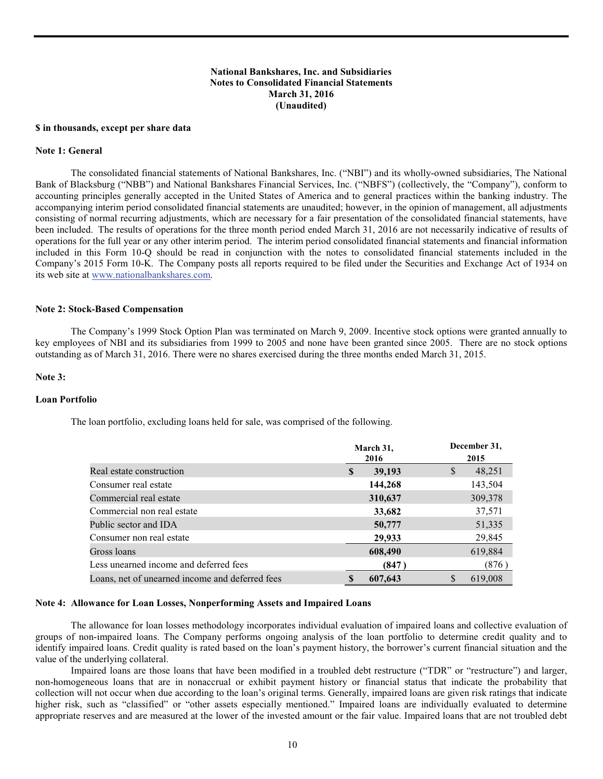# **National Bankshares, Inc. and Subsidiaries Notes to Consolidated Financial Statements March 31, 2016 (Unaudited)**

#### <span id="page-9-0"></span>**\$ in thousands, except per share data**

#### **Note 1: General**

The consolidated financial statements of National Bankshares, Inc. ("NBI") and its wholly-owned subsidiaries, The National Bank of Blacksburg ("NBB") and National Bankshares Financial Services, Inc. ("NBFS") (collectively, the "Company"), conform to accounting principles generally accepted in the United States of America and to general practices within the banking industry. The accompanying interim period consolidated financial statements are unaudited; however, in the opinion of management, all adjustments consisting of normal recurring adjustments, which are necessary for a fair presentation of the consolidated financial statements, have been included. The results of operations for the three month period ended March 31, 2016 are not necessarily indicative of results of operations for the full year or any other interim period. The interim period consolidated financial statements and financial information included in this Form 10-Q should be read in conjunction with the notes to consolidated financial statements included in the Company's 2015 Form 10-K. The Company posts all reports required to be filed under the Securities and Exchange Act of 1934 on its web site at [www.nationalbankshares.com.](http://www.nationalbankshares.com/)

#### **Note 2: Stock-Based Compensation**

The Company's 1999 Stock Option Plan was terminated on March 9, 2009. Incentive stock options were granted annually to key employees of NBI and its subsidiaries from 1999 to 2005 and none have been granted since 2005. There are no stock options outstanding as of March 31, 2016. There were no shares exercised during the three months ended March 31, 2015.

#### **Note 3:**

#### **Loan Portfolio**

The loan portfolio, excluding loans held for sale, was comprised of the following.

|                                                 | March 31,    | December 31, |
|-------------------------------------------------|--------------|--------------|
|                                                 | 2016         | 2015         |
| Real estate construction                        | 39,193<br>S  | 48,251<br>S  |
| Consumer real estate                            | 144,268      | 143,504      |
| Commercial real estate                          | 310,637      | 309,378      |
| Commercial non real estate                      | 33,682       | 37,571       |
| Public sector and IDA                           | 50,777       | 51,335       |
| Consumer non real estate                        | 29,933       | 29,845       |
| Gross loans                                     | 608,490      | 619,884      |
| Less unearned income and deferred fees          | (847)        | (876)        |
| Loans, net of unearned income and deferred fees | 607,643<br>S | S<br>619,008 |

#### **Note 4: Allowance for Loan Losses, Nonperforming Assets and Impaired Loans**

The allowance for loan losses methodology incorporates individual evaluation of impaired loans and collective evaluation of groups of non-impaired loans. The Company performs ongoing analysis of the loan portfolio to determine credit quality and to identify impaired loans. Credit quality is rated based on the loan's payment history, the borrower's current financial situation and the value of the underlying collateral.

Impaired loans are those loans that have been modified in a troubled debt restructure ("TDR" or "restructure") and larger, non-homogeneous loans that are in nonaccrual or exhibit payment history or financial status that indicate the probability that collection will not occur when due according to the loan's original terms. Generally, impaired loans are given risk ratings that indicate higher risk, such as "classified" or "other assets especially mentioned." Impaired loans are individually evaluated to determine appropriate reserves and are measured at the lower of the invested amount or the fair value. Impaired loans that are not troubled debt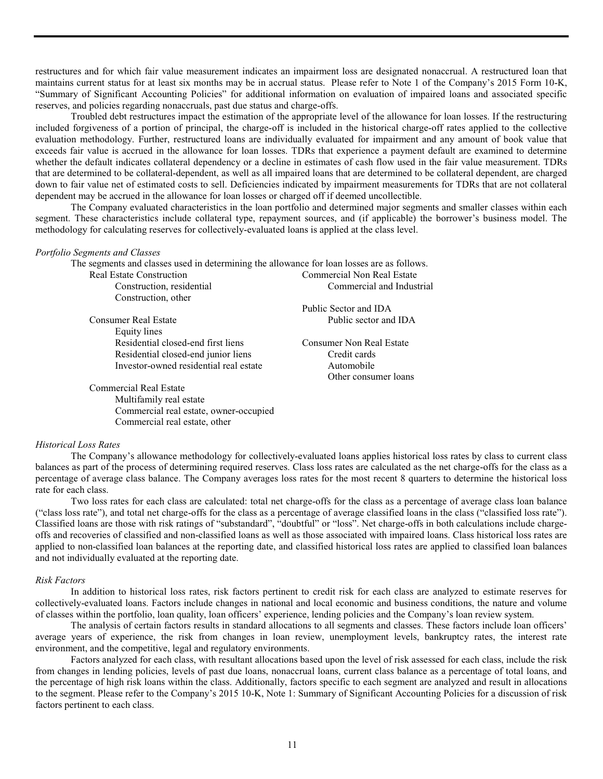restructures and for which fair value measurement indicates an impairment loss are designated nonaccrual. A restructured loan that maintains current status for at least six months may be in accrual status. Please refer to Note 1 of the Company's 2015 Form 10-K, "Summary of Significant Accounting Policies" for additional information on evaluation of impaired loans and associated specific reserves, and policies regarding nonaccruals, past due status and charge-offs.

Troubled debt restructures impact the estimation of the appropriate level of the allowance for loan losses. If the restructuring included forgiveness of a portion of principal, the charge-off is included in the historical charge-off rates applied to the collective evaluation methodology. Further, restructured loans are individually evaluated for impairment and any amount of book value that exceeds fair value is accrued in the allowance for loan losses. TDRs that experience a payment default are examined to determine whether the default indicates collateral dependency or a decline in estimates of cash flow used in the fair value measurement. TDRs that are determined to be collateral-dependent, as well as all impaired loans that are determined to be collateral dependent, are charged down to fair value net of estimated costs to sell. Deficiencies indicated by impairment measurements for TDRs that are not collateral dependent may be accrued in the allowance for loan losses or charged off if deemed uncollectible.

The Company evaluated characteristics in the loan portfolio and determined major segments and smaller classes within each segment. These characteristics include collateral type, repayment sources, and (if applicable) the borrower's business model. The methodology for calculating reserves for collectively-evaluated loans is applied at the class level.

#### *Portfolio Segments and Classes*

The segments and classes used in determining the allowance for loan losses are as follows.

Real Estate Construction Construction, residential Construction, other

Consumer Real Estate Equity lines Residential closed-end first liens Residential closed-end junior liens Investor-owned residential real estate

Commercial Real Estate Multifamily real estate Commercial real estate, owner-occupied Commercial real estate, other

Commercial Non Real Estate Commercial and Industrial

Public Sector and IDA Public sector and IDA

Consumer Non Real Estate Credit cards Automobile Other consumer loans

#### *Historical Loss Rates*

The Company's allowance methodology for collectively-evaluated loans applies historical loss rates by class to current class balances as part of the process of determining required reserves. Class loss rates are calculated as the net charge-offs for the class as a percentage of average class balance. The Company averages loss rates for the most recent 8 quarters to determine the historical loss rate for each class.

Two loss rates for each class are calculated: total net charge-offs for the class as a percentage of average class loan balance ("class loss rate"), and total net charge-offs for the class as a percentage of average classified loans in the class ("classified loss rate"). Classified loans are those with risk ratings of "substandard", "doubtful" or "loss". Net charge-offs in both calculations include chargeoffs and recoveries of classified and non-classified loans as well as those associated with impaired loans. Class historical loss rates are applied to non-classified loan balances at the reporting date, and classified historical loss rates are applied to classified loan balances and not individually evaluated at the reporting date.

## *Risk Factors*

In addition to historical loss rates, risk factors pertinent to credit risk for each class are analyzed to estimate reserves for collectively-evaluated loans. Factors include changes in national and local economic and business conditions, the nature and volume of classes within the portfolio, loan quality, loan officers' experience, lending policies and the Company's loan review system.

The analysis of certain factors results in standard allocations to all segments and classes. These factors include loan officers' average years of experience, the risk from changes in loan review, unemployment levels, bankruptcy rates, the interest rate environment, and the competitive, legal and regulatory environments.

Factors analyzed for each class, with resultant allocations based upon the level of risk assessed for each class, include the risk from changes in lending policies, levels of past due loans, nonaccrual loans, current class balance as a percentage of total loans, and the percentage of high risk loans within the class. Additionally, factors specific to each segment are analyzed and result in allocations to the segment. Please refer to the Company's 2015 10-K, Note 1: Summary of Significant Accounting Policies for a discussion of risk factors pertinent to each class.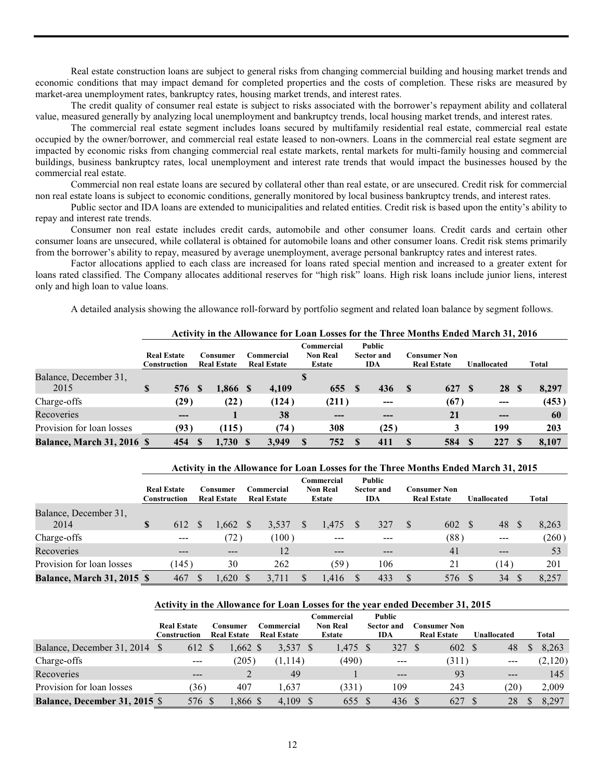Real estate construction loans are subject to general risks from changing commercial building and housing market trends and economic conditions that may impact demand for completed properties and the costs of completion. These risks are measured by market-area unemployment rates, bankruptcy rates, housing market trends, and interest rates.

The credit quality of consumer real estate is subject to risks associated with the borrower's repayment ability and collateral value, measured generally by analyzing local unemployment and bankruptcy trends, local housing market trends, and interest rates.

The commercial real estate segment includes loans secured by multifamily residential real estate, commercial real estate occupied by the owner/borrower, and commercial real estate leased to non-owners. Loans in the commercial real estate segment are impacted by economic risks from changing commercial real estate markets, rental markets for multi-family housing and commercial buildings, business bankruptcy rates, local unemployment and interest rate trends that would impact the businesses housed by the commercial real estate.

Commercial non real estate loans are secured by collateral other than real estate, or are unsecured. Credit risk for commercial non real estate loans is subject to economic conditions, generally monitored by local business bankruptcy trends, and interest rates.

Public sector and IDA loans are extended to municipalities and related entities. Credit risk is based upon the entity's ability to repay and interest rate trends.

Consumer non real estate includes credit cards, automobile and other consumer loans. Credit cards and certain other consumer loans are unsecured, while collateral is obtained for automobile loans and other consumer loans. Credit risk stems primarily from the borrower's ability to repay, measured by average unemployment, average personal bankruptcy rates and interest rates.

Factor allocations applied to each class are increased for loans rated special mention and increased to a greater extent for loans rated classified. The Company allocates additional reserves for "high risk" loans. High risk loans include junior liens, interest only and high loan to value loans.

A detailed analysis showing the allowance roll-forward by portfolio segment and related loan balance by segment follows.

|                                   |                                    | Activity in the Allowance for Loan Losses for the Three Months Ended March 31, 2016 |                                |          |                                  |                                         |          |                                           |      |                                           |      |             |     |       |       |
|-----------------------------------|------------------------------------|-------------------------------------------------------------------------------------|--------------------------------|----------|----------------------------------|-----------------------------------------|----------|-------------------------------------------|------|-------------------------------------------|------|-------------|-----|-------|-------|
|                                   | <b>Real Estate</b><br>Construction |                                                                                     | Consumer<br><b>Real Estate</b> |          | Commercial<br><b>Real Estate</b> | Commercial<br><b>Non Real</b><br>Estate |          | <b>Public</b><br>Sector and<br><b>IDA</b> |      | <b>Consumer Non</b><br><b>Real Estate</b> |      | Unallocated |     | Total |       |
| Balance, December 31,<br>2015     | S                                  | 576                                                                                 | -S                             | 1.866 S  |                                  | 4,109                                   | S<br>655 | S,                                        | 436  | -8                                        | 627  | - S         | 28S |       | 8,297 |
| Charge-offs                       |                                    | (29)                                                                                |                                | (22)     |                                  | (124)                                   | (211)    |                                           |      |                                           | (67) |             | --- |       | (453) |
| Recoveries                        |                                    | $---$                                                                               |                                |          |                                  | 38                                      |          |                                           |      |                                           | 21   |             | --- |       | 60    |
| Provision for loan losses         |                                    | (93)                                                                                |                                | (115)    |                                  | (74)                                    | 308      |                                           | (25) |                                           |      |             | 199 |       | 203   |
| <b>Balance, March 31, 2016 \$</b> |                                    | 454                                                                                 | -SS                            | 1.730 \$ |                                  | 3.949                                   | 752      |                                           | 411  | <b>S</b>                                  | 584  |             | 227 |       | 8,107 |

|                                   |                                    | Activity in the Allowance for Loan Losses for the Three Months Ended March 31, 2015 |                                |          |                                  |       |                                         |       |                                    |     |                                    |      |  |             |  |       |
|-----------------------------------|------------------------------------|-------------------------------------------------------------------------------------|--------------------------------|----------|----------------------------------|-------|-----------------------------------------|-------|------------------------------------|-----|------------------------------------|------|--|-------------|--|-------|
|                                   | <b>Real Estate</b><br>Construction |                                                                                     | Consumer<br><b>Real Estate</b> |          | Commercial<br><b>Real Estate</b> |       | Commercial<br><b>Non Real</b><br>Estate |       | Public<br>Sector and<br><b>IDA</b> |     | Consumer Non<br><b>Real Estate</b> |      |  | Unallocated |  | Total |
| Balance, December 31,<br>2014     | \$                                 | 612                                                                                 | <sup>S</sup>                   | 1,662 \$ |                                  | 3,537 |                                         | 1,475 |                                    | 327 | <sup>S</sup>                       | 602  |  | 48 \$       |  | 8,263 |
| Charge-offs                       |                                    | ---                                                                                 |                                | (72)     |                                  | [100] |                                         |       |                                    |     |                                    | (88) |  | $- - -$     |  | (260) |
| Recoveries                        |                                    | ---                                                                                 |                                | $- - -$  |                                  | 12    |                                         | ---   |                                    |     |                                    | 41   |  | ---         |  | 53    |
| Provision for loan losses         |                                    | (145)                                                                               |                                | 30       |                                  | 262   |                                         | (59)  |                                    | 106 |                                    | 21   |  | (14)        |  | 201   |
| <b>Balance, March 31, 2015 \$</b> |                                    | 467                                                                                 |                                | .620S    |                                  | 3.711 |                                         | 1,416 |                                    | 433 | <sup>\$</sup>                      | 576  |  | 34          |  | 8.257 |

#### **Activity in the Allowance for Loan Losses for the Three Months Ended March 31, 2015**

#### **Activity in the Allowance for Loan Losses for the year ended December 31, 2015**

|                               |                    |         |                    |                    | Commercial      | <b>Public</b>     |                    |             |   |         |
|-------------------------------|--------------------|---------|--------------------|--------------------|-----------------|-------------------|--------------------|-------------|---|---------|
|                               | <b>Real Estate</b> |         | Consumer           | Commercial         | <b>Non Real</b> | <b>Sector and</b> | Consumer Non       |             |   |         |
|                               | Construction       |         | <b>Real Estate</b> | <b>Real Estate</b> | Estate          | <b>IDA</b>        | <b>Real Estate</b> | Unallocated |   | Total   |
| Balance, December 31, 2014 \$ |                    | 612 \$  | 1.662 \$           | 3,537 \$           | 1,475 \$        | 327               | 602                | 48          | S | 8,263   |
| Charge-offs                   |                    | $- - -$ | (205)              | (1,114)            | (490)           | ---               | (311)              | ---         |   | (2,120) |
| Recoveries                    |                    | $---$   |                    | 49                 |                 | ---               | 93                 | $- - -$     |   | 145     |
| Provision for loan losses     |                    | 36)     | 407                | .637               | (331)           | 109               | 243                | (20)        |   | 2.009   |
| Balance, December 31, 2015 \$ |                    | 576 \$  | .866 \$            | 4,109              | 655 S           | 436 S             | 627                | 28          |   | 8.297   |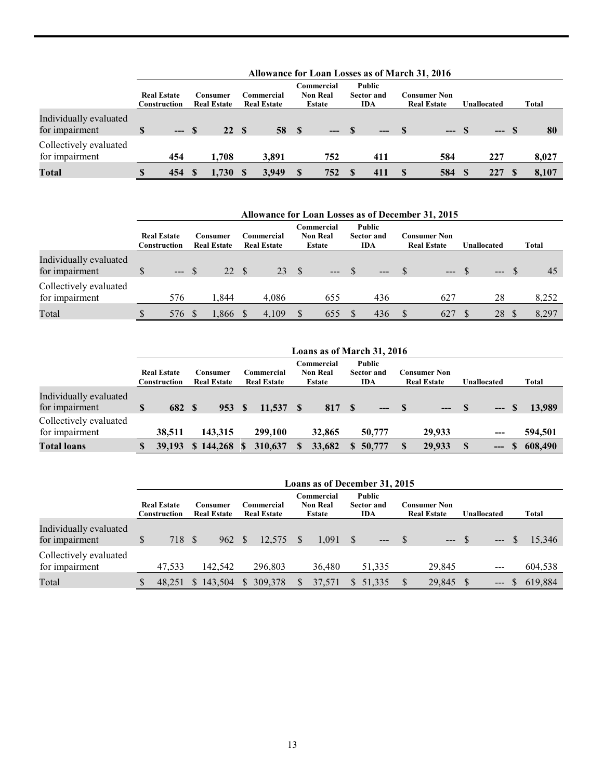|                                          |   | Allowance for Loan Losses as of March 31, 2016 |  |                                |  |                                  |  |                                         |  |                                           |   |                                           |  |                    |  |       |
|------------------------------------------|---|------------------------------------------------|--|--------------------------------|--|----------------------------------|--|-----------------------------------------|--|-------------------------------------------|---|-------------------------------------------|--|--------------------|--|-------|
|                                          |   | <b>Real Estate</b><br>Construction             |  | Consumer<br><b>Real Estate</b> |  | Commercial<br><b>Real Estate</b> |  | Commercial<br><b>Non Real</b><br>Estate |  | <b>Public</b><br>Sector and<br><b>IDA</b> |   | <b>Consumer Non</b><br><b>Real Estate</b> |  | <b>Unallocated</b> |  | Total |
| Individually evaluated<br>for impairment | S | $--$ \$                                        |  | 22S                            |  | 58 S                             |  | $---$                                   |  | $--$ S                                    |   | $---$                                     |  | $--$ \$            |  | 80    |
| Collectively evaluated<br>for impairment |   | 454                                            |  | 1.708                          |  | 3,891                            |  | 752                                     |  | 411                                       |   | 584                                       |  | 227                |  | 8,027 |
| <b>Total</b>                             | S | 454                                            |  | 1.730                          |  | 3,949                            |  | 752                                     |  | 411                                       | S | 584                                       |  | 227                |  | 8,107 |

|                                          | Allowance for Loan Losses as of December 31, 2015 |  |                                |  |                                  |              |                                         |  |                                    |  |                                           |  |                    |  |       |
|------------------------------------------|---------------------------------------------------|--|--------------------------------|--|----------------------------------|--------------|-----------------------------------------|--|------------------------------------|--|-------------------------------------------|--|--------------------|--|-------|
|                                          | <b>Real Estate</b><br>Construction                |  | Consumer<br><b>Real Estate</b> |  | Commercial<br><b>Real Estate</b> |              | Commercial<br><b>Non Real</b><br>Estate |  | <b>Public</b><br>Sector and<br>IDA |  | <b>Consumer Non</b><br><b>Real Estate</b> |  | <b>Unallocated</b> |  | Total |
| Individually evaluated<br>for impairment | $--$ \$                                           |  | 22 \$                          |  | 23                               | $\mathbf{S}$ | $---$                                   |  | $---$                              |  | $---$                                     |  | $---$              |  | 45    |
| Collectively evaluated<br>for impairment | 576                                               |  | 1.844                          |  | 4.086                            |              | 655                                     |  | 436                                |  | 627                                       |  | 28                 |  | 8,252 |
| Total                                    | \$<br>576 \$                                      |  | 1.866                          |  | 4,109                            |              | 655                                     |  | 436                                |  | 627                                       |  | 28 \$              |  | 8.297 |

|                                          |   | Loans as of March 31, 2016         |  |                                |          |                                  |    |                                         |     |                                           |  |                                           |  |             |      |            |
|------------------------------------------|---|------------------------------------|--|--------------------------------|----------|----------------------------------|----|-----------------------------------------|-----|-------------------------------------------|--|-------------------------------------------|--|-------------|------|------------|
|                                          |   | <b>Real Estate</b><br>Construction |  | Consumer<br><b>Real Estate</b> |          | Commercial<br><b>Real Estate</b> |    | Commercial<br><b>Non Real</b><br>Estate |     | <b>Public</b><br>Sector and<br><b>IDA</b> |  | <b>Consumer Non</b><br><b>Real Estate</b> |  | Unallocated |      | Total      |
| Individually evaluated<br>for impairment | S | 682 S                              |  | 953S                           |          | 11.537 S                         |    | 817                                     | - 8 | $---$                                     |  | $---$                                     |  | ---         | - \$ | 13,989     |
| Collectively evaluated<br>for impairment |   | 38,511                             |  | 143,315                        |          | 299,100                          |    | 32,865                                  |     | 50,777                                    |  | 29.933                                    |  | ---         |      | 594,501    |
| <b>Total loans</b>                       |   | 39.193                             |  | \$144.268                      | <b>S</b> | 310.637                          | S. | 33,682                                  |     | 50,777                                    |  | 29.933                                    |  | ---         |      | \$ 608,490 |

|                                          | Loans as of December 31, 2015      |  |                                |      |                                  |     |                                         |  |                                           |  |                                           |  |             |              |         |
|------------------------------------------|------------------------------------|--|--------------------------------|------|----------------------------------|-----|-----------------------------------------|--|-------------------------------------------|--|-------------------------------------------|--|-------------|--------------|---------|
|                                          | <b>Real Estate</b><br>Construction |  | Consumer<br><b>Real Estate</b> |      | Commercial<br><b>Real Estate</b> |     | Commercial<br><b>Non Real</b><br>Estate |  | <b>Public</b><br>Sector and<br><b>IDA</b> |  | <b>Consumer Non</b><br><b>Real Estate</b> |  | Unallocated |              | Total   |
| Individually evaluated<br>for impairment | \$<br>718 \$                       |  | 962                            | - \$ | 12.575                           | \$. | 1.091                                   |  | $---$                                     |  | $---$                                     |  | $---$       | <sup>S</sup> | 15.346  |
| Collectively evaluated<br>for impairment | 47,533                             |  | 142,542                        |      | 296,803                          |     | 36,480                                  |  | 51,335                                    |  | 29,845                                    |  | $--$        |              | 604,538 |
| Total                                    | 48.251                             |  | \$143,504                      | \$.  | 309,378                          |     | 37.571                                  |  | \$ 51,335                                 |  | 29,845                                    |  | $---$       | S            | 619,884 |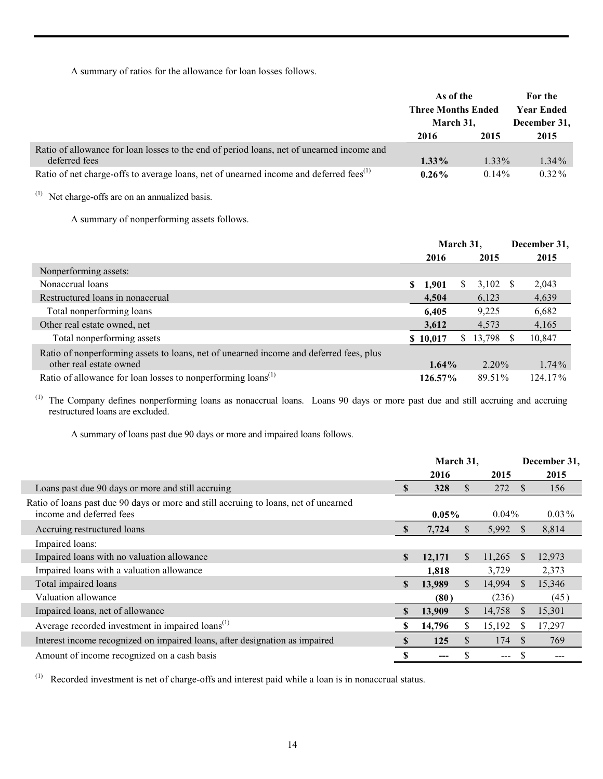A summary of ratios for the allowance for loan losses follows.

|                                                                                                    | As of the<br><b>Three Months Ended</b><br>March 31, |          | For the<br><b>Year Ended</b><br>December 31, |
|----------------------------------------------------------------------------------------------------|-----------------------------------------------------|----------|----------------------------------------------|
|                                                                                                    | 2016                                                | 2015     | 2015                                         |
| Ratio of allowance for loan losses to the end of period loans, net of unearned income and          |                                                     |          |                                              |
| deferred fees                                                                                      | $1.33\%$                                            | $1.33\%$ | 1.34%                                        |
| Ratio of net charge-offs to average loans, net of unearned income and deferred fees <sup>(1)</sup> | $0.26\%$                                            | $0.14\%$ | $0.32\%$                                     |

(1) Net charge-offs are on an annualized basis.

I ı

A summary of nonperforming assets follows.

|                                                                                        | March 31, |          |  | December 31, |  |            |
|----------------------------------------------------------------------------------------|-----------|----------|--|--------------|--|------------|
|                                                                                        |           | 2016     |  | 2015         |  | 2015       |
| Nonperforming assets:                                                                  |           |          |  |              |  |            |
| Nonaccrual loans                                                                       |           | \$1,901  |  | $3,102$ \$   |  | 2,043      |
| Restructured loans in nonaccrual                                                       |           | 4,504    |  | 6,123        |  | 4,639      |
| Total nonperforming loans                                                              |           | 6,405    |  | 9,225        |  | 6,682      |
| Other real estate owned, net                                                           |           | 3,612    |  | 4,573        |  | 4,165      |
| Total nonperforming assets                                                             |           | \$10,017 |  | \$13,798     |  | 10,847     |
| Ratio of nonperforming assets to loans, net of unearned income and deferred fees, plus |           |          |  |              |  |            |
| other real estate owned                                                                |           | $1.64\%$ |  | $2.20\%$     |  | $1.74\%$   |
| Ratio of allowance for loan losses to nonperforming loans <sup>(1)</sup>               |           | 126.57%  |  | 89.51%       |  | $124.17\%$ |

(1) The Company defines nonperforming loans as nonaccrual loans. Loans 90 days or more past due and still accruing and accruing restructured loans are excluded.

A summary of loans past due 90 days or more and impaired loans follows.

|                                                                                                                  |     | March 31, |     |          | December 31,  |          |  |
|------------------------------------------------------------------------------------------------------------------|-----|-----------|-----|----------|---------------|----------|--|
|                                                                                                                  |     | 2016      |     | 2015     |               | 2015     |  |
| Loans past due 90 days or more and still accruing                                                                |     | 328       | S.  | 272      |               | 156      |  |
| Ratio of loans past due 90 days or more and still accruing to loans, net of unearned<br>income and deferred fees |     | $0.05\%$  |     | $0.04\%$ |               | $0.03\%$ |  |
| Accruing restructured loans                                                                                      |     | 7,724     |     | 5,992    | -S            | 8,814    |  |
| Impaired loans:                                                                                                  |     |           |     |          |               |          |  |
| Impaired loans with no valuation allowance                                                                       | \$. | 12.171    | S.  | 11,265   |               | 12,973   |  |
| Impaired loans with a valuation allowance                                                                        |     | 1,818     |     | 3,729    |               | 2,373    |  |
| Total impaired loans                                                                                             | \$. | 13,989    | \$. | 14,994   | <sup>\$</sup> | 15,346   |  |
| Valuation allowance                                                                                              |     | (80)      |     | (236)    |               | (45)     |  |
| Impaired loans, net of allowance                                                                                 |     | 13,909    | S.  | 14,758   | <sup>\$</sup> | 15,301   |  |
| Average recorded investment in impaired loans <sup>(1)</sup>                                                     |     | 14,796    | S.  | 15,192   |               | 17,297   |  |
| Interest income recognized on impaired loans, after designation as impaired                                      |     | 125       |     | 174      |               | 769      |  |
| Amount of income recognized on a cash basis                                                                      | \$  |           |     | ---      |               |          |  |

(1) Recorded investment is net of charge-offs and interest paid while a loan is in nonaccrual status.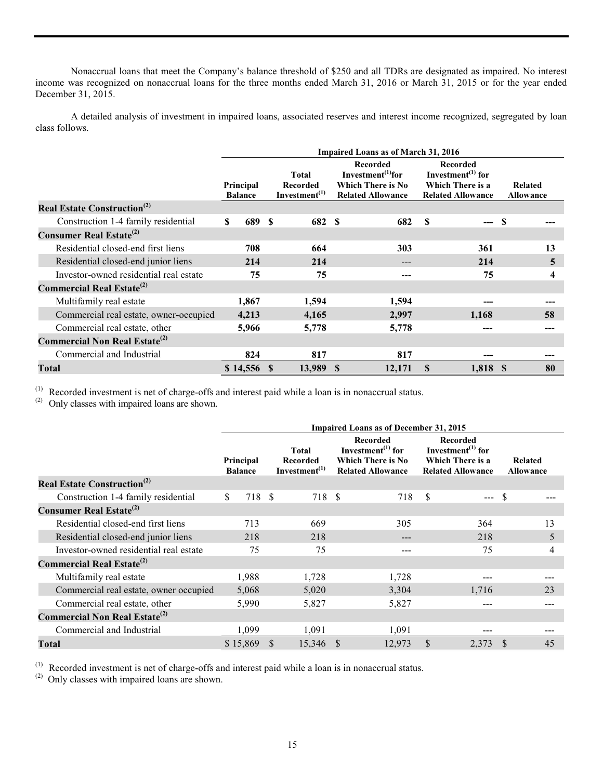Nonaccrual loans that meet the Company's balance threshold of \$250 and all TDRs are designated as impaired. No interest income was recognized on nonaccrual loans for the three months ended March 31, 2016 or March 31, 2015 or for the year ended December 31, 2015.

A detailed analysis of investment in impaired loans, associated reserves and interest income recognized, segregated by loan class follows.

|                                                  | Impaired Loans as of March 31, 2016 |          |                                                       |                                                                                             |                                                                                     |       |              |                             |  |  |
|--------------------------------------------------|-------------------------------------|----------|-------------------------------------------------------|---------------------------------------------------------------------------------------------|-------------------------------------------------------------------------------------|-------|--------------|-----------------------------|--|--|
|                                                  | Principal<br><b>Balance</b>         |          | <b>Total</b><br>Recorded<br>Investment <sup>(1)</sup> | Recorded<br>Investment $^{(1)}$ for<br><b>Which There is No</b><br><b>Related Allowance</b> | Recorded<br>Investment $^{(1)}$ for<br>Which There is a<br><b>Related Allowance</b> |       |              | <b>Related</b><br>Allowance |  |  |
| <b>Real Estate Construction</b> <sup>(2)</sup>   |                                     |          |                                                       |                                                                                             |                                                                                     |       |              |                             |  |  |
| Construction 1-4 family residential              | 689<br>S                            | S        | 682 \$                                                | 682                                                                                         | S                                                                                   | ---   | <sup>S</sup> |                             |  |  |
| <b>Consumer Real Estate</b> <sup>(2)</sup>       |                                     |          |                                                       |                                                                                             |                                                                                     |       |              |                             |  |  |
| Residential closed-end first liens               | 708                                 |          | 664                                                   | 303                                                                                         |                                                                                     | 361   |              | 13                          |  |  |
| Residential closed-end junior liens              | 214                                 |          | 214                                                   | ---                                                                                         |                                                                                     | 214   |              | 5                           |  |  |
| Investor-owned residential real estate           | 75                                  |          | 75                                                    | ---                                                                                         |                                                                                     | 75    |              | 4                           |  |  |
| Commercial Real Estate <sup>(2)</sup>            |                                     |          |                                                       |                                                                                             |                                                                                     |       |              |                             |  |  |
| Multifamily real estate                          | 1,867                               |          | 1,594                                                 | 1,594                                                                                       |                                                                                     | ---   |              |                             |  |  |
| Commercial real estate, owner-occupied           | 4,213                               |          | 4,165                                                 | 2,997                                                                                       |                                                                                     | 1,168 |              | 58                          |  |  |
| Commercial real estate, other                    | 5,966                               |          | 5,778                                                 | 5,778                                                                                       |                                                                                     | ---   |              |                             |  |  |
| <b>Commercial Non Real Estate</b> <sup>(2)</sup> |                                     |          |                                                       |                                                                                             |                                                                                     |       |              |                             |  |  |
| Commercial and Industrial                        | 824                                 |          | 817                                                   | 817                                                                                         |                                                                                     | ---   |              |                             |  |  |
| Total                                            | \$14,556                            | <b>S</b> | 13,989                                                | 12,171<br>$\mathbf s$                                                                       | <b>S</b>                                                                            | 1,818 | -S           | 80                          |  |  |

(1) Recorded investment is net of charge-offs and interest paid while a loan is in nonaccrual status. (2) Only classes with impaired loans are shown.

|                                                  | <b>Impaired Loans as of December 31, 2015</b> |                                                       |                                                                                                    |                                                                                     |                                    |  |  |  |  |  |  |
|--------------------------------------------------|-----------------------------------------------|-------------------------------------------------------|----------------------------------------------------------------------------------------------------|-------------------------------------------------------------------------------------|------------------------------------|--|--|--|--|--|--|
|                                                  | Principal<br><b>Balance</b>                   | <b>Total</b><br>Recorded<br>Investment <sup>(1)</sup> | <b>Recorded</b><br>Investment $^{(1)}$ for<br><b>Which There is No</b><br><b>Related Allowance</b> | Recorded<br>Investment $^{(1)}$ for<br>Which There is a<br><b>Related Allowance</b> | <b>Related</b><br><b>Allowance</b> |  |  |  |  |  |  |
| <b>Real Estate Construction</b> <sup>(2)</sup>   |                                               |                                                       |                                                                                                    |                                                                                     |                                    |  |  |  |  |  |  |
| Construction 1-4 family residential              | \$<br>718 \$                                  | 718 \$                                                | 718                                                                                                | S                                                                                   | S                                  |  |  |  |  |  |  |
| <b>Consumer Real Estate</b> <sup>(2)</sup>       |                                               |                                                       |                                                                                                    |                                                                                     |                                    |  |  |  |  |  |  |
| Residential closed-end first liens               | 713                                           | 669                                                   | 305                                                                                                | 364                                                                                 | 13                                 |  |  |  |  |  |  |
| Residential closed-end junior liens              | 218                                           | 218                                                   | $---$                                                                                              | 218                                                                                 | 5                                  |  |  |  |  |  |  |
| Investor-owned residential real estate           | 75                                            | 75                                                    | $--$                                                                                               | 75                                                                                  | 4                                  |  |  |  |  |  |  |
| Commercial Real Estate <sup>(2)</sup>            |                                               |                                                       |                                                                                                    |                                                                                     |                                    |  |  |  |  |  |  |
| Multifamily real estate                          | 1,988                                         | 1,728                                                 | 1,728                                                                                              |                                                                                     |                                    |  |  |  |  |  |  |
| Commercial real estate, owner occupied           | 5,068                                         | 5,020                                                 | 3,304                                                                                              | 1,716                                                                               | 23                                 |  |  |  |  |  |  |
| Commercial real estate, other                    | 5,990                                         | 5,827                                                 | 5,827                                                                                              | ---                                                                                 |                                    |  |  |  |  |  |  |
| <b>Commercial Non Real Estate</b> <sup>(2)</sup> |                                               |                                                       |                                                                                                    |                                                                                     |                                    |  |  |  |  |  |  |
| Commercial and Industrial                        | 1,099                                         | 1,091                                                 | 1,091                                                                                              | ---                                                                                 | ---                                |  |  |  |  |  |  |
| Total                                            | \$15,869                                      | <sup>\$</sup><br>15,346                               | 12,973                                                                                             | <sup>\$</sup><br>2,373                                                              | 45<br>S                            |  |  |  |  |  |  |

(1) Recorded investment is net of charge-offs and interest paid while a loan is in nonaccrual status.

(2) Only classes with impaired loans are shown.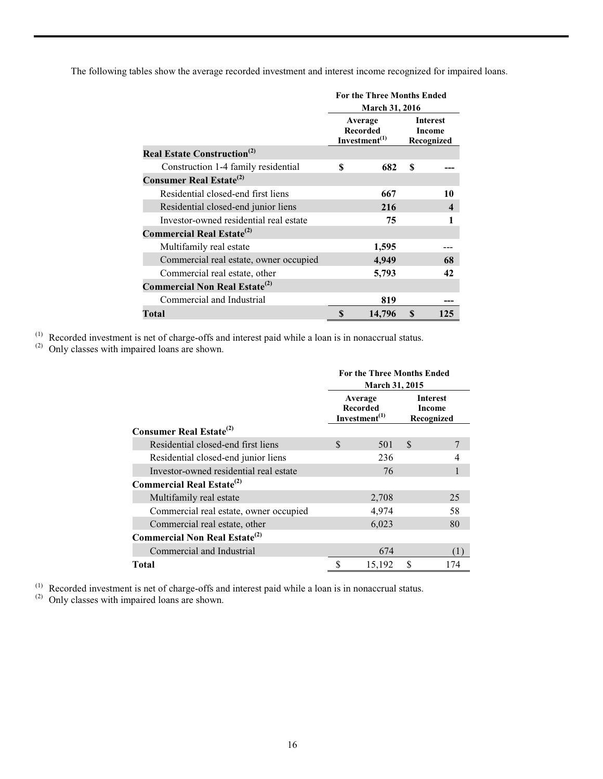The following tables show the average recorded investment and interest income recognized for impaired loans.

|                                                | <b>For the Three Months Ended</b> |                                         |    |                                  |  |  |
|------------------------------------------------|-----------------------------------|-----------------------------------------|----|----------------------------------|--|--|
|                                                |                                   | March 31, 2016                          |    |                                  |  |  |
|                                                |                                   | Average<br>Recorded<br>Investment $(1)$ |    | Interest<br>Income<br>Recognized |  |  |
| <b>Real Estate Construction</b> <sup>(2)</sup> |                                   |                                         |    |                                  |  |  |
| Construction 1-4 family residential            | \$                                | 682                                     | S  |                                  |  |  |
| <b>Consumer Real Estate</b> <sup>(2)</sup>     |                                   |                                         |    |                                  |  |  |
| Residential closed-end first liens             |                                   | 667                                     |    | 10                               |  |  |
| Residential closed-end junior liens            |                                   | 216                                     |    | 4                                |  |  |
| Investor-owned residential real estate         |                                   | 75                                      |    | 1                                |  |  |
| Commercial Real Estate <sup>(2)</sup>          |                                   |                                         |    |                                  |  |  |
| Multifamily real estate                        |                                   | 1,595                                   |    |                                  |  |  |
| Commercial real estate, owner occupied         |                                   | 4,949                                   |    | 68                               |  |  |
| Commercial real estate, other                  |                                   | 5,793                                   |    | 42                               |  |  |
| Commercial Non Real Estate <sup>(2)</sup>      |                                   |                                         |    |                                  |  |  |
| Commercial and Industrial                      |                                   | 819                                     |    | ---                              |  |  |
| Total                                          | \$                                | 14,796                                  | \$ | 125                              |  |  |

(1) Recorded investment is net of charge-offs and interest paid while a loan is in nonaccrual status. (2) Only classes with impaired loans are shown.

|                                              | <b>For the Three Months Ended</b> |                  |                      |                 |  |  |
|----------------------------------------------|-----------------------------------|------------------|----------------------|-----------------|--|--|
|                                              | <b>March 31, 2015</b>             |                  |                      |                 |  |  |
|                                              |                                   | Average          |                      | <b>Interest</b> |  |  |
|                                              |                                   | <b>Recorded</b>  | Income<br>Recognized |                 |  |  |
|                                              |                                   | Investment $(1)$ |                      |                 |  |  |
| <b>Consumer Real Estate</b> <sup>(2)</sup>   |                                   |                  |                      |                 |  |  |
| Residential closed-end first liens           | \$                                | 501              | \$.                  |                 |  |  |
| Residential closed-end junior liens          |                                   | 236              |                      |                 |  |  |
| Investor-owned residential real estate       |                                   | 76               |                      |                 |  |  |
| <b>Commercial Real Estate</b> <sup>(2)</sup> |                                   |                  |                      |                 |  |  |
| Multifamily real estate                      |                                   | 2,708            |                      | 25              |  |  |
| Commercial real estate, owner occupied       |                                   | 4,974            |                      | 58              |  |  |
| Commercial real estate, other                |                                   | 6,023            |                      | 80              |  |  |
| Commercial Non Real Estate <sup>(2)</sup>    |                                   |                  |                      |                 |  |  |
| Commercial and Industrial                    |                                   | 674              |                      | $\Box$          |  |  |
| <b>Total</b>                                 |                                   | 15,192           | \$                   | 174             |  |  |

 $<sup>(1)</sup>$  Recorded investment is net of charge-offs and interest paid while a loan is in nonaccrual status.</sup>

 $^{(2)}$  Only classes with impaired loans are shown.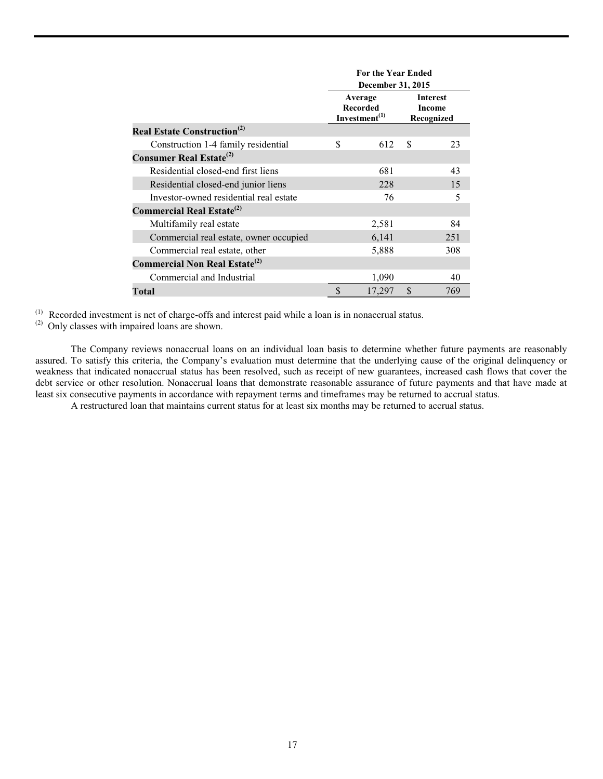|                                                | For the Year Ended<br>December 31, 2015 |                                                |              |                                         |  |  |  |
|------------------------------------------------|-----------------------------------------|------------------------------------------------|--------------|-----------------------------------------|--|--|--|
|                                                |                                         | Average<br><b>Recorded</b><br>Investment $(1)$ |              | <b>Interest</b><br>Income<br>Recognized |  |  |  |
| <b>Real Estate Construction</b> <sup>(2)</sup> |                                         |                                                |              |                                         |  |  |  |
| Construction 1-4 family residential            | \$                                      | 612                                            | \$           | 23                                      |  |  |  |
| <b>Consumer Real Estate</b> <sup>(2)</sup>     |                                         |                                                |              |                                         |  |  |  |
| Residential closed-end first liens             |                                         | 681                                            |              | 43                                      |  |  |  |
| Residential closed-end junior liens            |                                         | 228                                            |              | 15                                      |  |  |  |
| Investor-owned residential real estate         |                                         | 76                                             |              | 5                                       |  |  |  |
| Commercial Real Estate <sup>(2)</sup>          |                                         |                                                |              |                                         |  |  |  |
| Multifamily real estate                        |                                         | 2,581                                          |              | 84                                      |  |  |  |
| Commercial real estate, owner occupied         |                                         | 6,141                                          |              | 251                                     |  |  |  |
| Commercial real estate, other                  |                                         | 5,888                                          |              | 308                                     |  |  |  |
| Commercial Non Real Estate <sup>(2)</sup>      |                                         |                                                |              |                                         |  |  |  |
| Commercial and Industrial                      |                                         | 1,090                                          |              | 40                                      |  |  |  |
| Total                                          | \$                                      | 17,297                                         | $\mathbb{S}$ | 769                                     |  |  |  |

(1) Recorded investment is net of charge-offs and interest paid while a loan is in nonaccrual status.<br>(2) Only classes with impaired loans are shown.

The Company reviews nonaccrual loans on an individual loan basis to determine whether future payments are reasonably assured. To satisfy this criteria, the Company's evaluation must determine that the underlying cause of the original delinquency or weakness that indicated nonaccrual status has been resolved, such as receipt of new guarantees, increased cash flows that cover the debt service or other resolution. Nonaccrual loans that demonstrate reasonable assurance of future payments and that have made at least six consecutive payments in accordance with repayment terms and timeframes may be returned to accrual status.

A restructured loan that maintains current status for at least six months may be returned to accrual status.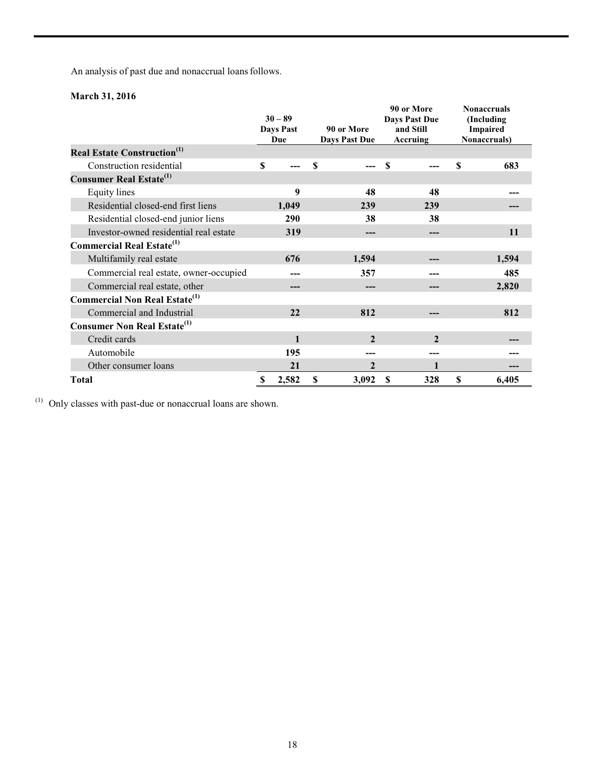An analysis of past due and nonaccrual loans follows.

# **March 31, 2016**

|                                                  | $30 - 89$<br><b>Days Past</b><br>Due | 90 or More<br><b>Days Past Due</b> |   | 90 or More<br>Days Past Due<br>and Still<br>Accruing | <b>Nonaccruals</b><br>(Including<br><b>Impaired</b><br>Nonaccruals) |
|--------------------------------------------------|--------------------------------------|------------------------------------|---|------------------------------------------------------|---------------------------------------------------------------------|
| <b>Real Estate Construction</b> <sup>(1)</sup>   |                                      |                                    |   |                                                      |                                                                     |
| Construction residential                         | \$                                   | \$                                 | S |                                                      | \$<br>683                                                           |
| <b>Consumer Real Estate</b> <sup>(1)</sup>       |                                      |                                    |   |                                                      |                                                                     |
| <b>Equity lines</b>                              | 9                                    | 48                                 |   | 48                                                   |                                                                     |
| Residential closed-end first liens               | 1,049                                | 239                                |   | 239                                                  |                                                                     |
| Residential closed-end junior liens              | 290                                  | 38                                 |   | 38                                                   |                                                                     |
| Investor-owned residential real estate           | 319                                  | ---                                |   | ---                                                  | 11                                                                  |
| <b>Commercial Real Estate</b> <sup>(1)</sup>     |                                      |                                    |   |                                                      |                                                                     |
| Multifamily real estate                          | 676                                  | 1,594                              |   |                                                      | 1,594                                                               |
| Commercial real estate, owner-occupied           | ---                                  | 357                                |   |                                                      | 485                                                                 |
| Commercial real estate, other                    | --                                   |                                    |   |                                                      | 2,820                                                               |
| <b>Commercial Non Real Estate</b> <sup>(1)</sup> |                                      |                                    |   |                                                      |                                                                     |
| Commercial and Industrial                        | 22                                   | 812                                |   |                                                      | 812                                                                 |
| <b>Consumer Non Real Estate</b> <sup>(1)</sup>   |                                      |                                    |   |                                                      |                                                                     |
| Credit cards                                     | $\mathbf{1}$                         | $\overline{2}$                     |   | $\mathbf{2}$                                         |                                                                     |
| Automobile                                       | 195                                  | ---                                |   | ---                                                  |                                                                     |
| Other consumer loans                             | 21                                   | $\mathbf{2}$                       |   | 1                                                    |                                                                     |
| Total                                            | \$<br>2,582                          | \$<br>3,092                        | S | 328                                                  | \$<br>6,405                                                         |

 $(1)$  Only classes with past-due or nonaccrual loans are shown.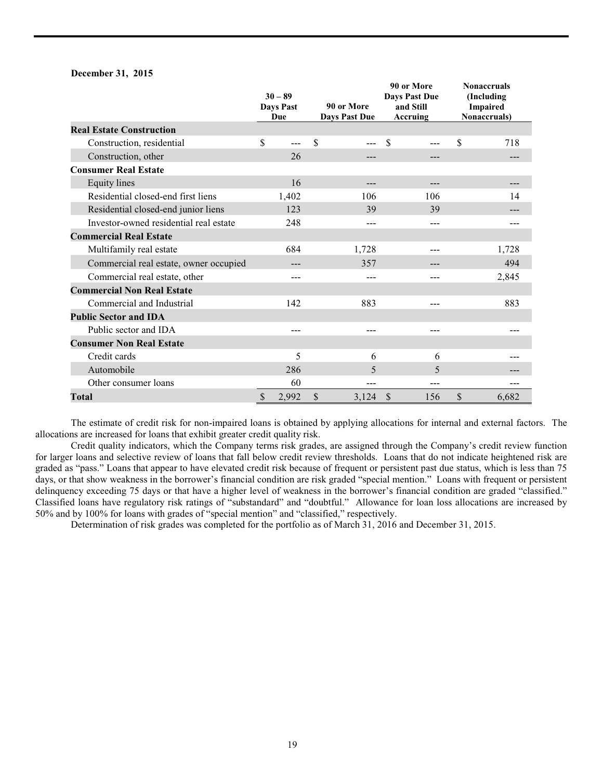#### **December 31, 2015**

|                                        |              | $30 - 89$<br><b>Days Past</b><br>Due |              | 90 or More<br>Days Past Due |     | 90 or More<br>Days Past Due<br>and Still<br>Accruing | <b>Nonaccruals</b><br>(Including<br><b>Impaired</b><br>Nonaccruals) |       |  |
|----------------------------------------|--------------|--------------------------------------|--------------|-----------------------------|-----|------------------------------------------------------|---------------------------------------------------------------------|-------|--|
| <b>Real Estate Construction</b>        |              |                                      |              |                             |     |                                                      |                                                                     |       |  |
| Construction, residential              | \$           | $---$                                | \$           | ---                         | \$. | ---                                                  | \$                                                                  | 718   |  |
| Construction, other                    |              | 26                                   |              | $---$                       |     | ---                                                  |                                                                     | ---   |  |
| <b>Consumer Real Estate</b>            |              |                                      |              |                             |     |                                                      |                                                                     |       |  |
| <b>Equity lines</b>                    |              | 16                                   |              | ---                         |     | ---                                                  |                                                                     |       |  |
| Residential closed-end first liens     |              | 1,402                                |              | 106                         |     | 106                                                  |                                                                     | 14    |  |
| Residential closed-end junior liens    |              | 123                                  |              | 39                          |     | 39                                                   |                                                                     |       |  |
| Investor-owned residential real estate |              | 248                                  |              | ---                         |     | ---                                                  |                                                                     |       |  |
| <b>Commercial Real Estate</b>          |              |                                      |              |                             |     |                                                      |                                                                     |       |  |
| Multifamily real estate                |              | 684                                  |              | 1,728                       |     | ---                                                  |                                                                     | 1,728 |  |
| Commercial real estate, owner occupied |              | $---$                                |              | 357                         |     |                                                      |                                                                     | 494   |  |
| Commercial real estate, other          |              | ---                                  |              | ---                         |     | ---                                                  |                                                                     | 2,845 |  |
| <b>Commercial Non Real Estate</b>      |              |                                      |              |                             |     |                                                      |                                                                     |       |  |
| Commercial and Industrial              |              | 142                                  |              | 883                         |     | ---                                                  |                                                                     | 883   |  |
| <b>Public Sector and IDA</b>           |              |                                      |              |                             |     |                                                      |                                                                     |       |  |
| Public sector and IDA                  |              | ---                                  |              | ---                         |     | ---                                                  |                                                                     |       |  |
| <b>Consumer Non Real Estate</b>        |              |                                      |              |                             |     |                                                      |                                                                     |       |  |
| Credit cards                           |              | 5                                    |              | 6                           |     | 6                                                    |                                                                     |       |  |
| Automobile                             |              | 286                                  |              | 5                           |     | 5                                                    |                                                                     |       |  |
| Other consumer loans                   |              | 60                                   |              | ---                         |     | ---                                                  |                                                                     | ---   |  |
| Total                                  | $\mathbb{S}$ | 2,992                                | $\mathbb{S}$ | 3,124                       | \$  | 156                                                  | $\mathcal{S}$                                                       | 6,682 |  |

The estimate of credit risk for non-impaired loans is obtained by applying allocations for internal and external factors. The allocations are increased for loans that exhibit greater credit quality risk.

Credit quality indicators, which the Company terms risk grades, are assigned through the Company's credit review function for larger loans and selective review of loans that fall below credit review thresholds. Loans that do not indicate heightened risk are graded as "pass." Loans that appear to have elevated credit risk because of frequent or persistent past due status, which is less than 75 days, or that show weakness in the borrower's financial condition are risk graded "special mention." Loans with frequent or persistent delinquency exceeding 75 days or that have a higher level of weakness in the borrower's financial condition are graded "classified." Classified loans have regulatory risk ratings of "substandard" and "doubtful." Allowance for loan loss allocations are increased by 50% and by 100% for loans with grades of "special mention" and "classified," respectively.

Determination of risk grades was completed for the portfolio as of March 31, 2016 and December 31, 2015.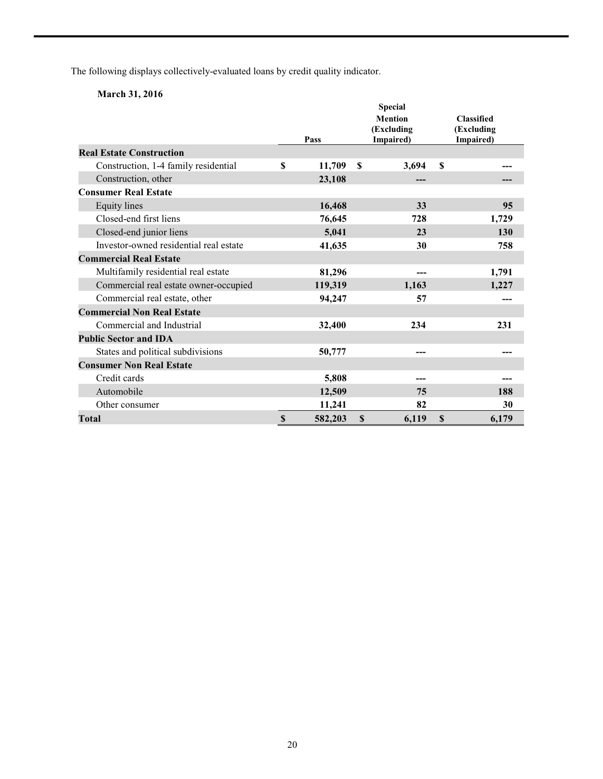The following displays collectively-evaluated loans by credit quality indicator.

# **March 31, 2016**

|                                        |             | Pass    |             | <b>Special</b><br><b>Mention</b><br>(Excluding<br>Impaired) | <b>Classified</b><br>(Excluding<br>Impaired) |
|----------------------------------------|-------------|---------|-------------|-------------------------------------------------------------|----------------------------------------------|
| <b>Real Estate Construction</b>        |             |         |             |                                                             |                                              |
| Construction, 1-4 family residential   | \$          | 11,709  | \$          | 3,694                                                       | \$                                           |
| Construction, other                    |             | 23,108  |             | ---                                                         |                                              |
| <b>Consumer Real Estate</b>            |             |         |             |                                                             |                                              |
| <b>Equity</b> lines                    |             | 16,468  |             | 33                                                          | 95                                           |
| Closed-end first liens                 |             | 76,645  |             | 728                                                         | 1,729                                        |
| Closed-end junior liens                |             | 5,041   |             | 23                                                          | 130                                          |
| Investor-owned residential real estate |             | 41,635  |             | 30                                                          | 758                                          |
| <b>Commercial Real Estate</b>          |             |         |             |                                                             |                                              |
| Multifamily residential real estate    |             | 81,296  |             |                                                             | 1,791                                        |
| Commercial real estate owner-occupied  |             | 119,319 |             | 1,163                                                       | 1,227                                        |
| Commercial real estate, other          |             | 94,247  |             | 57                                                          |                                              |
| <b>Commercial Non Real Estate</b>      |             |         |             |                                                             |                                              |
| Commercial and Industrial              |             | 32,400  |             | 234                                                         | 231                                          |
| <b>Public Sector and IDA</b>           |             |         |             |                                                             |                                              |
| States and political subdivisions      |             | 50,777  |             | ---                                                         | ---                                          |
| <b>Consumer Non Real Estate</b>        |             |         |             |                                                             |                                              |
| Credit cards                           |             | 5,808   |             | ---                                                         | ---                                          |
| Automobile                             |             | 12,509  |             | 75                                                          | 188                                          |
| Other consumer                         |             | 11,241  |             | 82                                                          | 30                                           |
| <b>Total</b>                           | $\mathbf S$ | 582,203 | $\mathbf S$ | 6,119                                                       | \$<br>6,179                                  |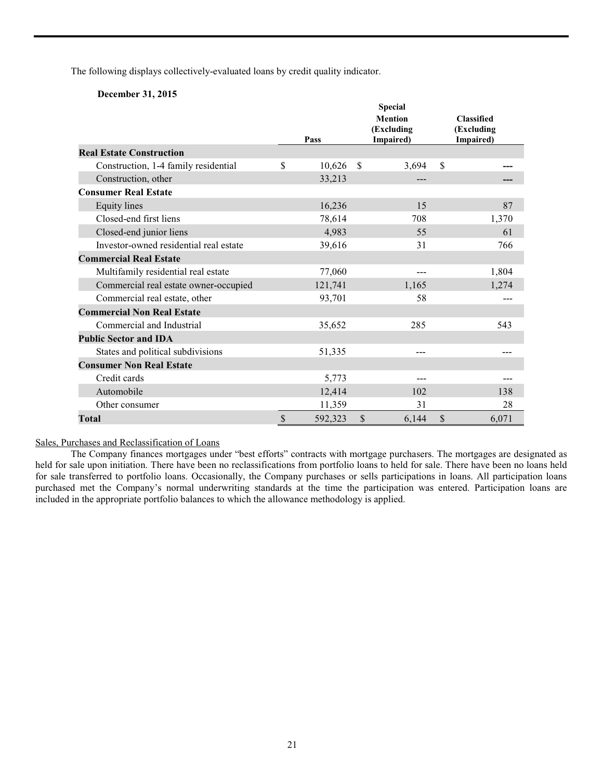The following displays collectively-evaluated loans by credit quality indicator.

**December 31, 2015**

|                                        |               |         |               | <b>Special</b>               |                                 |
|----------------------------------------|---------------|---------|---------------|------------------------------|---------------------------------|
|                                        |               |         |               | <b>Mention</b><br>(Excluding | <b>Classified</b><br>(Excluding |
|                                        |               | Pass    |               | Impaired)                    | Impaired)                       |
| <b>Real Estate Construction</b>        |               |         |               |                              |                                 |
| Construction, 1-4 family residential   | <sup>\$</sup> | 10,626  | $\mathcal{S}$ | 3,694                        | \$                              |
| Construction, other                    |               | 33,213  |               |                              |                                 |
| <b>Consumer Real Estate</b>            |               |         |               |                              |                                 |
| <b>Equity</b> lines                    |               | 16,236  |               | 15                           | 87                              |
| Closed-end first liens                 |               | 78,614  |               | 708                          | 1,370                           |
| Closed-end junior liens                |               | 4,983   |               | 55                           | 61                              |
| Investor-owned residential real estate |               | 39,616  |               | 31                           | 766                             |
| <b>Commercial Real Estate</b>          |               |         |               |                              |                                 |
| Multifamily residential real estate    |               | 77,060  |               | ---                          | 1,804                           |
| Commercial real estate owner-occupied  |               | 121,741 |               | 1,165                        | 1,274                           |
| Commercial real estate, other          |               | 93,701  |               | 58                           |                                 |
| <b>Commercial Non Real Estate</b>      |               |         |               |                              |                                 |
| Commercial and Industrial              |               | 35,652  |               | 285                          | 543                             |
| <b>Public Sector and IDA</b>           |               |         |               |                              |                                 |
| States and political subdivisions      |               | 51,335  |               | ---                          |                                 |
| <b>Consumer Non Real Estate</b>        |               |         |               |                              |                                 |
| Credit cards                           |               | 5,773   |               | ---                          |                                 |
| Automobile                             |               | 12,414  |               | 102                          | 138                             |
| Other consumer                         |               | 11,359  |               | 31                           | 28                              |
| <b>Total</b>                           | $\mathcal{S}$ | 592,323 | \$            | 6,144                        | \$<br>6,071                     |

# Sales, Purchases and Reclassification of Loans

The Company finances mortgages under "best efforts" contracts with mortgage purchasers. The mortgages are designated as held for sale upon initiation. There have been no reclassifications from portfolio loans to held for sale. There have been no loans held for sale transferred to portfolio loans. Occasionally, the Company purchases or sells participations in loans. All participation loans purchased met the Company's normal underwriting standards at the time the participation was entered. Participation loans are included in the appropriate portfolio balances to which the allowance methodology is applied.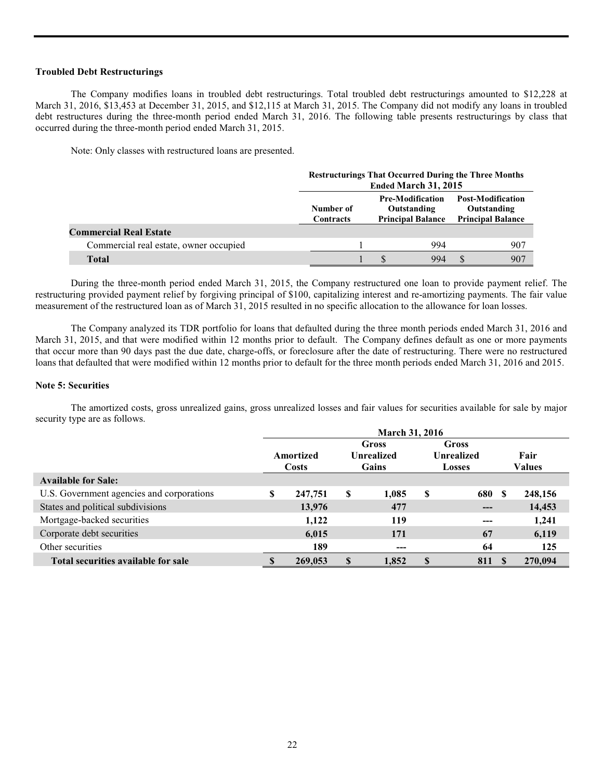## **Troubled Debt Restructurings**

The Company modifies loans in troubled debt restructurings. Total troubled debt restructurings amounted to \$12,228 at March 31, 2016, \$13,453 at December 31, 2015, and \$12,115 at March 31, 2015. The Company did not modify any loans in troubled debt restructures during the three-month period ended March 31, 2016. The following table presents restructurings by class that occurred during the three-month period ended March 31, 2015.

Note: Only classes with restructured loans are presented.

|                                        | <b>Restructurings That Occurred During the Three Months</b> | Ended March 31, 2015                                               |                                                                     |     |
|----------------------------------------|-------------------------------------------------------------|--------------------------------------------------------------------|---------------------------------------------------------------------|-----|
|                                        | Number of<br><b>Contracts</b>                               | <b>Pre-Modification</b><br>Outstanding<br><b>Principal Balance</b> | <b>Post-Modification</b><br>Outstanding<br><b>Principal Balance</b> |     |
| <b>Commercial Real Estate</b>          |                                                             |                                                                    |                                                                     |     |
| Commercial real estate, owner occupied |                                                             | 994                                                                |                                                                     | 907 |
| Total                                  |                                                             |                                                                    |                                                                     | 907 |

During the three-month period ended March 31, 2015, the Company restructured one loan to provide payment relief. The restructuring provided payment relief by forgiving principal of \$100, capitalizing interest and re-amortizing payments. The fair value measurement of the restructured loan as of March 31, 2015 resulted in no specific allocation to the allowance for loan losses.

The Company analyzed its TDR portfolio for loans that defaulted during the three month periods ended March 31, 2016 and March 31, 2015, and that were modified within 12 months prior to default. The Company defines default as one or more payments that occur more than 90 days past the due date, charge-offs, or foreclosure after the date of restructuring. There were no restructured loans that defaulted that were modified within 12 months prior to default for the three month periods ended March 31, 2016 and 2015.

#### **Note 5: Securities**

The amortized costs, gross unrealized gains, gross unrealized losses and fair values for securities available for sale by major security type are as follows.

|                                           | <b>March 31, 2016</b> |           |   |                   |                   |               |   |               |  |  |
|-------------------------------------------|-----------------------|-----------|---|-------------------|-------------------|---------------|---|---------------|--|--|
|                                           | Gross                 |           |   |                   |                   | <b>Gross</b>  |   |               |  |  |
|                                           |                       | Amortized |   | <b>Unrealized</b> | <b>Unrealized</b> |               |   | Fair          |  |  |
|                                           |                       | Costs     |   | Gains             |                   | <b>Losses</b> |   | <b>Values</b> |  |  |
| <b>Available for Sale:</b>                |                       |           |   |                   |                   |               |   |               |  |  |
| U.S. Government agencies and corporations | \$                    | 247,751   | S | 1,085             | S                 | 680           | S | 248,156       |  |  |
| States and political subdivisions         |                       | 13,976    |   | 477               |                   |               |   | 14,453        |  |  |
| Mortgage-backed securities                |                       | 1,122     |   | 119               |                   |               |   | 1,241         |  |  |
| Corporate debt securities                 |                       | 6,015     |   | 171               |                   | 67            |   | 6,119         |  |  |
| Other securities                          |                       | 189       |   | $---$             |                   | 64            |   | 125           |  |  |
| Total securities available for sale       |                       | 269,053   | S | 1,852             | <sup>\$</sup>     | 811           |   | 270.094       |  |  |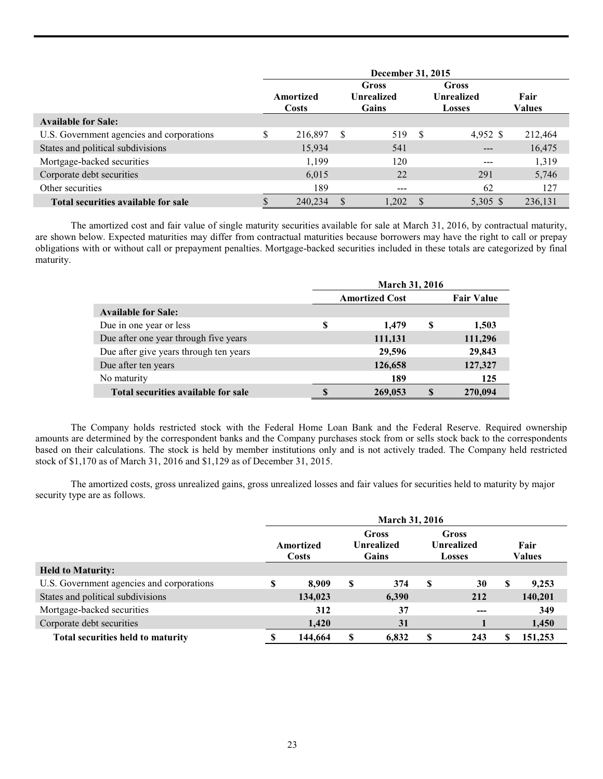|                                           |                                                                  |         |   | December 31, 2015 |                                      |                           |         |
|-------------------------------------------|------------------------------------------------------------------|---------|---|-------------------|--------------------------------------|---------------------------|---------|
|                                           | <b>Gross</b><br><b>Unrealized</b><br>Amortized<br>Gains<br>Costs |         |   |                   | Gross<br>Unrealized<br><b>Losses</b> | Fair<br><b>Values</b>     |         |
| <b>Available for Sale:</b>                |                                                                  |         |   |                   |                                      |                           |         |
| U.S. Government agencies and corporations | \$                                                               | 216,897 | S | 519               | -S                                   | 4,952 \$                  | 212,464 |
| States and political subdivisions         |                                                                  | 15,934  |   | 541               |                                      | $\qquad \qquad -\qquad -$ | 16,475  |
| Mortgage-backed securities                |                                                                  | 1,199   |   | 120               |                                      | ---                       | 1,319   |
| Corporate debt securities                 |                                                                  | 6,015   |   | 22                |                                      | 291                       | 5,746   |
| Other securities                          |                                                                  | 189     |   | $- - -$           |                                      | 62                        | 127     |
| Total securities available for sale       |                                                                  | 240.234 |   | 1.202             |                                      | 5,305 \$                  | 236,131 |

The amortized cost and fair value of single maturity securities available for sale at March 31, 2016, by contractual maturity, are shown below. Expected maturities may differ from contractual maturities because borrowers may have the right to call or prepay obligations with or without call or prepayment penalties. Mortgage-backed securities included in these totals are categorized by final maturity.

|                                        | March 31, 2016 |                       |   |                   |  |  |  |  |  |  |
|----------------------------------------|----------------|-----------------------|---|-------------------|--|--|--|--|--|--|
|                                        |                | <b>Amortized Cost</b> |   | <b>Fair Value</b> |  |  |  |  |  |  |
| <b>Available for Sale:</b>             |                |                       |   |                   |  |  |  |  |  |  |
| Due in one year or less                | \$             | 1,479                 | S | 1,503             |  |  |  |  |  |  |
| Due after one year through five years  |                | 111,131               |   | 111,296           |  |  |  |  |  |  |
| Due after give years through ten years |                | 29,596                |   | 29,843            |  |  |  |  |  |  |
| Due after ten years                    |                | 126,658               |   | 127,327           |  |  |  |  |  |  |
| No maturity                            |                | 189                   |   | 125               |  |  |  |  |  |  |
| Total securities available for sale    |                | 269,053               |   | 270,094           |  |  |  |  |  |  |

The Company holds restricted stock with the Federal Home Loan Bank and the Federal Reserve. Required ownership amounts are determined by the correspondent banks and the Company purchases stock from or sells stock back to the correspondents based on their calculations. The stock is held by member institutions only and is not actively traded. The Company held restricted stock of \$1,170 as of March 31, 2016 and \$1,129 as of December 31, 2015.

The amortized costs, gross unrealized gains, gross unrealized losses and fair values for securities held to maturity by major security type are as follows.

|                                           |                    | <b>March 31, 2016</b> |                              |       |                                             |     |                       |         |  |  |  |
|-------------------------------------------|--------------------|-----------------------|------------------------------|-------|---------------------------------------------|-----|-----------------------|---------|--|--|--|
|                                           | Amortized<br>Costs |                       | Gross<br>Unrealized<br>Gains |       | Gross<br><b>Unrealized</b><br><b>Losses</b> |     | Fair<br><b>Values</b> |         |  |  |  |
| <b>Held to Maturity:</b>                  |                    |                       |                              |       |                                             |     |                       |         |  |  |  |
| U.S. Government agencies and corporations | \$                 | 8,909                 | \$                           | 374   | S                                           | 30  | \$                    | 9,253   |  |  |  |
| States and political subdivisions         |                    | 134,023               |                              | 6,390 |                                             | 212 |                       | 140,201 |  |  |  |
| Mortgage-backed securities                |                    | 312                   |                              | 37    |                                             | --- |                       | 349     |  |  |  |
| Corporate debt securities                 |                    | 1,420                 |                              | 31    |                                             |     |                       | 1,450   |  |  |  |
| Total securities held to maturity         |                    | 144,664               | S                            | 6,832 |                                             | 243 | S                     | 151,253 |  |  |  |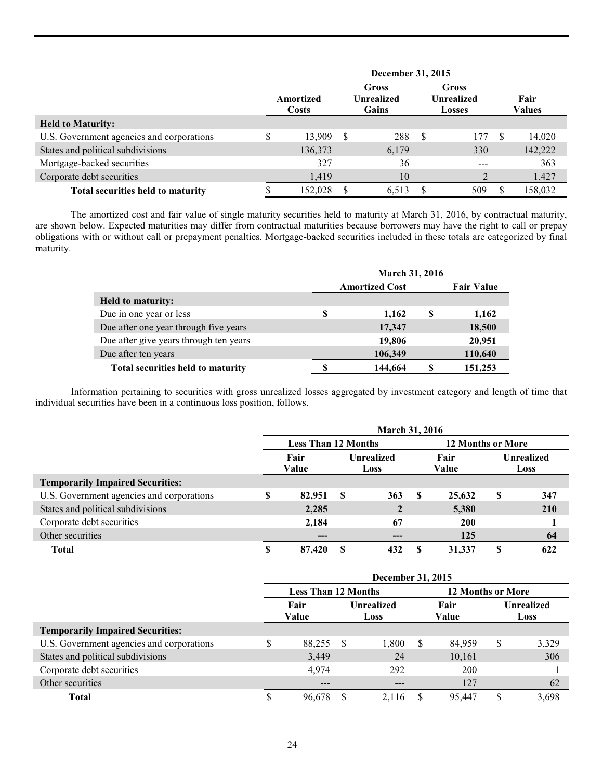|                                           | December 31, 2015  |     |                                     |    |                                             |    |                |  |  |
|-------------------------------------------|--------------------|-----|-------------------------------------|----|---------------------------------------------|----|----------------|--|--|
|                                           | Amortized<br>Costs |     | Gross<br><b>Unrealized</b><br>Gains |    | Gross<br><b>Unrealized</b><br><b>Losses</b> |    | Fair<br>Values |  |  |
| <b>Held to Maturity:</b>                  |                    |     |                                     |    |                                             |    |                |  |  |
| U.S. Government agencies and corporations | \$<br>13,909       | S   | 288                                 | -S | 177                                         | -S | 14,020         |  |  |
| States and political subdivisions         | 136,373            |     | 6,179                               |    | 330                                         |    | 142,222        |  |  |
| Mortgage-backed securities                | 327                |     | 36                                  |    | ---                                         |    | 363            |  |  |
| Corporate debt securities                 | 1,419              |     | 10                                  |    | ↑                                           |    | 1,427          |  |  |
| Total securities held to maturity         | 152,028            | \$. | 6,513                               | \$ | 509                                         |    | 158,032        |  |  |

The amortized cost and fair value of single maturity securities held to maturity at March 31, 2016, by contractual maturity, are shown below. Expected maturities may differ from contractual maturities because borrowers may have the right to call or prepay obligations with or without call or prepayment penalties. Mortgage-backed securities included in these totals are categorized by final maturity.

|                                        | <b>March 31, 2016</b> |                       |                   |         |  |  |  |  |  |
|----------------------------------------|-----------------------|-----------------------|-------------------|---------|--|--|--|--|--|
|                                        |                       | <b>Amortized Cost</b> | <b>Fair Value</b> |         |  |  |  |  |  |
| <b>Held to maturity:</b>               |                       |                       |                   |         |  |  |  |  |  |
| Due in one year or less                | S                     | 1,162                 | S                 | 1,162   |  |  |  |  |  |
| Due after one year through five years  |                       | 17,347                |                   | 18,500  |  |  |  |  |  |
| Due after give years through ten years |                       | 19,806                |                   | 20,951  |  |  |  |  |  |
| Due after ten years                    |                       | 106,349               |                   | 110,640 |  |  |  |  |  |
| Total securities held to maturity      |                       | 144,664               |                   | 151,253 |  |  |  |  |  |

Information pertaining to securities with gross unrealized losses aggregated by investment category and length of time that individual securities have been in a continuous loss position, follows.

|                                           | <b>March 31, 2016</b>                             |                            |      |               |                           |            |   |     |  |  |  |
|-------------------------------------------|---------------------------------------------------|----------------------------|------|---------------|---------------------------|------------|---|-----|--|--|--|
|                                           |                                                   | <b>Less Than 12 Months</b> |      |               | <b>12 Months or More</b>  |            |   |     |  |  |  |
|                                           | Fair<br><b>Unrealized</b><br>Value<br><b>Loss</b> |                            |      | Fair<br>Value | <b>Unrealized</b><br>Loss |            |   |     |  |  |  |
| <b>Temporarily Impaired Securities:</b>   |                                                   |                            |      |               |                           |            |   |     |  |  |  |
| U.S. Government agencies and corporations | \$                                                | 82,951                     | - \$ | 363           | S                         | 25,632     | S | 347 |  |  |  |
| States and political subdivisions         |                                                   | 2,285                      |      |               |                           | 5,380      |   | 210 |  |  |  |
| Corporate debt securities                 |                                                   | 2,184                      |      | 67            |                           | <b>200</b> |   |     |  |  |  |
| Other securities                          |                                                   | ---                        |      | $---$         |                           | 125        |   | 64  |  |  |  |
| <b>Total</b>                              |                                                   | 87,420                     |      | 432           | S                         | 31,337     |   | 622 |  |  |  |

|                                           | <b>December 31, 2015</b> |                            |                           |          |                          |        |                           |       |  |  |
|-------------------------------------------|--------------------------|----------------------------|---------------------------|----------|--------------------------|--------|---------------------------|-------|--|--|
|                                           |                          | <b>Less Than 12 Months</b> |                           |          | <b>12 Months or More</b> |        |                           |       |  |  |
|                                           |                          | Fair<br>Value              | <b>Unrealized</b><br>Loss |          | Fair<br>Value            |        | <b>Unrealized</b><br>Loss |       |  |  |
| <b>Temporarily Impaired Securities:</b>   |                          |                            |                           |          |                          |        |                           |       |  |  |
| U.S. Government agencies and corporations | \$                       | 88,255 \$                  |                           | 1,800    | <sup>S</sup>             | 84,959 | S                         | 3,329 |  |  |
| States and political subdivisions         |                          | 3,449                      |                           | 24       |                          | 10,161 |                           | 306   |  |  |
| Corporate debt securities                 |                          | 4,974                      |                           | 292      |                          | 200    |                           |       |  |  |
| Other securities                          |                          | $---$                      |                           | $\cdots$ |                          | 127    |                           | 62    |  |  |
| <b>Total</b>                              |                          | 96,678                     |                           | 2,116    |                          | 95.447 |                           | 3,698 |  |  |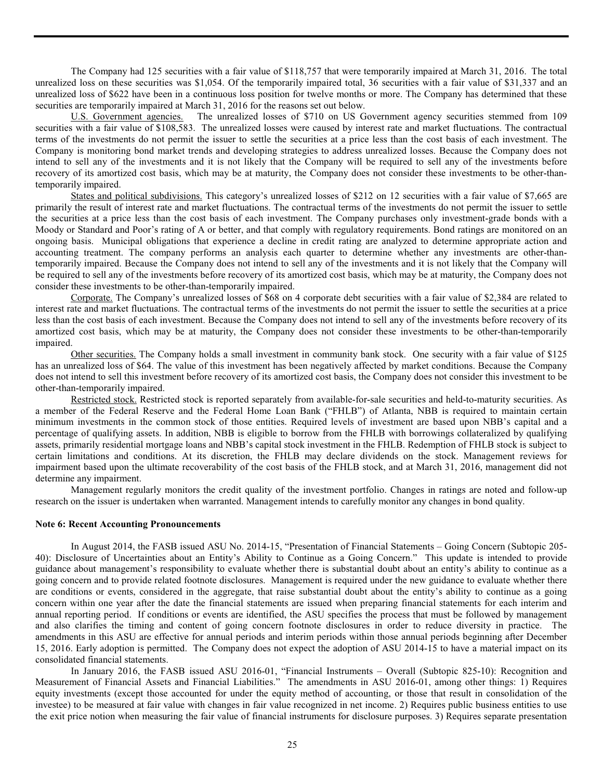The Company had 125 securities with a fair value of \$118,757 that were temporarily impaired at March 31, 2016. The total unrealized loss on these securities was \$1,054. Of the temporarily impaired total, 36 securities with a fair value of \$31,337 and an unrealized loss of \$622 have been in a continuous loss position for twelve months or more. The Company has determined that these securities are temporarily impaired at March 31, 2016 for the reasons set out below.

U.S. Government agencies. The unrealized losses of \$710 on US Government agency securities stemmed from 109 securities with a fair value of \$108,583. The unrealized losses were caused by interest rate and market fluctuations. The contractual terms of the investments do not permit the issuer to settle the securities at a price less than the cost basis of each investment. The Company is monitoring bond market trends and developing strategies to address unrealized losses. Because the Company does not intend to sell any of the investments and it is not likely that the Company will be required to sell any of the investments before recovery of its amortized cost basis, which may be at maturity, the Company does not consider these investments to be other-thantemporarily impaired.

States and political subdivisions. This category's unrealized losses of \$212 on 12 securities with a fair value of \$7,665 are primarily the result of interest rate and market fluctuations. The contractual terms of the investments do not permit the issuer to settle the securities at a price less than the cost basis of each investment. The Company purchases only investment-grade bonds with a Moody or Standard and Poor's rating of A or better, and that comply with regulatory requirements. Bond ratings are monitored on an ongoing basis. Municipal obligations that experience a decline in credit rating are analyzed to determine appropriate action and accounting treatment. The company performs an analysis each quarter to determine whether any investments are other-thantemporarily impaired. Because the Company does not intend to sell any of the investments and it is not likely that the Company will be required to sell any of the investments before recovery of its amortized cost basis, which may be at maturity, the Company does not consider these investments to be other-than-temporarily impaired.

Corporate. The Company's unrealized losses of \$68 on 4 corporate debt securities with a fair value of \$2,384 are related to interest rate and market fluctuations. The contractual terms of the investments do not permit the issuer to settle the securities at a price less than the cost basis of each investment. Because the Company does not intend to sell any of the investments before recovery of its amortized cost basis, which may be at maturity, the Company does not consider these investments to be other-than-temporarily impaired.

Other securities. The Company holds a small investment in community bank stock. One security with a fair value of \$125 has an unrealized loss of \$64. The value of this investment has been negatively affected by market conditions. Because the Company does not intend to sell this investment before recovery of its amortized cost basis, the Company does not consider this investment to be other-than-temporarily impaired.

Restricted stock. Restricted stock is reported separately from available-for-sale securities and held-to-maturity securities. As a member of the Federal Reserve and the Federal Home Loan Bank ("FHLB") of Atlanta, NBB is required to maintain certain minimum investments in the common stock of those entities. Required levels of investment are based upon NBB's capital and a percentage of qualifying assets. In addition, NBB is eligible to borrow from the FHLB with borrowings collateralized by qualifying assets, primarily residential mortgage loans and NBB's capital stock investment in the FHLB. Redemption of FHLB stock is subject to certain limitations and conditions. At its discretion, the FHLB may declare dividends on the stock. Management reviews for impairment based upon the ultimate recoverability of the cost basis of the FHLB stock, and at March 31, 2016, management did not determine any impairment.

Management regularly monitors the credit quality of the investment portfolio. Changes in ratings are noted and follow-up research on the issuer is undertaken when warranted. Management intends to carefully monitor any changes in bond quality.

#### **Note 6: Recent Accounting Pronouncements**

In August 2014, the FASB issued ASU No. 2014-15, "Presentation of Financial Statements – Going Concern (Subtopic 205- 40): Disclosure of Uncertainties about an Entity's Ability to Continue as a Going Concern." This update is intended to provide guidance about management's responsibility to evaluate whether there is substantial doubt about an entity's ability to continue as a going concern and to provide related footnote disclosures. Management is required under the new guidance to evaluate whether there are conditions or events, considered in the aggregate, that raise substantial doubt about the entity's ability to continue as a going concern within one year after the date the financial statements are issued when preparing financial statements for each interim and annual reporting period. If conditions or events are identified, the ASU specifies the process that must be followed by management and also clarifies the timing and content of going concern footnote disclosures in order to reduce diversity in practice. The amendments in this ASU are effective for annual periods and interim periods within those annual periods beginning after December 15, 2016. Early adoption is permitted. The Company does not expect the adoption of ASU 2014-15 to have a material impact on its consolidated financial statements.

In January 2016, the FASB issued ASU 2016-01, "Financial Instruments – Overall (Subtopic 825-10): Recognition and Measurement of Financial Assets and Financial Liabilities." The amendments in ASU 2016-01, among other things: 1) Requires equity investments (except those accounted for under the equity method of accounting, or those that result in consolidation of the investee) to be measured at fair value with changes in fair value recognized in net income. 2) Requires public business entities to use the exit price notion when measuring the fair value of financial instruments for disclosure purposes. 3) Requires separate presentation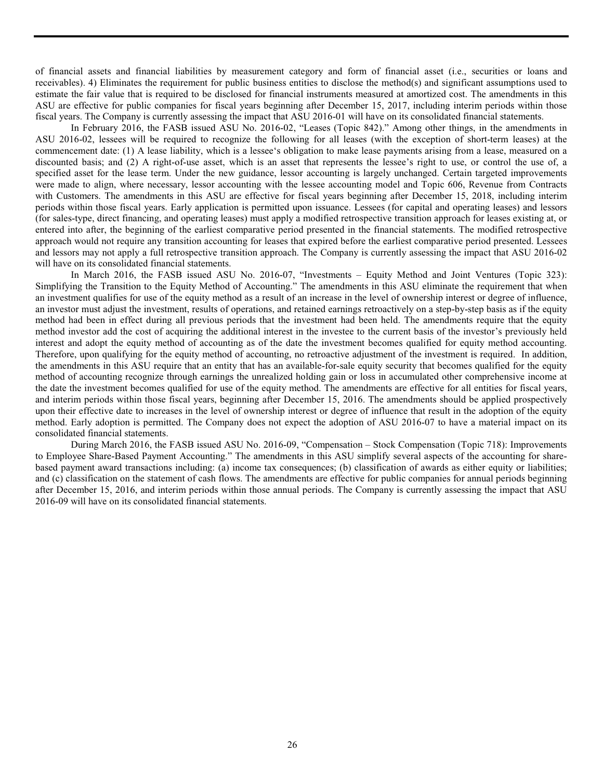of financial assets and financial liabilities by measurement category and form of financial asset (i.e., securities or loans and receivables). 4) Eliminates the requirement for public business entities to disclose the method(s) and significant assumptions used to estimate the fair value that is required to be disclosed for financial instruments measured at amortized cost. The amendments in this ASU are effective for public companies for fiscal years beginning after December 15, 2017, including interim periods within those fiscal years. The Company is currently assessing the impact that ASU 2016-01 will have on its consolidated financial statements.

In February 2016, the FASB issued ASU No. 2016-02, "Leases (Topic 842)." Among other things, in the amendments in ASU 2016-02, lessees will be required to recognize the following for all leases (with the exception of short-term leases) at the commencement date: (1) A lease liability, which is a lessee's obligation to make lease payments arising from a lease, measured on a discounted basis; and (2) A right-of-use asset, which is an asset that represents the lessee's right to use, or control the use of, a specified asset for the lease term. Under the new guidance, lessor accounting is largely unchanged. Certain targeted improvements were made to align, where necessary, lessor accounting with the lessee accounting model and Topic 606, Revenue from Contracts with Customers. The amendments in this ASU are effective for fiscal years beginning after December 15, 2018, including interim periods within those fiscal years. Early application is permitted upon issuance. Lessees (for capital and operating leases) and lessors (for sales-type, direct financing, and operating leases) must apply a modified retrospective transition approach for leases existing at, or entered into after, the beginning of the earliest comparative period presented in the financial statements. The modified retrospective approach would not require any transition accounting for leases that expired before the earliest comparative period presented. Lessees and lessors may not apply a full retrospective transition approach. The Company is currently assessing the impact that ASU 2016-02 will have on its consolidated financial statements.

In March 2016, the FASB issued ASU No. 2016-07, "Investments – Equity Method and Joint Ventures (Topic 323): Simplifying the Transition to the Equity Method of Accounting." The amendments in this ASU eliminate the requirement that when an investment qualifies for use of the equity method as a result of an increase in the level of ownership interest or degree of influence, an investor must adjust the investment, results of operations, and retained earnings retroactively on a step-by-step basis as if the equity method had been in effect during all previous periods that the investment had been held. The amendments require that the equity method investor add the cost of acquiring the additional interest in the investee to the current basis of the investor's previously held interest and adopt the equity method of accounting as of the date the investment becomes qualified for equity method accounting. Therefore, upon qualifying for the equity method of accounting, no retroactive adjustment of the investment is required. In addition, the amendments in this ASU require that an entity that has an available-for-sale equity security that becomes qualified for the equity method of accounting recognize through earnings the unrealized holding gain or loss in accumulated other comprehensive income at the date the investment becomes qualified for use of the equity method. The amendments are effective for all entities for fiscal years, and interim periods within those fiscal years, beginning after December 15, 2016. The amendments should be applied prospectively upon their effective date to increases in the level of ownership interest or degree of influence that result in the adoption of the equity method. Early adoption is permitted. The Company does not expect the adoption of ASU 2016-07 to have a material impact on its consolidated financial statements.

During March 2016, the FASB issued ASU No. 2016-09, "Compensation – Stock Compensation (Topic 718): Improvements to Employee Share-Based Payment Accounting." The amendments in this ASU simplify several aspects of the accounting for sharebased payment award transactions including: (a) income tax consequences; (b) classification of awards as either equity or liabilities; and (c) classification on the statement of cash flows. The amendments are effective for public companies for annual periods beginning after December 15, 2016, and interim periods within those annual periods. The Company is currently assessing the impact that ASU 2016-09 will have on its consolidated financial statements.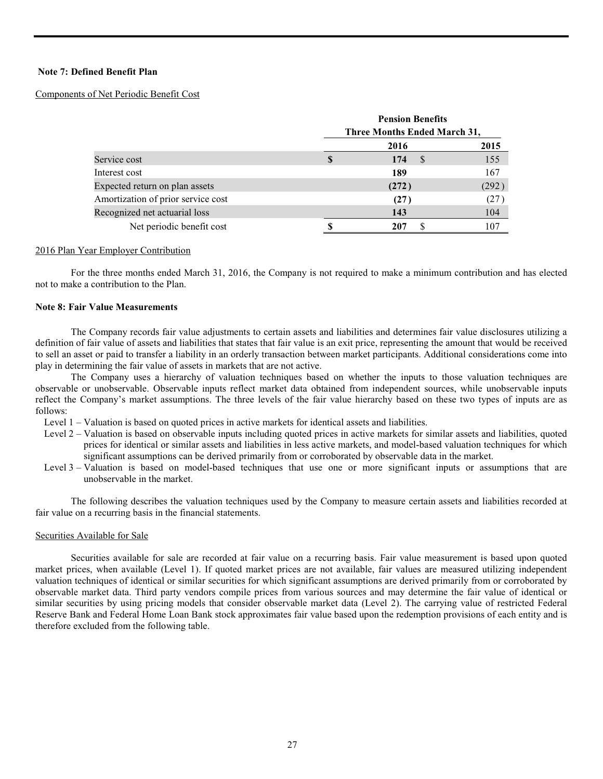# **Note 7: Defined Benefit Plan**

# Components of Net Periodic Benefit Cost

|                                    |   | <b>Pension Benefits</b><br>Three Months Ended March 31, |       |  |  |  |  |
|------------------------------------|---|---------------------------------------------------------|-------|--|--|--|--|
|                                    |   |                                                         |       |  |  |  |  |
|                                    |   | 2016                                                    | 2015  |  |  |  |  |
| Service cost                       | S | <sup>S</sup><br>174                                     | 155   |  |  |  |  |
| Interest cost                      |   | 189                                                     | 167   |  |  |  |  |
| Expected return on plan assets     |   | (272)                                                   | (292) |  |  |  |  |
| Amortization of prior service cost |   | (27)                                                    | (27)  |  |  |  |  |
| Recognized net actuarial loss      |   | 143                                                     | 104   |  |  |  |  |
| Net periodic benefit cost          |   | 207                                                     | 107   |  |  |  |  |

# 2016 Plan Year Employer Contribution

For the three months ended March 31, 2016, the Company is not required to make a minimum contribution and has elected not to make a contribution to the Plan.

# **Note 8: Fair Value Measurements**

The Company records fair value adjustments to certain assets and liabilities and determines fair value disclosures utilizing a definition of fair value of assets and liabilities that states that fair value is an exit price, representing the amount that would be received to sell an asset or paid to transfer a liability in an orderly transaction between market participants. Additional considerations come into play in determining the fair value of assets in markets that are not active.

The Company uses a hierarchy of valuation techniques based on whether the inputs to those valuation techniques are observable or unobservable. Observable inputs reflect market data obtained from independent sources, while unobservable inputs reflect the Company's market assumptions. The three levels of the fair value hierarchy based on these two types of inputs are as follows:

- Level 1 Valuation is based on quoted prices in active markets for identical assets and liabilities.
- Level 2 Valuation is based on observable inputs including quoted prices in active markets for similar assets and liabilities, quoted prices for identical or similar assets and liabilities in less active markets, and model-based valuation techniques for which significant assumptions can be derived primarily from or corroborated by observable data in the market.
- Level 3 Valuation is based on model-based techniques that use one or more significant inputs or assumptions that are unobservable in the market.

The following describes the valuation techniques used by the Company to measure certain assets and liabilities recorded at fair value on a recurring basis in the financial statements.

# Securities Available for Sale

Securities available for sale are recorded at fair value on a recurring basis. Fair value measurement is based upon quoted market prices, when available (Level 1). If quoted market prices are not available, fair values are measured utilizing independent valuation techniques of identical or similar securities for which significant assumptions are derived primarily from or corroborated by observable market data. Third party vendors compile prices from various sources and may determine the fair value of identical or similar securities by using pricing models that consider observable market data (Level 2). The carrying value of restricted Federal Reserve Bank and Federal Home Loan Bank stock approximates fair value based upon the redemption provisions of each entity and is therefore excluded from the following table.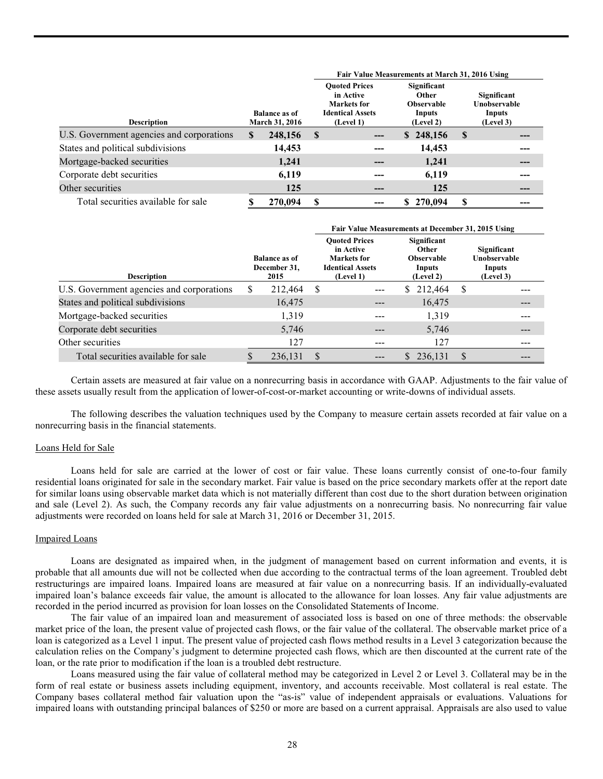|                                           |                                               |         |    | Fair Value Measurements at March 31, 2016 Using                  |  |                      |    |                                                                  |  |                                                    |  |
|-------------------------------------------|-----------------------------------------------|---------|----|------------------------------------------------------------------|--|----------------------|----|------------------------------------------------------------------|--|----------------------------------------------------|--|
| <b>Description</b>                        | <b>Balance as of</b><br><b>March 31, 2016</b> |         |    | in Active<br>Markets for<br><b>Identical Assets</b><br>(Level 1) |  | <b>Ouoted Prices</b> |    | Significant<br>Other<br><b>Observable</b><br>Inputs<br>(Level 2) |  | Significant<br>Unobservable<br>Inputs<br>(Level 3) |  |
| U.S. Government agencies and corporations | <sup>\$</sup>                                 | 248,156 | -S | ---                                                              |  | \$248,156            | -S |                                                                  |  |                                                    |  |
| States and political subdivisions         |                                               | 14,453  |    | ---                                                              |  | 14,453               |    |                                                                  |  |                                                    |  |
| Mortgage-backed securities                |                                               | 1,241   |    | ---                                                              |  | 1,241                |    |                                                                  |  |                                                    |  |
| Corporate debt securities                 |                                               | 6,119   |    | ---                                                              |  | 6,119                |    |                                                                  |  |                                                    |  |
| Other securities                          |                                               | 125     |    | ---                                                              |  | 125                  |    |                                                                  |  |                                                    |  |
| Total securities available for sale       | S                                             | 270,094 | S  |                                                                  |  | \$270,094            | S  |                                                                  |  |                                                    |  |

|                                           |                                              |    |                                                                                          |                                                                         | Fair Value Measurements at December 31, 2015 Using |                                                    |  |  |
|-------------------------------------------|----------------------------------------------|----|------------------------------------------------------------------------------------------|-------------------------------------------------------------------------|----------------------------------------------------|----------------------------------------------------|--|--|
| <b>Description</b>                        | <b>Balance as of</b><br>December 31,<br>2015 |    | <b>Ouoted Prices</b><br>in Active<br>Markets for<br><b>Identical Assets</b><br>(Level 1) | Significant<br><b>Other</b><br><b>Observable</b><br>Inputs<br>(Level 2) |                                                    | Significant<br>Unobservable<br>Inputs<br>(Level 3) |  |  |
| U.S. Government agencies and corporations | \$<br>212,464                                | -S | $---$                                                                                    | \$212,464                                                               | S                                                  |                                                    |  |  |
| States and political subdivisions         | 16,475                                       |    | ---                                                                                      | 16,475                                                                  |                                                    | ---                                                |  |  |
| Mortgage-backed securities                | 1,319                                        |    |                                                                                          | 1,319                                                                   |                                                    |                                                    |  |  |
| Corporate debt securities                 | 5,746                                        |    | ---                                                                                      | 5,746                                                                   |                                                    |                                                    |  |  |
| Other securities                          | 127                                          |    | ---                                                                                      | 127                                                                     |                                                    | ---                                                |  |  |
| Total securities available for sale       | 236,131                                      | S  |                                                                                          | 236,131<br>S.                                                           | S                                                  |                                                    |  |  |

Certain assets are measured at fair value on a nonrecurring basis in accordance with GAAP. Adjustments to the fair value of these assets usually result from the application of lower-of-cost-or-market accounting or write-downs of individual assets.

The following describes the valuation techniques used by the Company to measure certain assets recorded at fair value on a nonrecurring basis in the financial statements.

#### Loans Held for Sale

Loans held for sale are carried at the lower of cost or fair value. These loans currently consist of one-to-four family residential loans originated for sale in the secondary market. Fair value is based on the price secondary markets offer at the report date for similar loans using observable market data which is not materially different than cost due to the short duration between origination and sale (Level 2). As such, the Company records any fair value adjustments on a nonrecurring basis. No nonrecurring fair value adjustments were recorded on loans held for sale at March 31, 2016 or December 31, 2015.

#### Impaired Loans

Loans are designated as impaired when, in the judgment of management based on current information and events, it is probable that all amounts due will not be collected when due according to the contractual terms of the loan agreement. Troubled debt restructurings are impaired loans. Impaired loans are measured at fair value on a nonrecurring basis. If an individually-evaluated impaired loan's balance exceeds fair value, the amount is allocated to the allowance for loan losses. Any fair value adjustments are recorded in the period incurred as provision for loan losses on the Consolidated Statements of Income.

The fair value of an impaired loan and measurement of associated loss is based on one of three methods: the observable market price of the loan, the present value of projected cash flows, or the fair value of the collateral. The observable market price of a loan is categorized as a Level 1 input. The present value of projected cash flows method results in a Level 3 categorization because the calculation relies on the Company's judgment to determine projected cash flows, which are then discounted at the current rate of the loan, or the rate prior to modification if the loan is a troubled debt restructure.

Loans measured using the fair value of collateral method may be categorized in Level 2 or Level 3. Collateral may be in the form of real estate or business assets including equipment, inventory, and accounts receivable. Most collateral is real estate. The Company bases collateral method fair valuation upon the "as-is" value of independent appraisals or evaluations. Valuations for impaired loans with outstanding principal balances of \$250 or more are based on a current appraisal. Appraisals are also used to value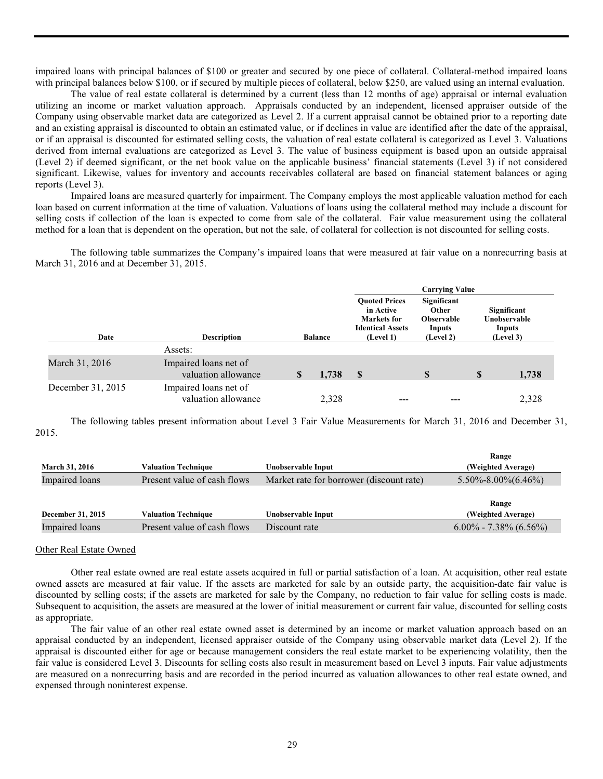impaired loans with principal balances of \$100 or greater and secured by one piece of collateral. Collateral-method impaired loans with principal balances below \$100, or if secured by multiple pieces of collateral, below \$250, are valued using an internal evaluation.

The value of real estate collateral is determined by a current (less than 12 months of age) appraisal or internal evaluation utilizing an income or market valuation approach. Appraisals conducted by an independent, licensed appraiser outside of the Company using observable market data are categorized as Level 2. If a current appraisal cannot be obtained prior to a reporting date and an existing appraisal is discounted to obtain an estimated value, or if declines in value are identified after the date of the appraisal, or if an appraisal is discounted for estimated selling costs, the valuation of real estate collateral is categorized as Level 3. Valuations derived from internal evaluations are categorized as Level 3. The value of business equipment is based upon an outside appraisal (Level 2) if deemed significant, or the net book value on the applicable business' financial statements (Level 3) if not considered significant. Likewise, values for inventory and accounts receivables collateral are based on financial statement balances or aging reports (Level 3).

Impaired loans are measured quarterly for impairment. The Company employs the most applicable valuation method for each loan based on current information at the time of valuation. Valuations of loans using the collateral method may include a discount for selling costs if collection of the loan is expected to come from sale of the collateral. Fair value measurement using the collateral method for a loan that is dependent on the operation, but not the sale, of collateral for collection is not discounted for selling costs.

The following table summarizes the Company's impaired loans that were measured at fair value on a nonrecurring basis at March 31, 2016 and at December 31, 2015.

|                   |                                              |                |       |                                                                                                 | <b>Carrying Value</b>                                                   |    |                                                    |  |  |
|-------------------|----------------------------------------------|----------------|-------|-------------------------------------------------------------------------------------------------|-------------------------------------------------------------------------|----|----------------------------------------------------|--|--|
| Date              | <b>Description</b>                           | <b>Balance</b> |       | <b>Ouoted Prices</b><br>in Active<br><b>Markets</b> for<br><b>Identical Assets</b><br>(Level 1) | Significant<br><b>Other</b><br><b>Observable</b><br>Inputs<br>(Level 2) |    | Significant<br>Unobservable<br>Inputs<br>(Level 3) |  |  |
|                   | Assets:                                      |                |       |                                                                                                 |                                                                         |    |                                                    |  |  |
| March 31, 2016    | Impaired loans net of<br>valuation allowance | J.             | 1,738 | <b>S</b>                                                                                        | <sup>\$</sup>                                                           | \$ | 1,738                                              |  |  |
| December 31, 2015 | Impaired loans net of<br>valuation allowance |                | 2,328 | ---                                                                                             | $- - -$                                                                 |    | 2,328                                              |  |  |

The following tables present information about Level 3 Fair Value Measurements for March 31, 2016 and December 31, 2015.

|                       |                             |                                          | Range                       |
|-----------------------|-----------------------------|------------------------------------------|-----------------------------|
| <b>March 31, 2016</b> | <b>Valuation Technique</b>  | Unobservable Input                       | (Weighted Average)          |
| <b>Impaired</b> loans | Present value of cash flows | Market rate for borrower (discount rate) | $5.50\% - 8.00\% (6.46\%)$  |
|                       |                             |                                          |                             |
|                       |                             |                                          | Range                       |
| December 31, 2015     | <b>Valuation Technique</b>  | Unobservable Input                       | (Weighted Average)          |
| <b>Impaired</b> loans | Present value of cash flows | Discount rate                            | $6.00\%$ - 7.38% $(6.56\%)$ |

#### Other Real Estate Owned

Other real estate owned are real estate assets acquired in full or partial satisfaction of a loan. At acquisition, other real estate owned assets are measured at fair value. If the assets are marketed for sale by an outside party, the acquisition-date fair value is discounted by selling costs; if the assets are marketed for sale by the Company, no reduction to fair value for selling costs is made. Subsequent to acquisition, the assets are measured at the lower of initial measurement or current fair value, discounted for selling costs as appropriate.

The fair value of an other real estate owned asset is determined by an income or market valuation approach based on an appraisal conducted by an independent, licensed appraiser outside of the Company using observable market data (Level 2). If the appraisal is discounted either for age or because management considers the real estate market to be experiencing volatility, then the fair value is considered Level 3. Discounts for selling costs also result in measurement based on Level 3 inputs. Fair value adjustments are measured on a nonrecurring basis and are recorded in the period incurred as valuation allowances to other real estate owned, and expensed through noninterest expense.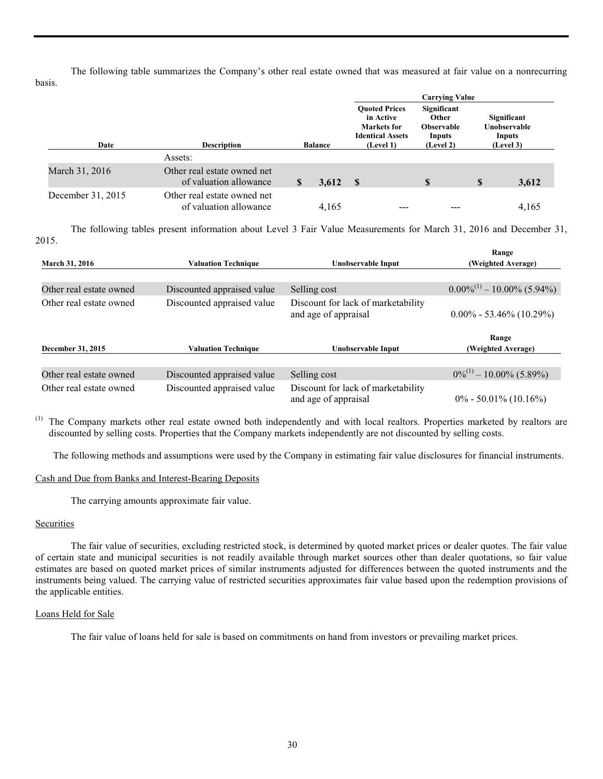The following table summarizes the Company's other real estate owned that was measured at fair value on a nonrecurring basis.

|                   |                                                       |                |       |                                                                                          | <b>Carrying Value</b>                                                   |                                                    |
|-------------------|-------------------------------------------------------|----------------|-------|------------------------------------------------------------------------------------------|-------------------------------------------------------------------------|----------------------------------------------------|
| Date              | <b>Description</b>                                    | <b>Balance</b> |       | <b>Ouoted Prices</b><br>in Active<br>Markets for<br><b>Identical Assets</b><br>(Level 1) | Significant<br><b>Other</b><br><b>Observable</b><br>Inputs<br>(Level 2) | Significant<br>Unobservable<br>Inputs<br>(Level 3) |
|                   | Assets:                                               |                |       |                                                                                          |                                                                         |                                                    |
| March 31, 2016    | Other real estate owned net<br>of valuation allowance | S              | 3,612 | -S                                                                                       | S                                                                       | \$<br>3,612                                        |
| December 31, 2015 | Other real estate owned net<br>of valuation allowance |                | 4.165 | ---                                                                                      |                                                                         | 4.165                                              |

The following tables present information about Level 3 Fair Value Measurements for March 31, 2016 and December 31, 2015.

|                         |                            |                                                            | Range                            |
|-------------------------|----------------------------|------------------------------------------------------------|----------------------------------|
| <b>March 31, 2016</b>   | <b>Valuation Technique</b> | Unobservable Input                                         | (Weighted Average)               |
|                         |                            |                                                            |                                  |
| Other real estate owned | Discounted appraised value | Selling cost                                               | $0.00\%^{(1)} - 10.00\%$ (5.94%) |
| Other real estate owned | Discounted appraised value | Discount for lack of marketability<br>and age of appraisal | $0.00\%$ - 53.46% (10.29%)       |
| December 31, 2015       | <b>Valuation Technique</b> | Unobservable Input                                         | Range<br>(Weighted Average)      |
|                         |                            |                                                            |                                  |
| Other real estate owned | Discounted appraised value | Selling cost                                               | $0\%^{(1)} - 10.00\%$ (5.89%)    |
| Other real estate owned | Discounted appraised value | Discount for lack of marketability<br>and age of appraisal | $0\% - 50.01\%$ (10.16%)         |

<sup>(1)</sup> The Company markets other real estate owned both independently and with local realtors. Properties marketed by realtors are discounted by selling costs. Properties that the Company markets independently are not discounted by selling costs.

The following methods and assumptions were used by the Company in estimating fair value disclosures for financial instruments.

## Cash and Due from Banks and Interest-Bearing Deposits

The carrying amounts approximate fair value.

## **Securities**

The fair value of securities, excluding restricted stock, is determined by quoted market prices or dealer quotes. The fair value of certain state and municipal securities is not readily available through market sources other than dealer quotations, so fair value estimates are based on quoted market prices of similar instruments adjusted for differences between the quoted instruments and the instruments being valued. The carrying value of restricted securities approximates fair value based upon the redemption provisions of the applicable entities.

## Loans Held for Sale

The fair value of loans held for sale is based on commitments on hand from investors or prevailing market prices.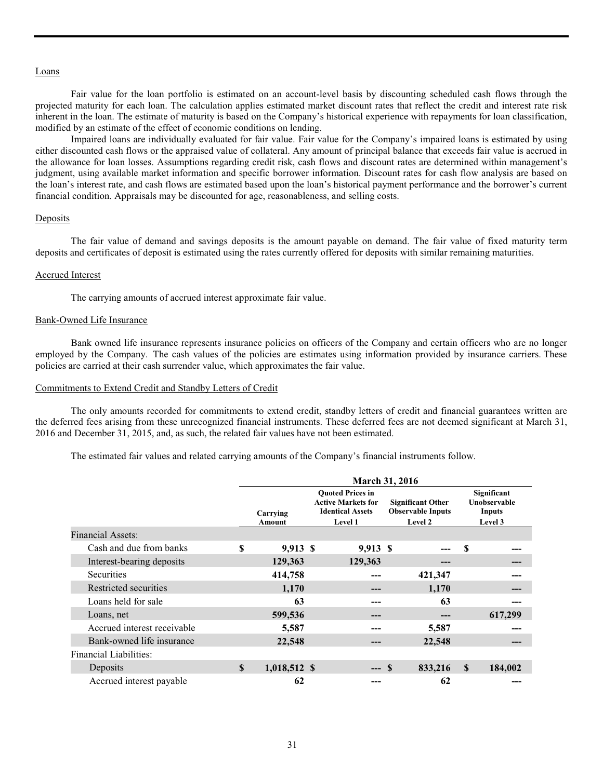#### Loans

Fair value for the loan portfolio is estimated on an account-level basis by discounting scheduled cash flows through the projected maturity for each loan. The calculation applies estimated market discount rates that reflect the credit and interest rate risk inherent in the loan. The estimate of maturity is based on the Company's historical experience with repayments for loan classification, modified by an estimate of the effect of economic conditions on lending.

Impaired loans are individually evaluated for fair value. Fair value for the Company's impaired loans is estimated by using either discounted cash flows or the appraised value of collateral. Any amount of principal balance that exceeds fair value is accrued in the allowance for loan losses. Assumptions regarding credit risk, cash flows and discount rates are determined within management's judgment, using available market information and specific borrower information. Discount rates for cash flow analysis are based on the loan's interest rate, and cash flows are estimated based upon the loan's historical payment performance and the borrower's current financial condition. Appraisals may be discounted for age, reasonableness, and selling costs.

#### **Deposits**

The fair value of demand and savings deposits is the amount payable on demand. The fair value of fixed maturity term deposits and certificates of deposit is estimated using the rates currently offered for deposits with similar remaining maturities.

## Accrued Interest

The carrying amounts of accrued interest approximate fair value.

# Bank-Owned Life Insurance

Bank owned life insurance represents insurance policies on officers of the Company and certain officers who are no longer employed by the Company. The cash values of the policies are estimates using information provided by insurance carriers. These policies are carried at their cash surrender value, which approximates the fair value.

#### Commitments to Extend Credit and Standby Letters of Credit

The only amounts recorded for commitments to extend credit, standby letters of credit and financial guarantees written are the deferred fees arising from these unrecognized financial instruments. These deferred fees are not deemed significant at March 31, 2016 and December 31, 2015, and, as such, the related fair values have not been estimated.

The estimated fair values and related carrying amounts of the Company's financial instruments follow.

|                               |                    |                                                                                            | March 31, 2016                                                  |               |                                                  |
|-------------------------------|--------------------|--------------------------------------------------------------------------------------------|-----------------------------------------------------------------|---------------|--------------------------------------------------|
|                               | Carrying<br>Amount | <b>Ouoted Prices in</b><br><b>Active Markets for</b><br><b>Identical Assets</b><br>Level 1 | <b>Significant Other</b><br><b>Observable Inputs</b><br>Level 2 |               | Significant<br>Unobservable<br>Inputs<br>Level 3 |
| <b>Financial Assets:</b>      |                    |                                                                                            |                                                                 |               |                                                  |
| Cash and due from banks       | \$<br>9,913 \$     | $9,913$ \$                                                                                 | ---                                                             | S             | ---                                              |
| Interest-bearing deposits     | 129,363            | 129,363                                                                                    |                                                                 |               |                                                  |
| Securities                    | 414,758            |                                                                                            | 421,347                                                         |               |                                                  |
| Restricted securities         | 1,170              | ---                                                                                        | 1,170                                                           |               | ---                                              |
| Loans held for sale           | 63                 |                                                                                            | 63                                                              |               |                                                  |
| Loans, net                    | 599,536            | ---                                                                                        |                                                                 |               | 617,299                                          |
| Accrued interest receivable   | 5,587              | ---                                                                                        | 5,587                                                           |               | ---                                              |
| Bank-owned life insurance     | 22,548             |                                                                                            | 22,548                                                          |               | ---                                              |
| <b>Financial Liabilities:</b> |                    |                                                                                            |                                                                 |               |                                                  |
| Deposits                      | \$<br>1,018,512 \$ | ---                                                                                        | 833,216<br>- \$                                                 | <sup>\$</sup> | 184,002                                          |
| Accrued interest payable      | 62                 |                                                                                            | 62                                                              |               |                                                  |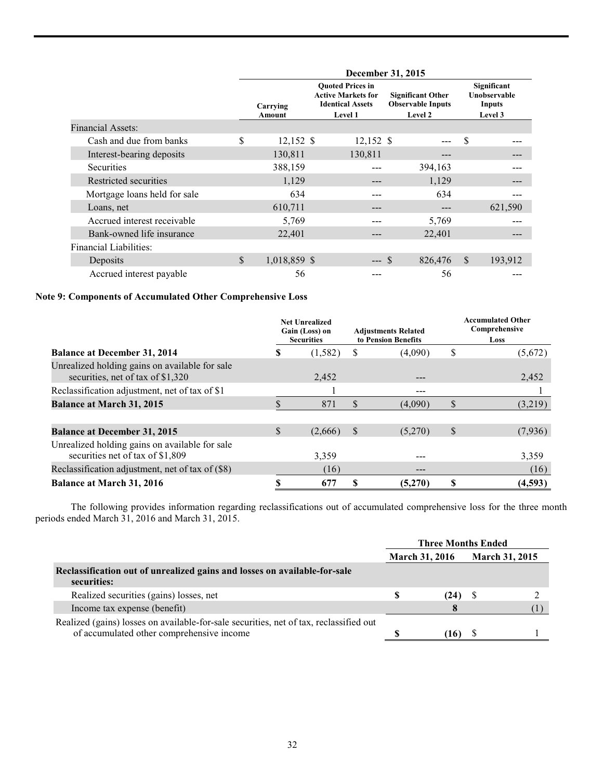|                               | December 31, 2015 |                    |                                                                                            |                                                                 |              |                                                  |  |  |  |
|-------------------------------|-------------------|--------------------|--------------------------------------------------------------------------------------------|-----------------------------------------------------------------|--------------|--------------------------------------------------|--|--|--|
|                               |                   | Carrying<br>Amount | <b>Ouoted Prices in</b><br><b>Active Markets for</b><br><b>Identical Assets</b><br>Level 1 | <b>Significant Other</b><br><b>Observable Inputs</b><br>Level 2 |              | Significant<br>Unobservable<br>Inputs<br>Level 3 |  |  |  |
| <b>Financial Assets:</b>      |                   |                    |                                                                                            |                                                                 |              |                                                  |  |  |  |
| Cash and due from banks       | \$                | 12,152 \$          | 12,152 \$                                                                                  |                                                                 | \$           |                                                  |  |  |  |
| Interest-bearing deposits     |                   | 130,811            | 130,811                                                                                    | ---                                                             |              |                                                  |  |  |  |
| Securities                    |                   | 388,159            |                                                                                            | 394,163                                                         |              |                                                  |  |  |  |
| Restricted securities         |                   | 1,129              | ---                                                                                        | 1,129                                                           |              |                                                  |  |  |  |
| Mortgage loans held for sale  |                   | 634                |                                                                                            | 634                                                             |              |                                                  |  |  |  |
| Loans, net                    |                   | 610,711            | ---                                                                                        |                                                                 |              | 621,590                                          |  |  |  |
| Accrued interest receivable   |                   | 5,769              |                                                                                            | 5,769                                                           |              |                                                  |  |  |  |
| Bank-owned life insurance     |                   | 22,401             |                                                                                            | 22,401                                                          |              |                                                  |  |  |  |
| <b>Financial Liabilities:</b> |                   |                    |                                                                                            |                                                                 |              |                                                  |  |  |  |
| Deposits                      | $\mathbb{S}$      | 1,018,859 \$       | $--$ S                                                                                     | 826,476                                                         | $\mathbb{S}$ | 193,912                                          |  |  |  |
| Accrued interest payable      |                   | 56                 |                                                                                            | 56                                                              |              |                                                  |  |  |  |

# **Note 9: Components of Accumulated Other Comprehensive Loss**

|                                                                                     | <b>Net Unrealized</b><br>Gain (Loss) on<br><b>Securities</b> |         |    | <b>Adjustments Related</b><br>to Pension Benefits | <b>Accumulated Other</b><br>Comprehensive<br>Loss |         |  |
|-------------------------------------------------------------------------------------|--------------------------------------------------------------|---------|----|---------------------------------------------------|---------------------------------------------------|---------|--|
| <b>Balance at December 31, 2014</b>                                                 | S                                                            | (1,582) | S  | (4,090)                                           | \$                                                | (5,672) |  |
| Unrealized holding gains on available for sale<br>securities, net of tax of \$1,320 |                                                              | 2,452   |    |                                                   |                                                   | 2,452   |  |
| Reclassification adjustment, net of tax of \$1                                      |                                                              |         |    |                                                   |                                                   |         |  |
| <b>Balance at March 31, 2015</b>                                                    |                                                              | 871     | \$ | (4.090)                                           | \$                                                | (3,219) |  |
|                                                                                     |                                                              |         |    |                                                   |                                                   |         |  |
| <b>Balance at December 31, 2015</b>                                                 | \$                                                           | (2,666) | S  | (5,270)                                           | \$                                                | (7,936) |  |
| Unrealized holding gains on available for sale<br>securities net of tax of \$1,809  |                                                              | 3,359   |    |                                                   |                                                   | 3,359   |  |
| Reclassification adjustment, net of tax of (\$8)                                    |                                                              | (16)    |    |                                                   |                                                   | (16)    |  |
| <b>Balance at March 31, 2016</b>                                                    |                                                              | 677     |    | (5,270)                                           | S                                                 | (4,593) |  |

The following provides information regarding reclassifications out of accumulated comprehensive loss for the three month periods ended March 31, 2016 and March 31, 2015.

|                                                                                                                                     | <b>Three Months Ended</b> |                       |  |                       |  |
|-------------------------------------------------------------------------------------------------------------------------------------|---------------------------|-----------------------|--|-----------------------|--|
|                                                                                                                                     |                           | <b>March 31, 2016</b> |  | <b>March 31, 2015</b> |  |
| Reclassification out of unrealized gains and losses on available-for-sale<br>securities:                                            |                           |                       |  |                       |  |
| Realized securities (gains) losses, net                                                                                             |                           | (24)                  |  |                       |  |
| Income tax expense (benefit)                                                                                                        |                           | 8                     |  |                       |  |
| Realized (gains) losses on available-for-sale securities, net of tax, reclassified out<br>of accumulated other comprehensive income |                           | (16)                  |  |                       |  |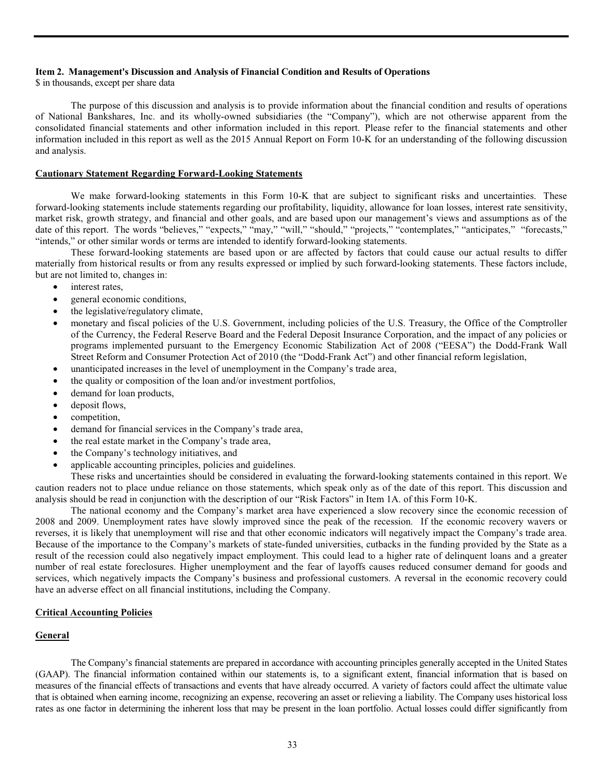# <span id="page-32-0"></span>**Item 2. Management's Discussion and Analysis of Financial Condition and Results of Operations**

\$ in thousands, except per share data

The purpose of this discussion and analysis is to provide information about the financial condition and results of operations of National Bankshares, Inc. and its wholly-owned subsidiaries (the "Company"), which are not otherwise apparent from the consolidated financial statements and other information included in this report. Please refer to the financial statements and other information included in this report as well as the 2015 Annual Report on Form 10-K for an understanding of the following discussion and analysis.

# **Cautionary Statement Regarding Forward-Looking Statements**

We make forward-looking statements in this Form 10-K that are subject to significant risks and uncertainties. These forward-looking statements include statements regarding our profitability, liquidity, allowance for loan losses, interest rate sensitivity, market risk, growth strategy, and financial and other goals, and are based upon our management's views and assumptions as of the date of this report. The words "believes," "expects," "may," "will," "should," "projects," "contemplates," "anticipates," "forecasts," "intends," or other similar words or terms are intended to identify forward-looking statements.

These forward-looking statements are based upon or are affected by factors that could cause our actual results to differ materially from historical results or from any results expressed or implied by such forward-looking statements. These factors include, but are not limited to, changes in:

- interest rates,
- general economic conditions,
- the legislative/regulatory climate,
- monetary and fiscal policies of the U.S. Government, including policies of the U.S. Treasury, the Office of the Comptroller of the Currency, the Federal Reserve Board and the Federal Deposit Insurance Corporation, and the impact of any policies or programs implemented pursuant to the Emergency Economic Stabilization Act of 2008 ("EESA") the Dodd-Frank Wall Street Reform and Consumer Protection Act of 2010 (the "Dodd-Frank Act") and other financial reform legislation,
- unanticipated increases in the level of unemployment in the Company's trade area,
- the quality or composition of the loan and/or investment portfolios,
- demand for loan products,
- deposit flows,
- competition,
- demand for financial services in the Company's trade area,
- the real estate market in the Company's trade area,
- the Company's technology initiatives, and
- applicable accounting principles, policies and guidelines.

These risks and uncertainties should be considered in evaluating the forward-looking statements contained in this report. We caution readers not to place undue reliance on those statements, which speak only as of the date of this report. This discussion and analysis should be read in conjunction with the description of our "Risk Factors" in Item 1A. of this Form 10-K.

The national economy and the Company's market area have experienced a slow recovery since the economic recession of 2008 and 2009. Unemployment rates have slowly improved since the peak of the recession. If the economic recovery wavers or reverses, it is likely that unemployment will rise and that other economic indicators will negatively impact the Company's trade area. Because of the importance to the Company's markets of state-funded universities, cutbacks in the funding provided by the State as a result of the recession could also negatively impact employment. This could lead to a higher rate of delinquent loans and a greater number of real estate foreclosures. Higher unemployment and the fear of layoffs causes reduced consumer demand for goods and services, which negatively impacts the Company's business and professional customers. A reversal in the economic recovery could have an adverse effect on all financial institutions, including the Company.

#### **Critical Accounting Policies**

#### **General**

The Company's financial statements are prepared in accordance with accounting principles generally accepted in the United States (GAAP). The financial information contained within our statements is, to a significant extent, financial information that is based on measures of the financial effects of transactions and events that have already occurred. A variety of factors could affect the ultimate value that is obtained when earning income, recognizing an expense, recovering an asset or relieving a liability. The Company uses historical loss rates as one factor in determining the inherent loss that may be present in the loan portfolio. Actual losses could differ significantly from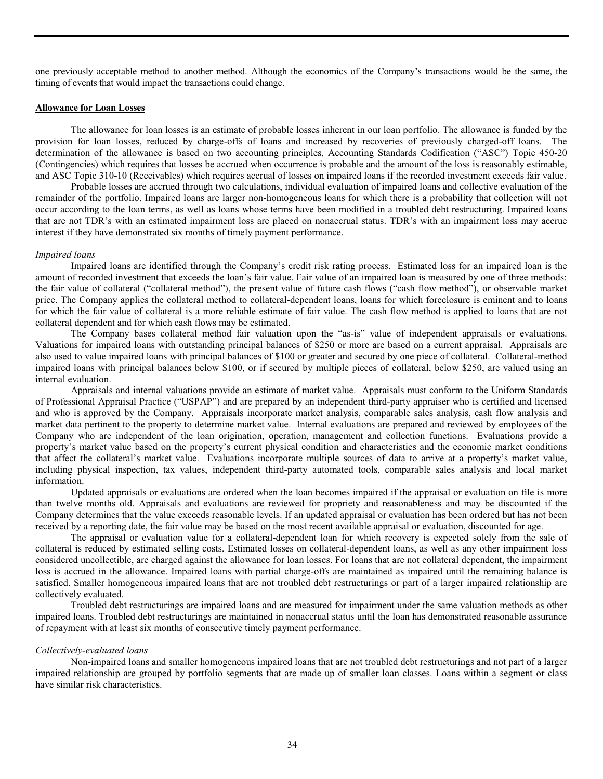one previously acceptable method to another method. Although the economics of the Company's transactions would be the same, the timing of events that would impact the transactions could change.

## **Allowance for Loan Losses**

The allowance for loan losses is an estimate of probable losses inherent in our loan portfolio. The allowance is funded by the provision for loan losses, reduced by charge-offs of loans and increased by recoveries of previously charged-off loans. The determination of the allowance is based on two accounting principles, Accounting Standards Codification ("ASC") Topic 450-20 (Contingencies) which requires that losses be accrued when occurrence is probable and the amount of the loss is reasonably estimable, and ASC Topic 310-10 (Receivables) which requires accrual of losses on impaired loans if the recorded investment exceeds fair value.

Probable losses are accrued through two calculations, individual evaluation of impaired loans and collective evaluation of the remainder of the portfolio. Impaired loans are larger non-homogeneous loans for which there is a probability that collection will not occur according to the loan terms, as well as loans whose terms have been modified in a troubled debt restructuring. Impaired loans that are not TDR's with an estimated impairment loss are placed on nonaccrual status. TDR's with an impairment loss may accrue interest if they have demonstrated six months of timely payment performance.

#### *Impaired loans*

Impaired loans are identified through the Company's credit risk rating process. Estimated loss for an impaired loan is the amount of recorded investment that exceeds the loan's fair value. Fair value of an impaired loan is measured by one of three methods: the fair value of collateral ("collateral method"), the present value of future cash flows ("cash flow method"), or observable market price. The Company applies the collateral method to collateral-dependent loans, loans for which foreclosure is eminent and to loans for which the fair value of collateral is a more reliable estimate of fair value. The cash flow method is applied to loans that are not collateral dependent and for which cash flows may be estimated.

The Company bases collateral method fair valuation upon the "as-is" value of independent appraisals or evaluations. Valuations for impaired loans with outstanding principal balances of \$250 or more are based on a current appraisal. Appraisals are also used to value impaired loans with principal balances of \$100 or greater and secured by one piece of collateral. Collateral-method impaired loans with principal balances below \$100, or if secured by multiple pieces of collateral, below \$250, are valued using an internal evaluation.

Appraisals and internal valuations provide an estimate of market value. Appraisals must conform to the Uniform Standards of Professional Appraisal Practice ("USPAP") and are prepared by an independent third-party appraiser who is certified and licensed and who is approved by the Company. Appraisals incorporate market analysis, comparable sales analysis, cash flow analysis and market data pertinent to the property to determine market value. Internal evaluations are prepared and reviewed by employees of the Company who are independent of the loan origination, operation, management and collection functions. Evaluations provide a property's market value based on the property's current physical condition and characteristics and the economic market conditions that affect the collateral's market value. Evaluations incorporate multiple sources of data to arrive at a property's market value, including physical inspection, tax values, independent third-party automated tools, comparable sales analysis and local market information.

Updated appraisals or evaluations are ordered when the loan becomes impaired if the appraisal or evaluation on file is more than twelve months old. Appraisals and evaluations are reviewed for propriety and reasonableness and may be discounted if the Company determines that the value exceeds reasonable levels. If an updated appraisal or evaluation has been ordered but has not been received by a reporting date, the fair value may be based on the most recent available appraisal or evaluation, discounted for age.

The appraisal or evaluation value for a collateral-dependent loan for which recovery is expected solely from the sale of collateral is reduced by estimated selling costs. Estimated losses on collateral-dependent loans, as well as any other impairment loss considered uncollectible, are charged against the allowance for loan losses. For loans that are not collateral dependent, the impairment loss is accrued in the allowance. Impaired loans with partial charge-offs are maintained as impaired until the remaining balance is satisfied. Smaller homogeneous impaired loans that are not troubled debt restructurings or part of a larger impaired relationship are collectively evaluated.

Troubled debt restructurings are impaired loans and are measured for impairment under the same valuation methods as other impaired loans. Troubled debt restructurings are maintained in nonaccrual status until the loan has demonstrated reasonable assurance of repayment with at least six months of consecutive timely payment performance.

#### *Collectively-evaluated loans*

Non-impaired loans and smaller homogeneous impaired loans that are not troubled debt restructurings and not part of a larger impaired relationship are grouped by portfolio segments that are made up of smaller loan classes. Loans within a segment or class have similar risk characteristics.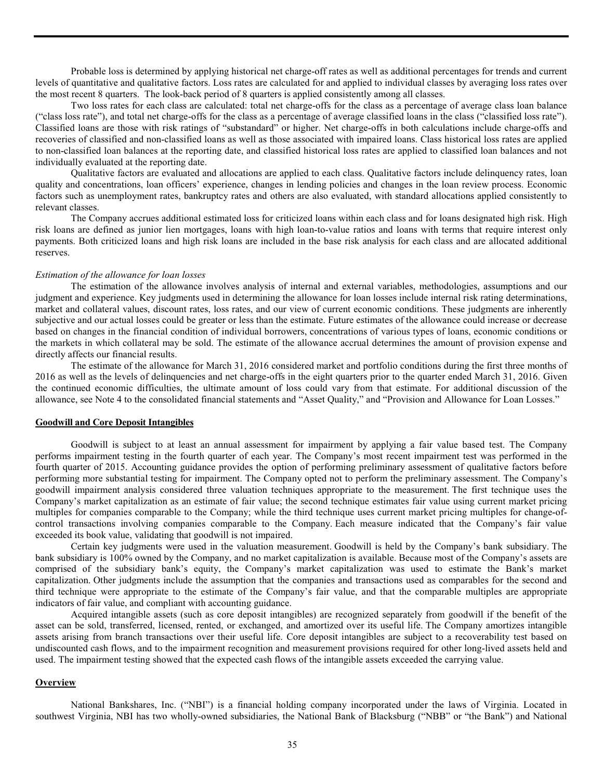Probable loss is determined by applying historical net charge-off rates as well as additional percentages for trends and current levels of quantitative and qualitative factors. Loss rates are calculated for and applied to individual classes by averaging loss rates over the most recent 8 quarters. The look-back period of 8 quarters is applied consistently among all classes.

Two loss rates for each class are calculated: total net charge-offs for the class as a percentage of average class loan balance ("class loss rate"), and total net charge-offs for the class as a percentage of average classified loans in the class ("classified loss rate"). Classified loans are those with risk ratings of "substandard" or higher. Net charge-offs in both calculations include charge-offs and recoveries of classified and non-classified loans as well as those associated with impaired loans. Class historical loss rates are applied to non-classified loan balances at the reporting date, and classified historical loss rates are applied to classified loan balances and not individually evaluated at the reporting date.

Qualitative factors are evaluated and allocations are applied to each class. Qualitative factors include delinquency rates, loan quality and concentrations, loan officers' experience, changes in lending policies and changes in the loan review process. Economic factors such as unemployment rates, bankruptcy rates and others are also evaluated, with standard allocations applied consistently to relevant classes.

The Company accrues additional estimated loss for criticized loans within each class and for loans designated high risk. High risk loans are defined as junior lien mortgages, loans with high loan-to-value ratios and loans with terms that require interest only payments. Both criticized loans and high risk loans are included in the base risk analysis for each class and are allocated additional reserves.

#### *Estimation of the allowance for loan losses*

The estimation of the allowance involves analysis of internal and external variables, methodologies, assumptions and our judgment and experience. Key judgments used in determining the allowance for loan losses include internal risk rating determinations, market and collateral values, discount rates, loss rates, and our view of current economic conditions. These judgments are inherently subjective and our actual losses could be greater or less than the estimate. Future estimates of the allowance could increase or decrease based on changes in the financial condition of individual borrowers, concentrations of various types of loans, economic conditions or the markets in which collateral may be sold. The estimate of the allowance accrual determines the amount of provision expense and directly affects our financial results.

The estimate of the allowance for March 31, 2016 considered market and portfolio conditions during the first three months of 2016 as well as the levels of delinquencies and net charge-offs in the eight quarters prior to the quarter ended March 31, 2016. Given the continued economic difficulties, the ultimate amount of loss could vary from that estimate. For additional discussion of the allowance, see Note 4 to the consolidated financial statements and "Asset Quality," and "Provision and Allowance for Loan Losses."

#### **Goodwill and Core Deposit Intangibles**

Goodwill is subject to at least an annual assessment for impairment by applying a fair value based test. The Company performs impairment testing in the fourth quarter of each year. The Company's most recent impairment test was performed in the fourth quarter of 2015. Accounting guidance provides the option of performing preliminary assessment of qualitative factors before performing more substantial testing for impairment. The Company opted not to perform the preliminary assessment. The Company's goodwill impairment analysis considered three valuation techniques appropriate to the measurement. The first technique uses the Company's market capitalization as an estimate of fair value; the second technique estimates fair value using current market pricing multiples for companies comparable to the Company; while the third technique uses current market pricing multiples for change-ofcontrol transactions involving companies comparable to the Company. Each measure indicated that the Company's fair value exceeded its book value, validating that goodwill is not impaired.

Certain key judgments were used in the valuation measurement. Goodwill is held by the Company's bank subsidiary. The bank subsidiary is 100% owned by the Company, and no market capitalization is available. Because most of the Company's assets are comprised of the subsidiary bank's equity, the Company's market capitalization was used to estimate the Bank's market capitalization. Other judgments include the assumption that the companies and transactions used as comparables for the second and third technique were appropriate to the estimate of the Company's fair value, and that the comparable multiples are appropriate indicators of fair value, and compliant with accounting guidance.

Acquired intangible assets (such as core deposit intangibles) are recognized separately from goodwill if the benefit of the asset can be sold, transferred, licensed, rented, or exchanged, and amortized over its useful life. The Company amortizes intangible assets arising from branch transactions over their useful life. Core deposit intangibles are subject to a recoverability test based on undiscounted cash flows, and to the impairment recognition and measurement provisions required for other long-lived assets held and used. The impairment testing showed that the expected cash flows of the intangible assets exceeded the carrying value.

#### **Overview**

National Bankshares, Inc. ("NBI") is a financial holding company incorporated under the laws of Virginia. Located in southwest Virginia, NBI has two wholly-owned subsidiaries, the National Bank of Blacksburg ("NBB" or "the Bank") and National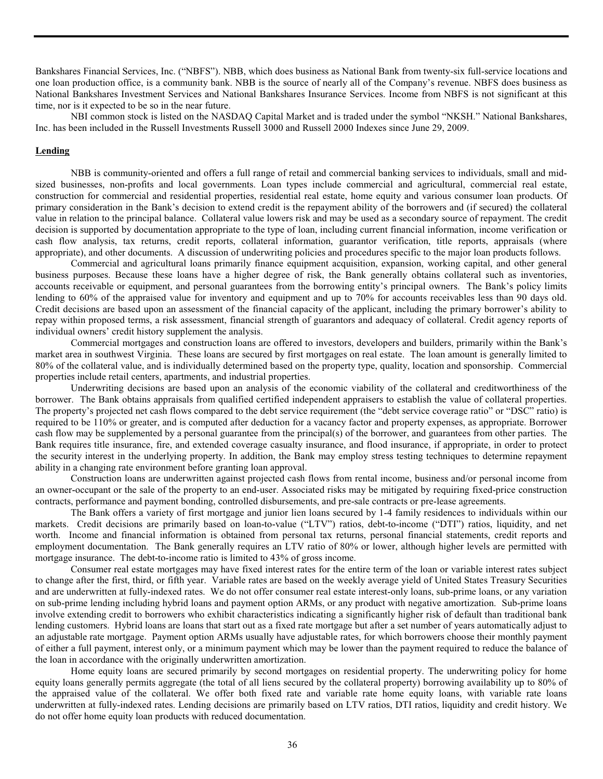Bankshares Financial Services, Inc. ("NBFS"). NBB, which does business as National Bank from twenty-six full-service locations and one loan production office, is a community bank. NBB is the source of nearly all of the Company's revenue. NBFS does business as National Bankshares Investment Services and National Bankshares Insurance Services. Income from NBFS is not significant at this time, nor is it expected to be so in the near future.

NBI common stock is listed on the NASDAQ Capital Market and is traded under the symbol "NKSH." National Bankshares, Inc. has been included in the Russell Investments Russell 3000 and Russell 2000 Indexes since June 29, 2009.

# **Lending**

NBB is community-oriented and offers a full range of retail and commercial banking services to individuals, small and midsized businesses, non-profits and local governments. Loan types include commercial and agricultural, commercial real estate, construction for commercial and residential properties, residential real estate, home equity and various consumer loan products. Of primary consideration in the Bank's decision to extend credit is the repayment ability of the borrowers and (if secured) the collateral value in relation to the principal balance. Collateral value lowers risk and may be used as a secondary source of repayment. The credit decision is supported by documentation appropriate to the type of loan, including current financial information, income verification or cash flow analysis, tax returns, credit reports, collateral information, guarantor verification, title reports, appraisals (where appropriate), and other documents. A discussion of underwriting policies and procedures specific to the major loan products follows.

Commercial and agricultural loans primarily finance equipment acquisition, expansion, working capital, and other general business purposes. Because these loans have a higher degree of risk, the Bank generally obtains collateral such as inventories, accounts receivable or equipment, and personal guarantees from the borrowing entity's principal owners. The Bank's policy limits lending to 60% of the appraised value for inventory and equipment and up to 70% for accounts receivables less than 90 days old. Credit decisions are based upon an assessment of the financial capacity of the applicant, including the primary borrower's ability to repay within proposed terms, a risk assessment, financial strength of guarantors and adequacy of collateral. Credit agency reports of individual owners' credit history supplement the analysis.

Commercial mortgages and construction loans are offered to investors, developers and builders, primarily within the Bank's market area in southwest Virginia. These loans are secured by first mortgages on real estate. The loan amount is generally limited to 80% of the collateral value, and is individually determined based on the property type, quality, location and sponsorship. Commercial properties include retail centers, apartments, and industrial properties.

Underwriting decisions are based upon an analysis of the economic viability of the collateral and creditworthiness of the borrower. The Bank obtains appraisals from qualified certified independent appraisers to establish the value of collateral properties. The property's projected net cash flows compared to the debt service requirement (the "debt service coverage ratio" or "DSC" ratio) is required to be 110% or greater, and is computed after deduction for a vacancy factor and property expenses, as appropriate. Borrower cash flow may be supplemented by a personal guarantee from the principal(s) of the borrower, and guarantees from other parties. The Bank requires title insurance, fire, and extended coverage casualty insurance, and flood insurance, if appropriate, in order to protect the security interest in the underlying property. In addition, the Bank may employ stress testing techniques to determine repayment ability in a changing rate environment before granting loan approval.

Construction loans are underwritten against projected cash flows from rental income, business and/or personal income from an owner-occupant or the sale of the property to an end-user. Associated risks may be mitigated by requiring fixed-price construction contracts, performance and payment bonding, controlled disbursements, and pre-sale contracts or pre-lease agreements.

The Bank offers a variety of first mortgage and junior lien loans secured by 1-4 family residences to individuals within our markets. Credit decisions are primarily based on loan-to-value ("LTV") ratios, debt-to-income ("DTI") ratios, liquidity, and net worth. Income and financial information is obtained from personal tax returns, personal financial statements, credit reports and employment documentation. The Bank generally requires an LTV ratio of 80% or lower, although higher levels are permitted with mortgage insurance. The debt-to-income ratio is limited to 43% of gross income.

Consumer real estate mortgages may have fixed interest rates for the entire term of the loan or variable interest rates subject to change after the first, third, or fifth year. Variable rates are based on the weekly average yield of United States Treasury Securities and are underwritten at fully-indexed rates. We do not offer consumer real estate interest-only loans, sub-prime loans, or any variation on sub-prime lending including hybrid loans and payment option ARMs, or any product with negative amortization. Sub-prime loans involve extending credit to borrowers who exhibit characteristics indicating a significantly higher risk of default than traditional bank lending customers. Hybrid loans are loans that start out as a fixed rate mortgage but after a set number of years automatically adjust to an adjustable rate mortgage. Payment option ARMs usually have adjustable rates, for which borrowers choose their monthly payment of either a full payment, interest only, or a minimum payment which may be lower than the payment required to reduce the balance of the loan in accordance with the originally underwritten amortization.

Home equity loans are secured primarily by second mortgages on residential property. The underwriting policy for home equity loans generally permits aggregate (the total of all liens secured by the collateral property) borrowing availability up to 80% of the appraised value of the collateral. We offer both fixed rate and variable rate home equity loans, with variable rate loans underwritten at fully-indexed rates. Lending decisions are primarily based on LTV ratios, DTI ratios, liquidity and credit history. We do not offer home equity loan products with reduced documentation.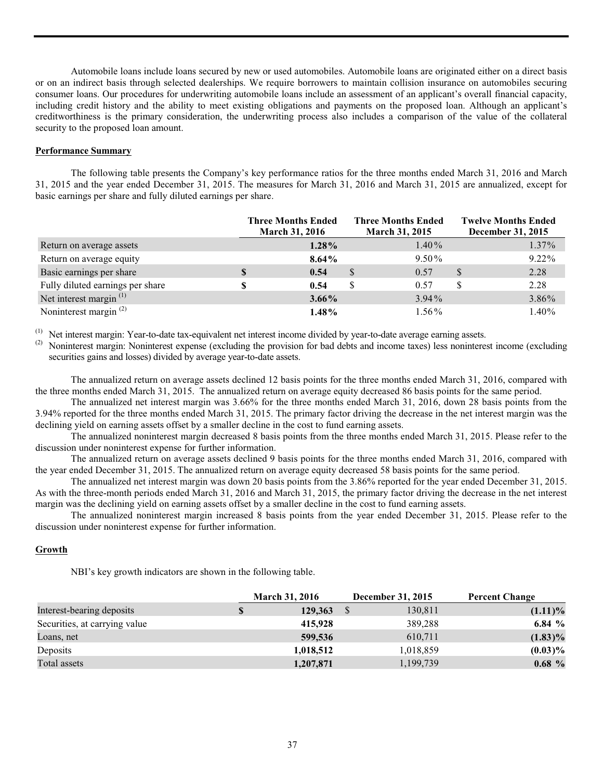Automobile loans include loans secured by new or used automobiles. Automobile loans are originated either on a direct basis or on an indirect basis through selected dealerships. We require borrowers to maintain collision insurance on automobiles securing consumer loans. Our procedures for underwriting automobile loans include an assessment of an applicant's overall financial capacity, including credit history and the ability to meet existing obligations and payments on the proposed loan. Although an applicant's creditworthiness is the primary consideration, the underwriting process also includes a comparison of the value of the collateral security to the proposed loan amount.

#### **Performance Summary**

The following table presents the Company's key performance ratios for the three months ended March 31, 2016 and March 31, 2015 and the year ended December 31, 2015. The measures for March 31, 2016 and March 31, 2015 are annualized, except for basic earnings per share and fully diluted earnings per share.

|                                  | <b>Three Months Ended</b><br><b>March 31, 2016</b> |          | <b>Three Months Ended</b><br><b>March 31, 2015</b> |          | <b>Twelve Months Ended</b><br><b>December 31, 2015</b> |          |
|----------------------------------|----------------------------------------------------|----------|----------------------------------------------------|----------|--------------------------------------------------------|----------|
| Return on average assets         |                                                    | $1.28\%$ |                                                    | $1.40\%$ |                                                        | 1.37%    |
| Return on average equity         |                                                    | $8.64\%$ |                                                    | $9.50\%$ |                                                        | $9.22\%$ |
| Basic earnings per share         |                                                    | 0.54     | <sup>S</sup>                                       | 0.57     | \$                                                     | 2.28     |
| Fully diluted earnings per share |                                                    | 0.54     | S                                                  | 0.57     | \$                                                     | 2.28     |
| Net interest margin $^{(1)}$     |                                                    | $3.66\%$ |                                                    | $3.94\%$ |                                                        | 3.86%    |
| Noninterest margin $^{(2)}$      |                                                    | $1.48\%$ |                                                    | $1.56\%$ |                                                        | $1.40\%$ |

<sup>(1)</sup> Net interest margin: Year-to-date tax-equivalent net interest income divided by year-to-date average earning assets.<br><sup>(2)</sup> Noninterest margin: Noninterest expense (excluding the provision for bad debts and income tax

securities gains and losses) divided by average year-to-date assets.

The annualized return on average assets declined 12 basis points for the three months ended March 31, 2016, compared with the three months ended March 31, 2015. The annualized return on average equity decreased 86 basis points for the same period.

The annualized net interest margin was 3.66% for the three months ended March 31, 2016, down 28 basis points from the 3.94% reported for the three months ended March 31, 2015. The primary factor driving the decrease in the net interest margin was the declining yield on earning assets offset by a smaller decline in the cost to fund earning assets.

The annualized noninterest margin decreased 8 basis points from the three months ended March 31, 2015. Please refer to the discussion under noninterest expense for further information.

The annualized return on average assets declined 9 basis points for the three months ended March 31, 2016, compared with the year ended December 31, 2015. The annualized return on average equity decreased 58 basis points for the same period.

The annualized net interest margin was down 20 basis points from the 3.86% reported for the year ended December 31, 2015. As with the three-month periods ended March 31, 2016 and March 31, 2015, the primary factor driving the decrease in the net interest margin was the declining yield on earning assets offset by a smaller decline in the cost to fund earning assets.

The annualized noninterest margin increased 8 basis points from the year ended December 31, 2015. Please refer to the discussion under noninterest expense for further information.

## **Growth**

NBI's key growth indicators are shown in the following table.

|                               |   | <b>March 31, 2016</b> | <b>December 31, 2015</b> |           | <b>Percent Change</b> |
|-------------------------------|---|-----------------------|--------------------------|-----------|-----------------------|
| Interest-bearing deposits     | D | 129,363               |                          | 130,811   | $(1.11)\%$            |
| Securities, at carrying value |   | 415,928               |                          | 389,288   | 6.84 $%$              |
| Loans, net                    |   | 599,536               |                          | 610,711   | $(1.83)\%$            |
| Deposits                      |   | 1,018,512             |                          | 1,018,859 | $(0.03)\%$            |
| Total assets                  |   | 1,207,871             |                          | 1,199,739 | $0.68\%$              |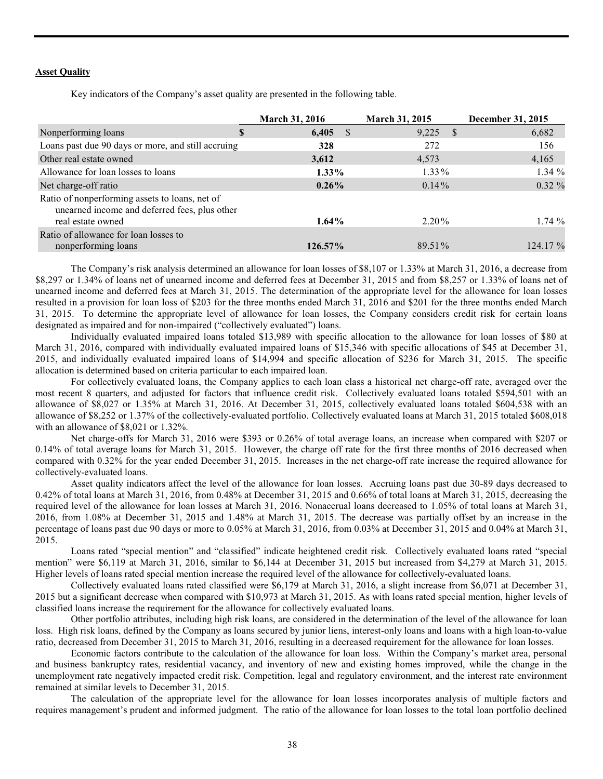#### **Asset Quality**

Key indicators of the Company's asset quality are presented in the following table.

|                                                                                                 | <b>March 31, 2016</b> | <b>March 31, 2015</b> | December 31, 2015 |
|-------------------------------------------------------------------------------------------------|-----------------------|-----------------------|-------------------|
| Nonperforming loans<br>S                                                                        | 6,405 $\sqrt{3}$      | $9,225$ \$            | 6,682             |
| Loans past due 90 days or more, and still accruing                                              | 328                   | 272                   | 156               |
| Other real estate owned                                                                         | 3,612                 | 4,573                 | 4,165             |
| Allowance for loan losses to loans                                                              | $1.33\%$              | $1.33\%$              | 1.34 %            |
| Net charge-off ratio                                                                            | $0.26\%$              | $0.14\%$              | $0.32 \%$         |
| Ratio of nonperforming assets to loans, net of<br>unearned income and deferred fees, plus other |                       |                       |                   |
| real estate owned                                                                               | $1.64\%$              | $2.20\%$              | $1.74\%$          |
| Ratio of allowance for loan losses to<br>nonperforming loans                                    | 126.57%               | $89.51\%$             | 124.17 %          |

The Company's risk analysis determined an allowance for loan losses of \$8,107 or 1.33% at March 31, 2016, a decrease from \$8,297 or 1.34% of loans net of unearned income and deferred fees at December 31, 2015 and from \$8,257 or 1.33% of loans net of unearned income and deferred fees at March 31, 2015. The determination of the appropriate level for the allowance for loan losses resulted in a provision for loan loss of \$203 for the three months ended March 31, 2016 and \$201 for the three months ended March 31, 2015. To determine the appropriate level of allowance for loan losses, the Company considers credit risk for certain loans designated as impaired and for non-impaired ("collectively evaluated") loans.

Individually evaluated impaired loans totaled \$13,989 with specific allocation to the allowance for loan losses of \$80 at March 31, 2016, compared with individually evaluated impaired loans of \$15,346 with specific allocations of \$45 at December 31, 2015, and individually evaluated impaired loans of \$14,994 and specific allocation of \$236 for March 31, 2015. The specific allocation is determined based on criteria particular to each impaired loan.

For collectively evaluated loans, the Company applies to each loan class a historical net charge-off rate, averaged over the most recent 8 quarters, and adjusted for factors that influence credit risk. Collectively evaluated loans totaled \$594,501 with an allowance of \$8,027 or 1.35% at March 31, 2016. At December 31, 2015, collectively evaluated loans totaled \$604,538 with an allowance of \$8,252 or 1.37% of the collectively-evaluated portfolio. Collectively evaluated loans at March 31, 2015 totaled \$608,018 with an allowance of \$8,021 or 1.32%.

Net charge-offs for March 31, 2016 were \$393 or 0.26% of total average loans, an increase when compared with \$207 or 0.14% of total average loans for March 31, 2015. However, the charge off rate for the first three months of 2016 decreased when compared with 0.32% for the year ended December 31, 2015. Increases in the net charge-off rate increase the required allowance for collectively-evaluated loans.

Asset quality indicators affect the level of the allowance for loan losses. Accruing loans past due 30-89 days decreased to 0.42% of total loans at March 31, 2016, from 0.48% at December 31, 2015 and 0.66% of total loans at March 31, 2015, decreasing the required level of the allowance for loan losses at March 31, 2016. Nonaccrual loans decreased to 1.05% of total loans at March 31, 2016, from 1.08% at December 31, 2015 and 1.48% at March 31, 2015. The decrease was partially offset by an increase in the percentage of loans past due 90 days or more to 0.05% at March 31, 2016, from 0.03% at December 31, 2015 and 0.04% at March 31, 2015.

Loans rated "special mention" and "classified" indicate heightened credit risk. Collectively evaluated loans rated "special mention" were \$6,119 at March 31, 2016, similar to \$6,144 at December 31, 2015 but increased from \$4,279 at March 31, 2015. Higher levels of loans rated special mention increase the required level of the allowance for collectively-evaluated loans.

Collectively evaluated loans rated classified were \$6,179 at March 31, 2016, a slight increase from \$6,071 at December 31, 2015 but a significant decrease when compared with \$10,973 at March 31, 2015. As with loans rated special mention, higher levels of classified loans increase the requirement for the allowance for collectively evaluated loans.

Other portfolio attributes, including high risk loans, are considered in the determination of the level of the allowance for loan loss. High risk loans, defined by the Company as loans secured by junior liens, interest-only loans and loans with a high loan-to-value ratio, decreased from December 31, 2015 to March 31, 2016, resulting in a decreased requirement for the allowance for loan losses.

Economic factors contribute to the calculation of the allowance for loan loss. Within the Company's market area, personal and business bankruptcy rates, residential vacancy, and inventory of new and existing homes improved, while the change in the unemployment rate negatively impacted credit risk. Competition, legal and regulatory environment, and the interest rate environment remained at similar levels to December 31, 2015.

The calculation of the appropriate level for the allowance for loan losses incorporates analysis of multiple factors and requires management's prudent and informed judgment. The ratio of the allowance for loan losses to the total loan portfolio declined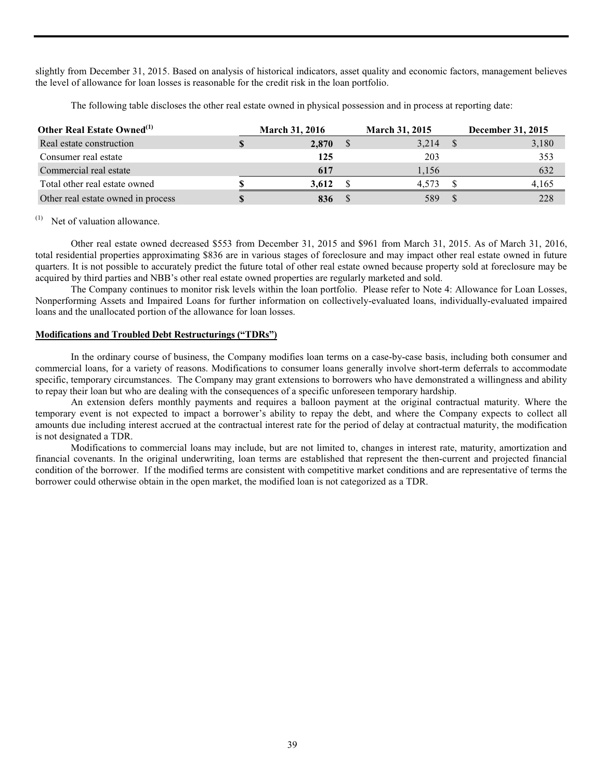slightly from December 31, 2015. Based on analysis of historical indicators, asset quality and economic factors, management believes the level of allowance for loan losses is reasonable for the credit risk in the loan portfolio.

The following table discloses the other real estate owned in physical possession and in process at reporting date:

| Other Real Estate Owned <sup>(1)</sup> | <b>March 31, 2016</b> | <b>March 31, 2015</b> | December 31, 2015 |
|----------------------------------------|-----------------------|-----------------------|-------------------|
| Real estate construction               | 2,870                 | 3,214                 | 3,180             |
| Consumer real estate                   | 125                   | 203                   | 353               |
| Commercial real estate                 | 617                   | 1.156                 | 632               |
| Total other real estate owned          | 3.612                 | 4.573                 | 4,165             |
| Other real estate owned in process     | 836                   | 589                   | 228               |

Net of valuation allowance.

Other real estate owned decreased \$553 from December 31, 2015 and \$961 from March 31, 2015. As of March 31, 2016, total residential properties approximating \$836 are in various stages of foreclosure and may impact other real estate owned in future quarters. It is not possible to accurately predict the future total of other real estate owned because property sold at foreclosure may be acquired by third parties and NBB's other real estate owned properties are regularly marketed and sold.

The Company continues to monitor risk levels within the loan portfolio. Please refer to Note 4: Allowance for Loan Losses, Nonperforming Assets and Impaired Loans for further information on collectively-evaluated loans, individually-evaluated impaired loans and the unallocated portion of the allowance for loan losses.

## **Modifications and Troubled Debt Restructurings ("TDRs")**

In the ordinary course of business, the Company modifies loan terms on a case-by-case basis, including both consumer and commercial loans, for a variety of reasons. Modifications to consumer loans generally involve short-term deferrals to accommodate specific, temporary circumstances. The Company may grant extensions to borrowers who have demonstrated a willingness and ability to repay their loan but who are dealing with the consequences of a specific unforeseen temporary hardship.

An extension defers monthly payments and requires a balloon payment at the original contractual maturity. Where the temporary event is not expected to impact a borrower's ability to repay the debt, and where the Company expects to collect all amounts due including interest accrued at the contractual interest rate for the period of delay at contractual maturity, the modification is not designated a TDR.

Modifications to commercial loans may include, but are not limited to, changes in interest rate, maturity, amortization and financial covenants. In the original underwriting, loan terms are established that represent the then-current and projected financial condition of the borrower. If the modified terms are consistent with competitive market conditions and are representative of terms the borrower could otherwise obtain in the open market, the modified loan is not categorized as a TDR.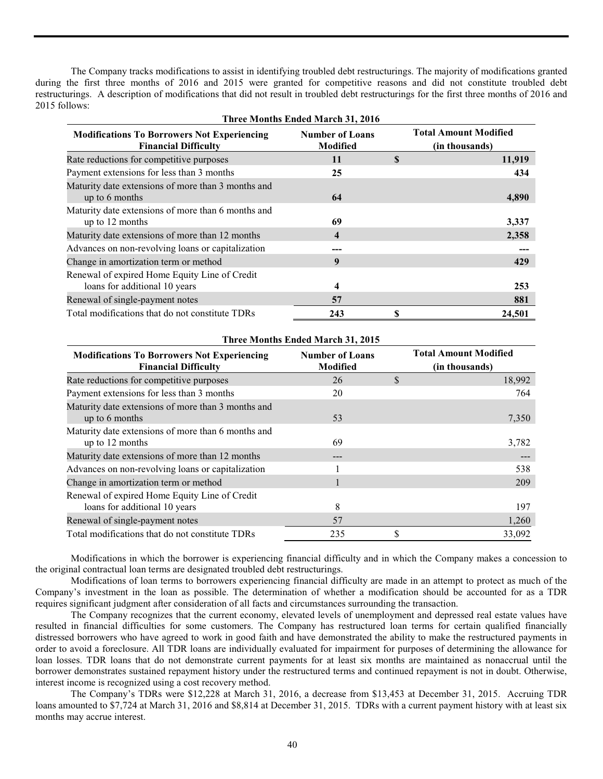The Company tracks modifications to assist in identifying troubled debt restructurings. The majority of modifications granted during the first three months of 2016 and 2015 were granted for competitive reasons and did not constitute troubled debt restructurings. A description of modifications that did not result in troubled debt restructurings for the first three months of 2016 and 2015 follows:

| <b>Modifications To Borrowers Not Experiencing</b><br><b>Financial Difficulty</b> | <b>Number of Loans</b><br><b>Modified</b> | <b>Total Amount Modified</b><br>(in thousands) |  |  |  |
|-----------------------------------------------------------------------------------|-------------------------------------------|------------------------------------------------|--|--|--|
| Rate reductions for competitive purposes                                          | 11                                        | \$<br>11,919                                   |  |  |  |
| Payment extensions for less than 3 months                                         | 25                                        | 434                                            |  |  |  |
| Maturity date extensions of more than 3 months and<br>up to 6 months              | 64                                        | 4,890                                          |  |  |  |
| Maturity date extensions of more than 6 months and<br>up to 12 months             | 69                                        | 3,337                                          |  |  |  |
| Maturity date extensions of more than 12 months                                   | $\overline{\mathbf{4}}$                   | 2,358                                          |  |  |  |
| Advances on non-revolving loans or capitalization                                 |                                           |                                                |  |  |  |
| Change in amortization term or method                                             | 9                                         | 429                                            |  |  |  |
| Renewal of expired Home Equity Line of Credit<br>loans for additional 10 years    | 4                                         | 253                                            |  |  |  |
| Renewal of single-payment notes                                                   | 57                                        | 881                                            |  |  |  |
| Total modifications that do not constitute TDRs                                   | 243                                       | \$<br>24,501                                   |  |  |  |

#### **Three Months Ended March 31, 2016**

#### **Three Months Ended March 31, 2015**

| <b>Modifications To Borrowers Not Experiencing</b>                             | <b>Number of Loans</b> |    | <b>Total Amount Modified</b> |
|--------------------------------------------------------------------------------|------------------------|----|------------------------------|
| <b>Financial Difficulty</b>                                                    | <b>Modified</b>        |    | (in thousands)               |
| Rate reductions for competitive purposes                                       | 26                     | \$ | 18,992                       |
| Payment extensions for less than 3 months                                      | 20                     |    | 764                          |
| Maturity date extensions of more than 3 months and<br>up to 6 months           | 53                     |    | 7,350                        |
| Maturity date extensions of more than 6 months and<br>up to 12 months          | 69                     |    | 3,782                        |
| Maturity date extensions of more than 12 months                                |                        |    |                              |
| Advances on non-revolving loans or capitalization                              |                        |    | 538                          |
| Change in amortization term or method                                          |                        |    | 209                          |
| Renewal of expired Home Equity Line of Credit<br>loans for additional 10 years | 8                      |    | 197                          |
| Renewal of single-payment notes                                                | 57                     |    | 1,260                        |
| Total modifications that do not constitute TDRs                                | 235                    | S  | 33.092                       |

Modifications in which the borrower is experiencing financial difficulty and in which the Company makes a concession to the original contractual loan terms are designated troubled debt restructurings.

Modifications of loan terms to borrowers experiencing financial difficulty are made in an attempt to protect as much of the Company's investment in the loan as possible. The determination of whether a modification should be accounted for as a TDR requires significant judgment after consideration of all facts and circumstances surrounding the transaction.

The Company recognizes that the current economy, elevated levels of unemployment and depressed real estate values have resulted in financial difficulties for some customers. The Company has restructured loan terms for certain qualified financially distressed borrowers who have agreed to work in good faith and have demonstrated the ability to make the restructured payments in order to avoid a foreclosure. All TDR loans are individually evaluated for impairment for purposes of determining the allowance for loan losses. TDR loans that do not demonstrate current payments for at least six months are maintained as nonaccrual until the borrower demonstrates sustained repayment history under the restructured terms and continued repayment is not in doubt. Otherwise, interest income is recognized using a cost recovery method.

The Company's TDRs were \$12,228 at March 31, 2016, a decrease from \$13,453 at December 31, 2015. Accruing TDR loans amounted to \$7,724 at March 31, 2016 and \$8,814 at December 31, 2015. TDRs with a current payment history with at least six months may accrue interest.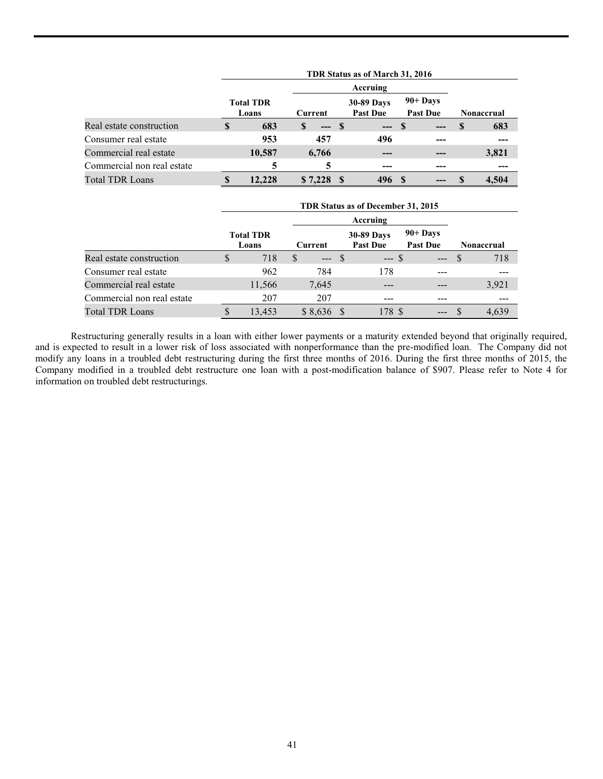|                            |    | Accruing                  |             |                                      |                                |                   |       |  |  |
|----------------------------|----|---------------------------|-------------|--------------------------------------|--------------------------------|-------------------|-------|--|--|
|                            |    | <b>Total TDR</b><br>Loans | Current     | <b>30-89 Days</b><br><b>Past Due</b> | $90 +$ Days<br><b>Past Due</b> | <b>Nonaccrual</b> |       |  |  |
| Real estate construction   | S  | 683                       | S<br>$--$ S | $--$ \$                              | ---                            | S                 | 683   |  |  |
| Consumer real estate       |    | 953                       | 457         | 496                                  |                                |                   |       |  |  |
| Commercial real estate     |    | 10,587                    | 6,766       | ---                                  |                                |                   | 3,821 |  |  |
| Commercial non real estate |    | 5                         | 5           |                                      |                                |                   |       |  |  |
| <b>Total TDR Loans</b>     | \$ | 12.228                    | \$7,228     | 496                                  | - \$                           |                   | 4.504 |  |  |

|                            |   | <b>Total TDR</b> |   |                                                                                                                                                                                                                                                                                                                                                                                                                                                                            |      | 30-89 Days      | $90 +$ Days     |    |                   |
|----------------------------|---|------------------|---|----------------------------------------------------------------------------------------------------------------------------------------------------------------------------------------------------------------------------------------------------------------------------------------------------------------------------------------------------------------------------------------------------------------------------------------------------------------------------|------|-----------------|-----------------|----|-------------------|
|                            |   | Loans            |   | Current                                                                                                                                                                                                                                                                                                                                                                                                                                                                    |      | <b>Past Due</b> | <b>Past Due</b> |    | <b>Nonaccrual</b> |
| Real estate construction   | S | 718              | S | $\frac{1}{2} \left( \frac{1}{2} \right) \left( \frac{1}{2} \right) \left( \frac{1}{2} \right) \left( \frac{1}{2} \right) \left( \frac{1}{2} \right) \left( \frac{1}{2} \right) \left( \frac{1}{2} \right) \left( \frac{1}{2} \right) \left( \frac{1}{2} \right) \left( \frac{1}{2} \right) \left( \frac{1}{2} \right) \left( \frac{1}{2} \right) \left( \frac{1}{2} \right) \left( \frac{1}{2} \right) \left( \frac{1}{2} \right) \left( \frac{1}{2} \right) \left( \frac$ | - \$ | $--$ \$         | $---$           | -S | 718               |
| Consumer real estate       |   | 962              |   | 784                                                                                                                                                                                                                                                                                                                                                                                                                                                                        |      | 178             | ---             |    |                   |
| Commercial real estate     |   | 11,566           |   | 7,645                                                                                                                                                                                                                                                                                                                                                                                                                                                                      |      | $- - -$         | ---             |    | 3,921             |
| Commercial non real estate |   | 207              |   | 207                                                                                                                                                                                                                                                                                                                                                                                                                                                                        |      |                 |                 |    |                   |
| <b>Total TDR Loans</b>     | S | 13.453           |   | \$8,636                                                                                                                                                                                                                                                                                                                                                                                                                                                                    |      | 178 S           |                 |    | 4.639             |

Restructuring generally results in a loan with either lower payments or a maturity extended beyond that originally required, and is expected to result in a lower risk of loss associated with nonperformance than the pre-modified loan. The Company did not modify any loans in a troubled debt restructuring during the first three months of 2016. During the first three months of 2015, the Company modified in a troubled debt restructure one loan with a post-modification balance of \$907. Please refer to Note 4 for information on troubled debt restructurings.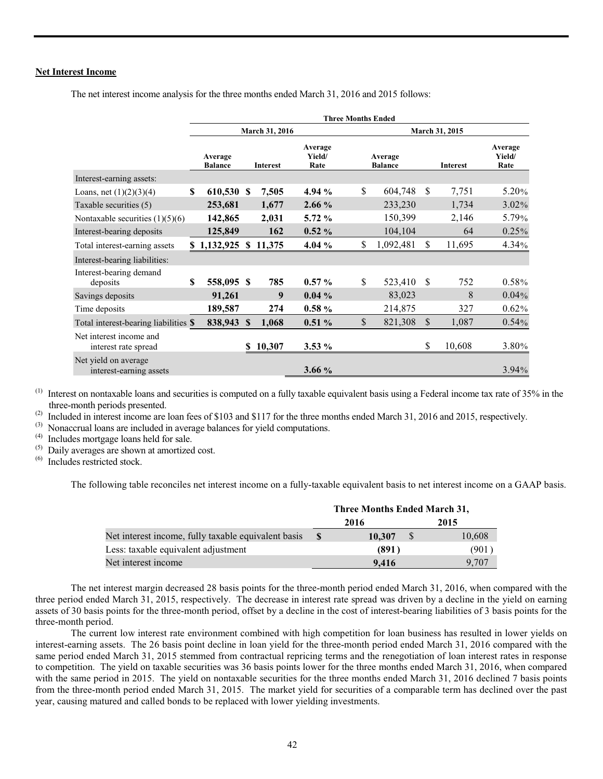# **Net Interest Income**

The net interest income analysis for the three months ended March 31, 2016 and 2015 follows:

|                                                 | <b>Three Months Ended</b> |                           |    |          |                           |    |                           |    |          |                           |  |  |
|-------------------------------------------------|---------------------------|---------------------------|----|----------|---------------------------|----|---------------------------|----|----------|---------------------------|--|--|
|                                                 | March 31, 2016            |                           |    |          |                           |    | March 31, 2015            |    |          |                           |  |  |
|                                                 |                           | Average<br><b>Balance</b> |    | Interest | Average<br>Yield/<br>Rate |    | Average<br><b>Balance</b> |    | Interest | Average<br>Yield/<br>Rate |  |  |
| Interest-earning assets:                        |                           |                           |    |          |                           |    |                           |    |          |                           |  |  |
| Loans, net $(1)(2)(3)(4)$                       | \$                        | 610,530                   | S  | 7,505    | 4.94 %                    | \$ | 604,748                   | \$ | 7,751    | 5.20%                     |  |  |
| Taxable securities (5)                          |                           | 253,681                   |    | 1,677    | 2.66%                     |    | 233,230                   |    | 1,734    | 3.02%                     |  |  |
| Nontaxable securities $(1)(5)(6)$               |                           | 142,865                   |    | 2,031    | 5.72 %                    |    | 150,399                   |    | 2,146    | 5.79%                     |  |  |
| Interest-bearing deposits                       |                           | 125,849                   |    | 162      | 0.52%                     |    | 104,104                   |    | 64       | 0.25%                     |  |  |
| Total interest-earning assets                   |                           | \$1,132,925 \$11,375      |    |          | 4.04 %                    | \$ | 1,092,481                 | \$ | 11,695   | 4.34%                     |  |  |
| Interest-bearing liabilities:                   |                           |                           |    |          |                           |    |                           |    |          |                           |  |  |
| Interest-bearing demand<br>deposits             | \$                        | 558,095 \$                |    | 785      | 0.57%                     | \$ | 523,410                   | \$ | 752      | 0.58%                     |  |  |
| Savings deposits                                |                           | 91,261                    |    | 9        | 0.04%                     |    | 83,023                    |    | 8        | 0.04%                     |  |  |
| Time deposits                                   |                           | 189,587                   |    | 274      | $0.58 \%$                 |    | 214,875                   |    | 327      | 0.62%                     |  |  |
| Total interest-bearing liabilities \$           |                           | 838,943 \$                |    | 1,068    | 0.51%                     | \$ | 821,308                   | \$ | 1,087    | 0.54%                     |  |  |
| Net interest income and<br>interest rate spread |                           |                           | \$ | 10,307   | 3.53%                     |    |                           | \$ | 10,608   | 3.80%                     |  |  |
| Net yield on average<br>interest-earning assets |                           |                           |    |          | $3.66\%$                  |    |                           |    |          | 3.94%                     |  |  |

 $<sup>(1)</sup>$  Interest on nontaxable loans and securities is computed on a fully taxable equivalent basis using a Federal income tax rate of 35% in the</sup> three-month periods presented.

(2) Included in interest income are loan fees of \$103 and \$117 for the three months ended March 31, 2016 and 2015, respectively.<br>(3) Nonaccrual loans are included in average balances for vield computations

(3) Nonaccrual loans are included in average balances for yield computations.<br>(4) Includes mortgage loans held for sale

 $(4)$  Includes mortgage loans held for sale.<br> $(5)$  Daily averages are shown at amortized

(5) Daily averages are shown at amortized cost.

(6) Includes restricted stock.

The following table reconciles net interest income on a fully-taxable equivalent basis to net interest income on a GAAP basis.

|                                                     |    | Three Months Ended March 31, |        |
|-----------------------------------------------------|----|------------------------------|--------|
|                                                     |    | 2016                         | 2015   |
| Net interest income, fully taxable equivalent basis | S. | 10.307                       | 10,608 |
| Less: taxable equivalent adjustment                 |    | (891)                        | (901)  |
| Net interest income                                 |    | 9.416                        | 9.707  |

The net interest margin decreased 28 basis points for the three-month period ended March 31, 2016, when compared with the three period ended March 31, 2015, respectively. The decrease in interest rate spread was driven by a decline in the yield on earning assets of 30 basis points for the three-month period, offset by a decline in the cost of interest-bearing liabilities of 3 basis points for the three-month period.

The current low interest rate environment combined with high competition for loan business has resulted in lower yields on interest-earning assets. The 26 basis point decline in loan yield for the three-month period ended March 31, 2016 compared with the same period ended March 31, 2015 stemmed from contractual repricing terms and the renegotiation of loan interest rates in response to competition. The yield on taxable securities was 36 basis points lower for the three months ended March 31, 2016, when compared with the same period in 2015. The yield on nontaxable securities for the three months ended March 31, 2016 declined 7 basis points from the three-month period ended March 31, 2015. The market yield for securities of a comparable term has declined over the past year, causing matured and called bonds to be replaced with lower yielding investments.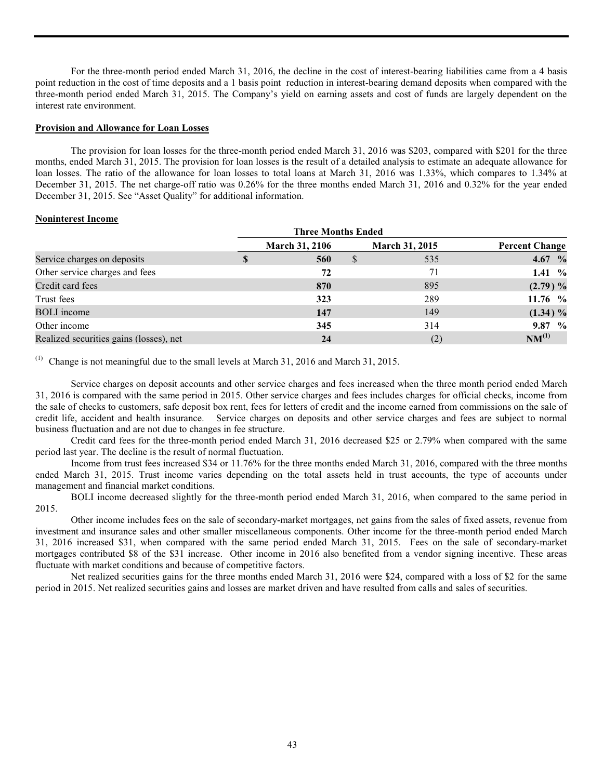For the three-month period ended March 31, 2016, the decline in the cost of interest-bearing liabilities came from a 4 basis point reduction in the cost of time deposits and a 1 basis point reduction in interest-bearing demand deposits when compared with the three-month period ended March 31, 2015. The Company's yield on earning assets and cost of funds are largely dependent on the interest rate environment.

#### **Provision and Allowance for Loan Losses**

The provision for loan losses for the three-month period ended March 31, 2016 was \$203, compared with \$201 for the three months, ended March 31, 2015. The provision for loan losses is the result of a detailed analysis to estimate an adequate allowance for loan losses. The ratio of the allowance for loan losses to total loans at March 31, 2016 was 1.33%, which compares to 1.34% at December 31, 2015. The net charge-off ratio was 0.26% for the three months ended March 31, 2016 and 0.32% for the year ended December 31, 2015. See "Asset Quality" for additional information.

#### **Noninterest Income**

|                                         | <b>Three Months Ended</b> |                       |   |                       |                       |  |  |  |  |
|-----------------------------------------|---------------------------|-----------------------|---|-----------------------|-----------------------|--|--|--|--|
| Service charges on deposits             |                           | <b>March 31, 2106</b> |   | <b>March 31, 2015</b> | <b>Percent Change</b> |  |  |  |  |
|                                         |                           | 560                   | S | 535                   | 4.67 $\%$             |  |  |  |  |
| Other service charges and fees          |                           | 72                    |   | 71                    | 1.41 $%$              |  |  |  |  |
| Credit card fees                        |                           | 870                   |   | 895                   | $(2.79) \%$           |  |  |  |  |
| Trust fees                              |                           | 323                   |   | 289                   | 11.76 $%$             |  |  |  |  |
| <b>BOLI</b> income                      |                           | 147                   |   | 149                   | $(1.34) \%$           |  |  |  |  |
| Other income                            |                           | 345                   |   | 314                   | $9.87\degree$ %       |  |  |  |  |
| Realized securities gains (losses), net |                           | 24                    |   | (2)                   | $NM^{(1)}$            |  |  |  |  |

 $(1)$  Change is not meaningful due to the small levels at March 31, 2016 and March 31, 2015.

Service charges on deposit accounts and other service charges and fees increased when the three month period ended March 31, 2016 is compared with the same period in 2015. Other service charges and fees includes charges for official checks, income from the sale of checks to customers, safe deposit box rent, fees for letters of credit and the income earned from commissions on the sale of credit life, accident and health insurance. Service charges on deposits and other service charges and fees are subject to normal business fluctuation and are not due to changes in fee structure.

Credit card fees for the three-month period ended March 31, 2016 decreased \$25 or 2.79% when compared with the same period last year. The decline is the result of normal fluctuation.

Income from trust fees increased \$34 or 11.76% for the three months ended March 31, 2016, compared with the three months ended March 31, 2015. Trust income varies depending on the total assets held in trust accounts, the type of accounts under management and financial market conditions.

BOLI income decreased slightly for the three-month period ended March 31, 2016, when compared to the same period in 2015.

Other income includes fees on the sale of secondary-market mortgages, net gains from the sales of fixed assets, revenue from investment and insurance sales and other smaller miscellaneous components. Other income for the three-month period ended March 31, 2016 increased \$31, when compared with the same period ended March 31, 2015. Fees on the sale of secondary-market mortgages contributed \$8 of the \$31 increase. Other income in 2016 also benefited from a vendor signing incentive. These areas fluctuate with market conditions and because of competitive factors.

Net realized securities gains for the three months ended March 31, 2016 were \$24, compared with a loss of \$2 for the same period in 2015. Net realized securities gains and losses are market driven and have resulted from calls and sales of securities.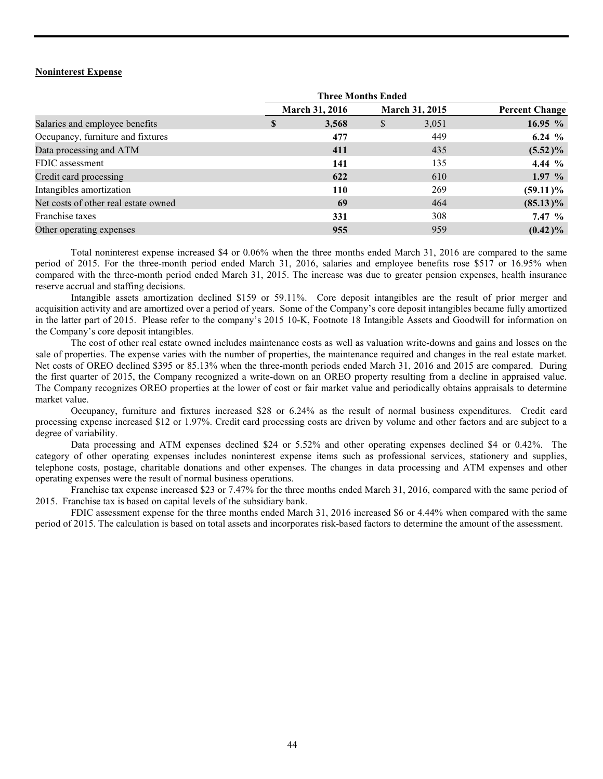#### **Noninterest Expense**

|                                      |   | <b>Three Months Ended</b> |               |                       |                       |
|--------------------------------------|---|---------------------------|---------------|-----------------------|-----------------------|
| Salaries and employee benefits       |   | <b>March 31, 2016</b>     |               | <b>March 31, 2015</b> | <b>Percent Change</b> |
|                                      | S | 3,568                     | <sup>\$</sup> | 3,051                 | 16.95 $%$             |
| Occupancy, furniture and fixtures    |   | 477                       |               | 449                   | 6.24 $%$              |
| Data processing and ATM              |   | 411                       |               | 435                   | $(5.52)\%$            |
| FDIC assessment                      |   | 141                       |               | 135                   | 4.44 $\%$             |
| Credit card processing               |   | 622                       |               | 610                   | $1.97\%$              |
| Intangibles amortization             |   | <b>110</b>                |               | 269                   | $(59.11)\%$           |
| Net costs of other real estate owned |   | 69                        |               | 464                   | $(85.13)\%$           |
| Franchise taxes                      |   | 331                       |               | 308                   | $7.47~\%$             |
| Other operating expenses             |   | 955                       |               | 959                   | $(0.42)\%$            |

Total noninterest expense increased \$4 or 0.06% when the three months ended March 31, 2016 are compared to the same period of 2015. For the three-month period ended March 31, 2016, salaries and employee benefits rose \$517 or 16.95% when compared with the three-month period ended March 31, 2015. The increase was due to greater pension expenses, health insurance reserve accrual and staffing decisions.

Intangible assets amortization declined \$159 or 59.11%. Core deposit intangibles are the result of prior merger and acquisition activity and are amortized over a period of years. Some of the Company's core deposit intangibles became fully amortized in the latter part of 2015. Please refer to the company's 2015 10-K, Footnote 18 Intangible Assets and Goodwill for information on the Company's core deposit intangibles.

The cost of other real estate owned includes maintenance costs as well as valuation write-downs and gains and losses on the sale of properties. The expense varies with the number of properties, the maintenance required and changes in the real estate market. Net costs of OREO declined \$395 or 85.13% when the three-month periods ended March 31, 2016 and 2015 are compared. During the first quarter of 2015, the Company recognized a write-down on an OREO property resulting from a decline in appraised value. The Company recognizes OREO properties at the lower of cost or fair market value and periodically obtains appraisals to determine market value.

Occupancy, furniture and fixtures increased \$28 or 6.24% as the result of normal business expenditures. Credit card processing expense increased \$12 or 1.97%. Credit card processing costs are driven by volume and other factors and are subject to a degree of variability.

Data processing and ATM expenses declined \$24 or 5.52% and other operating expenses declined \$4 or 0.42%. The category of other operating expenses includes noninterest expense items such as professional services, stationery and supplies, telephone costs, postage, charitable donations and other expenses. The changes in data processing and ATM expenses and other operating expenses were the result of normal business operations.

Franchise tax expense increased \$23 or 7.47% for the three months ended March 31, 2016, compared with the same period of 2015. Franchise tax is based on capital levels of the subsidiary bank.

FDIC assessment expense for the three months ended March 31, 2016 increased \$6 or 4.44% when compared with the same period of 2015. The calculation is based on total assets and incorporates risk-based factors to determine the amount of the assessment.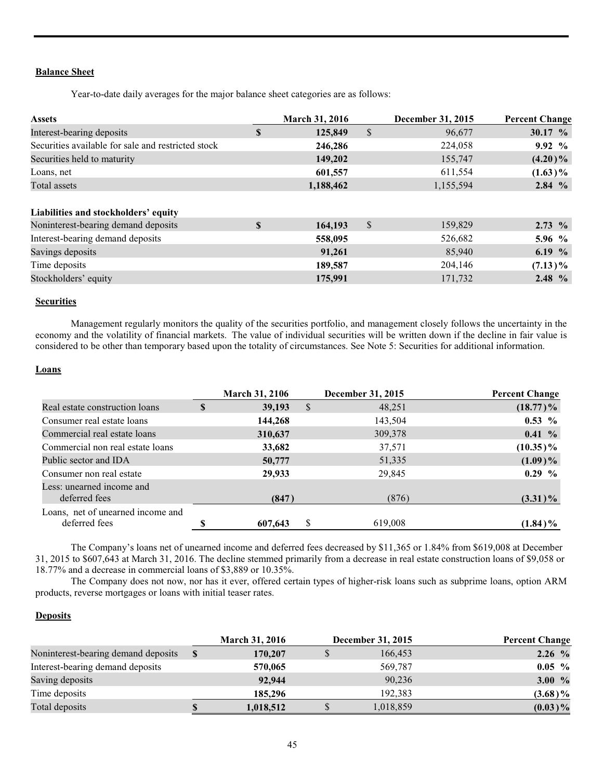# **Balance Sheet**

Year-to-date daily averages for the major balance sheet categories are as follows:

| <b>Assets</b>                                      |              | <b>March 31, 2016</b> |               | December 31, 2015 | <b>Percent Change</b> |
|----------------------------------------------------|--------------|-----------------------|---------------|-------------------|-----------------------|
| Interest-bearing deposits                          | $\mathbf S$  | 125,849               | $\mathbb{S}$  | 96,677            | 30.17 $\%$            |
| Securities available for sale and restricted stock |              | 246,286               |               | 224,058           | $9.92\%$              |
| Securities held to maturity                        |              | 149,202               |               | 155,747           | $(4.20)\%$            |
| Loans, net                                         |              | 601,557               |               | 611,554           | $(1.63)\%$            |
| Total assets                                       |              | 1,188,462             |               | 1,155,594         | $2.84\,%$             |
| Liabilities and stockholders' equity               |              |                       |               |                   |                       |
| Noninterest-bearing demand deposits                | $\mathbf{s}$ | 164,193               | $\mathcal{S}$ | 159,829           | $2.73\,%$             |
| Interest-bearing demand deposits                   |              | 558,095               |               | 526,682           | 5.96 $%$              |
| Savings deposits                                   |              | 91,261                |               | 85,940            | 6.19 $%$              |
| Time deposits                                      |              | 189,587               |               | 204,146           | $(7.13)\%$            |
| Stockholders' equity                               |              | 175,991               |               | 171,732           | $2.48\,%$             |

# **Securities**

Management regularly monitors the quality of the securities portfolio, and management closely follows the uncertainty in the economy and the volatility of financial markets. The value of individual securities will be written down if the decline in fair value is considered to be other than temporary based upon the totality of circumstances. See Note 5: Securities for additional information.

## **Loans**

|                                                    |   | <b>March 31, 2106</b> |               | December 31, 2015 | <b>Percent Change</b> |
|----------------------------------------------------|---|-----------------------|---------------|-------------------|-----------------------|
| Real estate construction loans                     | S | 39,193                | $\mathcal{S}$ | 48,251            | $(18.77)\%$           |
| Consumer real estate loans                         |   | 144,268               |               | 143,504           | $0.53\,%$             |
| Commercial real estate loans                       |   | 310,637               |               | 309,378           | $0.41\%$              |
| Commercial non real estate loans                   |   | 33,682                |               | 37,571            | $(10.35)\%$           |
| Public sector and IDA                              |   | 50,777                |               | 51,335            | $(1.09)\%$            |
| Consumer non real estate                           |   | 29,933                |               | 29,845            | $0.29\%$              |
| Less: unearned income and<br>deferred fees         |   | (847)                 |               | (876)             | $(3.31)\%$            |
| Loans, net of unearned income and<br>deferred fees |   | 607.643               | S             | 619,008           | $(1.84)\%$            |

The Company's loans net of unearned income and deferred fees decreased by \$11,365 or 1.84% from \$619,008 at December 31, 2015 to \$607,643 at March 31, 2016. The decline stemmed primarily from a decrease in real estate construction loans of \$9,058 or 18.77% and a decrease in commercial loans of \$3,889 or 10.35%.

The Company does not now, nor has it ever, offered certain types of higher-risk loans such as subprime loans, option ARM products, reverse mortgages or loans with initial teaser rates.

# **Deposits**

|                                     |   | <b>March 31, 2016</b> | December 31, 2015 | <b>Percent Change</b> |
|-------------------------------------|---|-----------------------|-------------------|-----------------------|
| Noninterest-bearing demand deposits |   | 170,207               | 166,453           | $2.26\,%$             |
| Interest-bearing demand deposits    |   | 570,065               | 569,787           | $0.05\%$              |
| Saving deposits                     |   | 92,944                | 90,236            | 3.00 $\%$             |
| Time deposits                       |   | 185,296               | 192.383           | $(3.68)\%$            |
| Total deposits                      | J | 1,018,512             | 1,018,859         | $(0.03)\%$            |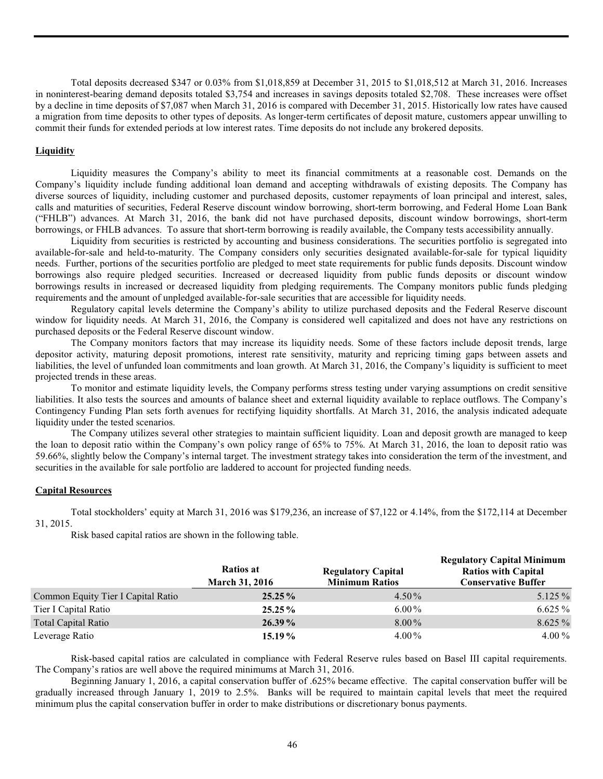Total deposits decreased \$347 or 0.03% from \$1,018,859 at December 31, 2015 to \$1,018,512 at March 31, 2016. Increases in noninterest-bearing demand deposits totaled \$3,754 and increases in savings deposits totaled \$2,708. These increases were offset by a decline in time deposits of \$7,087 when March 31, 2016 is compared with December 31, 2015. Historically low rates have caused a migration from time deposits to other types of deposits. As longer-term certificates of deposit mature, customers appear unwilling to commit their funds for extended periods at low interest rates. Time deposits do not include any brokered deposits.

# **Liquidity**

Liquidity measures the Company's ability to meet its financial commitments at a reasonable cost. Demands on the Company's liquidity include funding additional loan demand and accepting withdrawals of existing deposits. The Company has diverse sources of liquidity, including customer and purchased deposits, customer repayments of loan principal and interest, sales, calls and maturities of securities, Federal Reserve discount window borrowing, short-term borrowing, and Federal Home Loan Bank ("FHLB") advances. At March 31, 2016, the bank did not have purchased deposits, discount window borrowings, short-term borrowings, or FHLB advances. To assure that short-term borrowing is readily available, the Company tests accessibility annually.

Liquidity from securities is restricted by accounting and business considerations. The securities portfolio is segregated into available-for-sale and held-to-maturity. The Company considers only securities designated available-for-sale for typical liquidity needs. Further, portions of the securities portfolio are pledged to meet state requirements for public funds deposits. Discount window borrowings also require pledged securities. Increased or decreased liquidity from public funds deposits or discount window borrowings results in increased or decreased liquidity from pledging requirements. The Company monitors public funds pledging requirements and the amount of unpledged available-for-sale securities that are accessible for liquidity needs.

Regulatory capital levels determine the Company's ability to utilize purchased deposits and the Federal Reserve discount window for liquidity needs. At March 31, 2016, the Company is considered well capitalized and does not have any restrictions on purchased deposits or the Federal Reserve discount window.

The Company monitors factors that may increase its liquidity needs. Some of these factors include deposit trends, large depositor activity, maturing deposit promotions, interest rate sensitivity, maturity and repricing timing gaps between assets and liabilities, the level of unfunded loan commitments and loan growth. At March 31, 2016, the Company's liquidity is sufficient to meet projected trends in these areas.

To monitor and estimate liquidity levels, the Company performs stress testing under varying assumptions on credit sensitive liabilities. It also tests the sources and amounts of balance sheet and external liquidity available to replace outflows. The Company's Contingency Funding Plan sets forth avenues for rectifying liquidity shortfalls. At March 31, 2016, the analysis indicated adequate liquidity under the tested scenarios.

The Company utilizes several other strategies to maintain sufficient liquidity. Loan and deposit growth are managed to keep the loan to deposit ratio within the Company's own policy range of 65% to 75%. At March 31, 2016, the loan to deposit ratio was 59.66%, slightly below the Company's internal target. The investment strategy takes into consideration the term of the investment, and securities in the available for sale portfolio are laddered to account for projected funding needs.

#### **Capital Resources**

Total stockholders' equity at March 31, 2016 was \$179,236, an increase of \$7,122 or 4.14%, from the \$172,114 at December 31, 2015.

Risk based capital ratios are shown in the following table.

|                                    | <b>Ratios at</b><br><b>March 31, 2016</b> | <b>Regulatory Capital</b><br><b>Minimum Ratios</b> | <b>Regulatory Capital Minimum</b><br><b>Ratios with Capital</b><br><b>Conservative Buffer</b> |
|------------------------------------|-------------------------------------------|----------------------------------------------------|-----------------------------------------------------------------------------------------------|
| Common Equity Tier I Capital Ratio | $25.25\%$                                 | $4.50\%$                                           | 5.125 $\%$                                                                                    |
| Tier I Capital Ratio               | $25.25\%$                                 | $6.00\%$                                           | $6.625\%$                                                                                     |
| <b>Total Capital Ratio</b>         | $26.39\%$                                 | $8.00\%$                                           | $8.625\%$                                                                                     |
| Leverage Ratio                     | $15.19\%$                                 | $4.00\%$                                           | 4.00 $%$                                                                                      |

Risk-based capital ratios are calculated in compliance with Federal Reserve rules based on Basel III capital requirements. The Company's ratios are well above the required minimums at March 31, 2016.

Beginning January 1, 2016, a capital conservation buffer of .625% became effective. The capital conservation buffer will be gradually increased through January 1, 2019 to 2.5%. Banks will be required to maintain capital levels that meet the required minimum plus the capital conservation buffer in order to make distributions or discretionary bonus payments.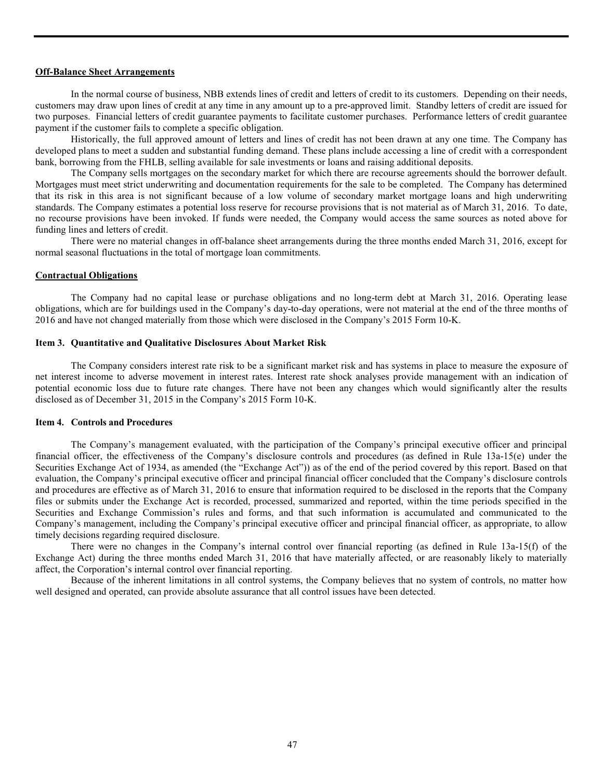#### **Off-Balance Sheet Arrangements**

In the normal course of business, NBB extends lines of credit and letters of credit to its customers. Depending on their needs, customers may draw upon lines of credit at any time in any amount up to a pre-approved limit. Standby letters of credit are issued for two purposes. Financial letters of credit guarantee payments to facilitate customer purchases. Performance letters of credit guarantee payment if the customer fails to complete a specific obligation.

Historically, the full approved amount of letters and lines of credit has not been drawn at any one time. The Company has developed plans to meet a sudden and substantial funding demand. These plans include accessing a line of credit with a correspondent bank, borrowing from the FHLB, selling available for sale investments or loans and raising additional deposits.

The Company sells mortgages on the secondary market for which there are recourse agreements should the borrower default. Mortgages must meet strict underwriting and documentation requirements for the sale to be completed. The Company has determined that its risk in this area is not significant because of a low volume of secondary market mortgage loans and high underwriting standards. The Company estimates a potential loss reserve for recourse provisions that is not material as of March 31, 2016. To date, no recourse provisions have been invoked. If funds were needed, the Company would access the same sources as noted above for funding lines and letters of credit.

There were no material changes in off-balance sheet arrangements during the three months ended March 31, 2016, except for normal seasonal fluctuations in the total of mortgage loan commitments.

# **Contractual Obligations**

The Company had no capital lease or purchase obligations and no long-term debt at March 31, 2016. Operating lease obligations, which are for buildings used in the Company's day-to-day operations, were not material at the end of the three months of 2016 and have not changed materially from those which were disclosed in the Company's 2015 Form 10-K.

#### <span id="page-46-0"></span>**Item 3. Quantitative and Qualitative Disclosures About Market Risk**

The Company considers interest rate risk to be a significant market risk and has systems in place to measure the exposure of net interest income to adverse movement in interest rates. Interest rate shock analyses provide management with an indication of potential economic loss due to future rate changes. There have not been any changes which would significantly alter the results disclosed as of December 31, 2015 in the Company's 2015 Form 10-K.

## <span id="page-46-1"></span>**Item 4. Controls and Procedures**

The Company's management evaluated, with the participation of the Company's principal executive officer and principal financial officer, the effectiveness of the Company's disclosure controls and procedures (as defined in Rule 13a-15(e) under the Securities Exchange Act of 1934, as amended (the "Exchange Act")) as of the end of the period covered by this report. Based on that evaluation, the Company's principal executive officer and principal financial officer concluded that the Company's disclosure controls and procedures are effective as of March 31, 2016 to ensure that information required to be disclosed in the reports that the Company files or submits under the Exchange Act is recorded, processed, summarized and reported, within the time periods specified in the Securities and Exchange Commission's rules and forms, and that such information is accumulated and communicated to the Company's management, including the Company's principal executive officer and principal financial officer, as appropriate, to allow timely decisions regarding required disclosure.

There were no changes in the Company's internal control over financial reporting (as defined in Rule 13a-15(f) of the Exchange Act) during the three months ended March 31, 2016 that have materially affected, or are reasonably likely to materially affect, the Corporation's internal control over financial reporting.

Because of the inherent limitations in all control systems, the Company believes that no system of controls, no matter how well designed and operated, can provide absolute assurance that all control issues have been detected.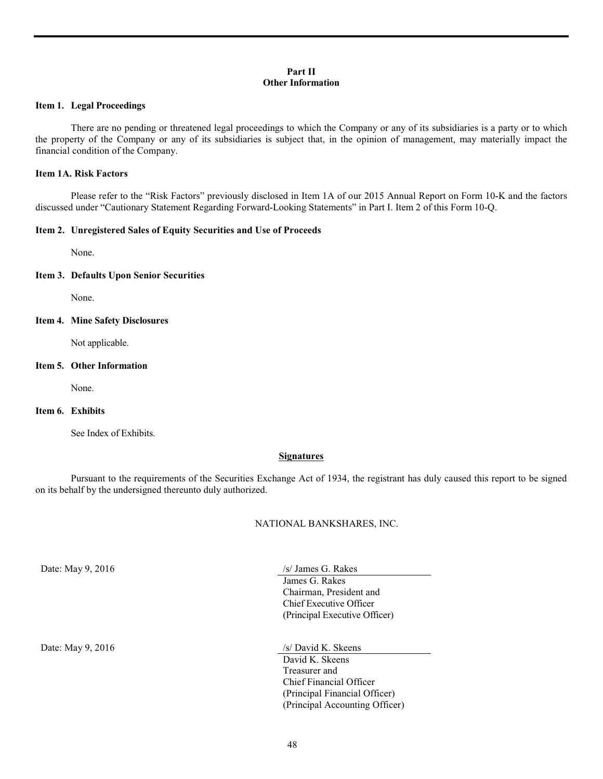# **Part II Other Information**

## <span id="page-47-1"></span><span id="page-47-0"></span>**Item 1. Legal Proceedings**

There are no pending or threatened legal proceedings to which the Company or any of its subsidiaries is a party or to which the property of the Company or any of its subsidiaries is subject that, in the opinion of management, may materially impact the financial condition of the Company.

#### <span id="page-47-2"></span>**Item 1A. Risk Factors**

Please refer to the "Risk Factors" previously disclosed in Item 1A of our 2015 Annual Report on Form 10-K and the factors discussed under "Cautionary Statement Regarding Forward-Looking Statements" in Part I. Item 2 of this Form 10-Q.

# <span id="page-47-3"></span>**Item 2. Unregistered Sales of Equity Securities and Use of Proceeds**

None.

# <span id="page-47-4"></span>**Item 3. Defaults Upon Senior Securities**

None.

# <span id="page-47-5"></span>**Item 4. Mine Safety Disclosures**

Not applicable.

#### <span id="page-47-6"></span>**Item 5. Other Information**

None.

# <span id="page-47-7"></span>**Item 6. Exhibits**

See Index of Exhibits.

## **Signatures**

<span id="page-47-8"></span>Pursuant to the requirements of the Securities Exchange Act of 1934, the registrant has duly caused this report to be signed on its behalf by the undersigned thereunto duly authorized.

## NATIONAL BANKSHARES, INC.

Date: May 9, 2016 /s/ James G. Rakes

Date: May 9, 2016 /s/ David K. Skeens

James G. Rakes Chairman, President and Chief Executive Officer (Principal Executive Officer)

David K. Skeens Treasurer and Chief Financial Officer (Principal Financial Officer) (Principal Accounting Officer)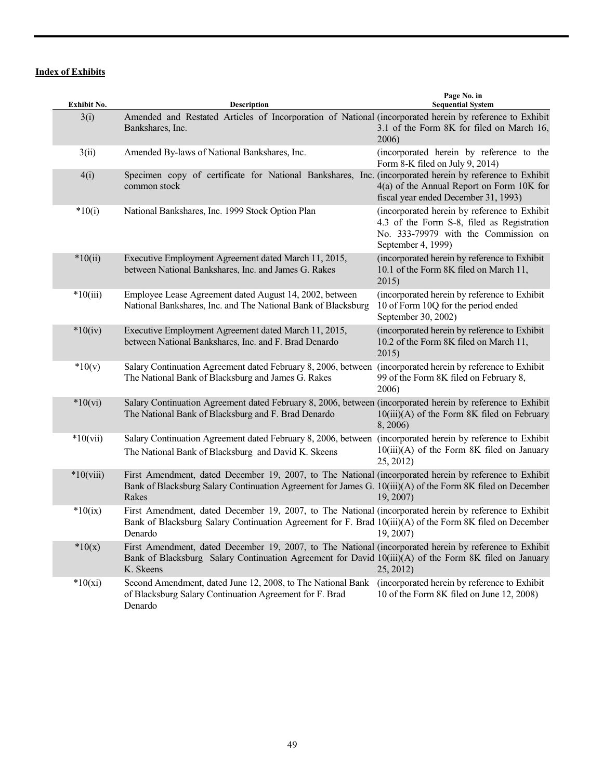# <span id="page-48-0"></span>**Index of Exhibits**

| Exhibit No. | Description                                                                                                                                                                                                                   | Page No. in<br><b>Sequential System</b>                                                                                                                  |
|-------------|-------------------------------------------------------------------------------------------------------------------------------------------------------------------------------------------------------------------------------|----------------------------------------------------------------------------------------------------------------------------------------------------------|
| 3(i)        | Amended and Restated Articles of Incorporation of National (incorporated herein by reference to Exhibit<br>Bankshares, Inc.                                                                                                   | 3.1 of the Form 8K for filed on March 16,<br>2006)                                                                                                       |
| 3(ii)       | Amended By-laws of National Bankshares, Inc.                                                                                                                                                                                  | (incorporated herein by reference to the<br>Form 8-K filed on July 9, 2014)                                                                              |
| 4(i)        | Specimen copy of certificate for National Bankshares, Inc. (incorporated herein by reference to Exhibit<br>common stock                                                                                                       | 4(a) of the Annual Report on Form 10K for<br>fiscal year ended December 31, 1993)                                                                        |
| $*10(i)$    | National Bankshares, Inc. 1999 Stock Option Plan                                                                                                                                                                              | (incorporated herein by reference to Exhibit<br>4.3 of the Form S-8, filed as Registration<br>No. 333-79979 with the Commission on<br>September 4, 1999) |
| $*10(ii)$   | Executive Employment Agreement dated March 11, 2015,<br>between National Bankshares, Inc. and James G. Rakes                                                                                                                  | (incorporated herein by reference to Exhibit<br>10.1 of the Form 8K filed on March 11,<br>2015)                                                          |
| $*10(iii)$  | Employee Lease Agreement dated August 14, 2002, between<br>National Bankshares, Inc. and The National Bank of Blacksburg                                                                                                      | (incorporated herein by reference to Exhibit<br>10 of Form 10Q for the period ended<br>September 30, 2002)                                               |
| $*10(iv)$   | Executive Employment Agreement dated March 11, 2015,<br>between National Bankshares, Inc. and F. Brad Denardo                                                                                                                 | (incorporated herein by reference to Exhibit<br>10.2 of the Form 8K filed on March 11,<br>2015)                                                          |
| $*10(v)$    | Salary Continuation Agreement dated February 8, 2006, between<br>The National Bank of Blacksburg and James G. Rakes                                                                                                           | (incorporated herein by reference to Exhibit<br>99 of the Form 8K filed on February 8,<br>2006)                                                          |
| $*10(vi)$   | Salary Continuation Agreement dated February 8, 2006, between (incorporated herein by reference to Exhibit<br>The National Bank of Blacksburg and F. Brad Denardo                                                             | 10(iii)(A) of the Form 8K filed on February<br>8, 2006)                                                                                                  |
| $*10(vii)$  | Salary Continuation Agreement dated February 8, 2006, between<br>The National Bank of Blacksburg and David K. Skeens                                                                                                          | (incorporated herein by reference to Exhibit<br>$10(iii)(A)$ of the Form 8K filed on January<br>25, 2012)                                                |
| $*10(viii)$ | First Amendment, dated December 19, 2007, to The National (incorporated herein by reference to Exhibit<br>Bank of Blacksburg Salary Continuation Agreement for James G. 10(iii)(A) of the Form 8K filed on December<br>Rakes  | 19, 2007)                                                                                                                                                |
| $*10(ix)$   | First Amendment, dated December 19, 2007, to The National (incorporated herein by reference to Exhibit<br>Bank of Blacksburg Salary Continuation Agreement for F. Brad 10(iii)(A) of the Form 8K filed on December<br>Denardo | 19, 2007)                                                                                                                                                |
| $*10(x)$    | First Amendment, dated December 19, 2007, to The National (incorporated herein by reference to Exhibit<br>Bank of Blacksburg Salary Continuation Agreement for David 10(iii)(A) of the Form 8K filed on January<br>K. Skeens  | 25, 2012)                                                                                                                                                |
| $*10(xi)$   | Second Amendment, dated June 12, 2008, to The National Bank<br>of Blacksburg Salary Continuation Agreement for F. Brad<br>Denardo                                                                                             | (incorporated herein by reference to Exhibit<br>10 of the Form 8K filed on June 12, 2008)                                                                |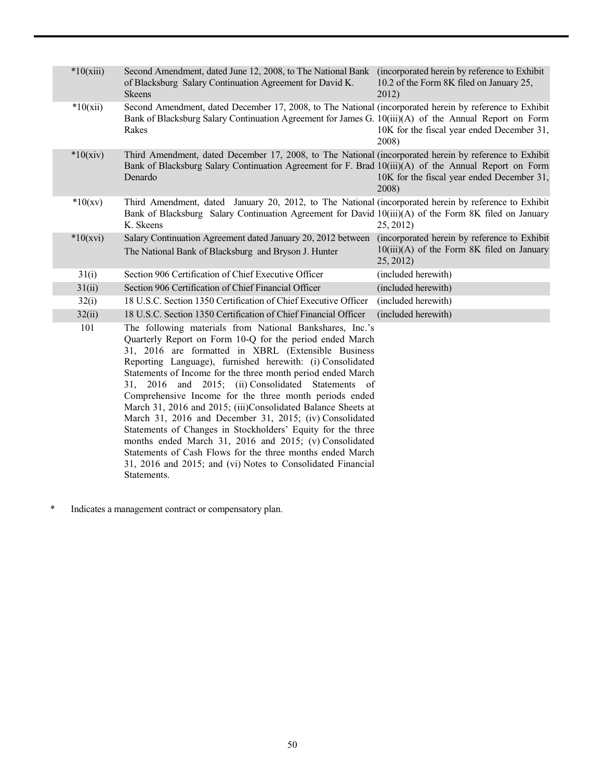| $*10(xiii)$ | Second Amendment, dated June 12, 2008, to The National Bank (incorporated herein by reference to Exhibit<br>of Blacksburg Salary Continuation Agreement for David K.<br><b>Skeens</b>                                                                                                                                                                                                                                                                                                                                                                                                                                                                                                                                                                                                                                     | 10.2 of the Form 8K filed on January 25,<br>2012)                                                         |
|-------------|---------------------------------------------------------------------------------------------------------------------------------------------------------------------------------------------------------------------------------------------------------------------------------------------------------------------------------------------------------------------------------------------------------------------------------------------------------------------------------------------------------------------------------------------------------------------------------------------------------------------------------------------------------------------------------------------------------------------------------------------------------------------------------------------------------------------------|-----------------------------------------------------------------------------------------------------------|
| $*10(xii)$  | Second Amendment, dated December 17, 2008, to The National (incorporated herein by reference to Exhibit<br>Bank of Blacksburg Salary Continuation Agreement for James G. 10(iii)(A) of the Annual Report on Form<br>Rakes                                                                                                                                                                                                                                                                                                                                                                                                                                                                                                                                                                                                 | 10K for the fiscal year ended December 31,<br>2008)                                                       |
| $*10(xiv)$  | Third Amendment, dated December 17, 2008, to The National (incorporated herein by reference to Exhibit<br>Bank of Blacksburg Salary Continuation Agreement for F. Brad 10(iii)(A) of the Annual Report on Form<br>Denardo                                                                                                                                                                                                                                                                                                                                                                                                                                                                                                                                                                                                 | 10K for the fiscal year ended December 31,<br>2008)                                                       |
| $*10(xv)$   | Third Amendment, dated January 20, 2012, to The National (incorporated herein by reference to Exhibit<br>Bank of Blacksburg Salary Continuation Agreement for David 10(iii)(A) of the Form 8K filed on January<br>K. Skeens                                                                                                                                                                                                                                                                                                                                                                                                                                                                                                                                                                                               | 25, 2012)                                                                                                 |
| $*10(xvi)$  | Salary Continuation Agreement dated January 20, 2012 between<br>The National Bank of Blacksburg and Bryson J. Hunter                                                                                                                                                                                                                                                                                                                                                                                                                                                                                                                                                                                                                                                                                                      | (incorporated herein by reference to Exhibit<br>$10(iii)(A)$ of the Form 8K filed on January<br>25, 2012) |
| 31(i)       | Section 906 Certification of Chief Executive Officer                                                                                                                                                                                                                                                                                                                                                                                                                                                                                                                                                                                                                                                                                                                                                                      | (included herewith)                                                                                       |
| 31(ii)      | Section 906 Certification of Chief Financial Officer                                                                                                                                                                                                                                                                                                                                                                                                                                                                                                                                                                                                                                                                                                                                                                      | (included herewith)                                                                                       |
| 32(i)       | 18 U.S.C. Section 1350 Certification of Chief Executive Officer                                                                                                                                                                                                                                                                                                                                                                                                                                                                                                                                                                                                                                                                                                                                                           | (included herewith)                                                                                       |
| 32(ii)      | 18 U.S.C. Section 1350 Certification of Chief Financial Officer                                                                                                                                                                                                                                                                                                                                                                                                                                                                                                                                                                                                                                                                                                                                                           | (included herewith)                                                                                       |
| 101         | The following materials from National Bankshares, Inc.'s<br>Quarterly Report on Form 10-Q for the period ended March<br>31, 2016 are formatted in XBRL (Extensible Business<br>Reporting Language), furnished herewith: (i) Consolidated<br>Statements of Income for the three month period ended March<br>and 2015; (ii) Consolidated Statements of<br>31, 2016<br>Comprehensive Income for the three month periods ended<br>March 31, 2016 and 2015; (iii)Consolidated Balance Sheets at<br>March 31, 2016 and December 31, 2015; (iv) Consolidated<br>Statements of Changes in Stockholders' Equity for the three<br>months ended March 31, 2016 and 2015; (v) Consolidated<br>Statements of Cash Flows for the three months ended March<br>31, 2016 and 2015; and (vi) Notes to Consolidated Financial<br>Statements. |                                                                                                           |

\* Indicates a management contract or compensatory plan.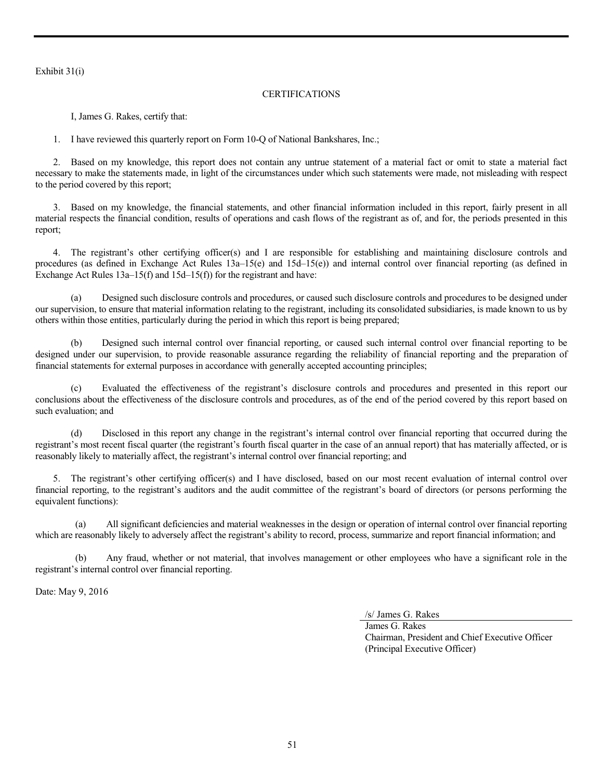<span id="page-50-0"></span>Exhibit 31(i)

# **CERTIFICATIONS**

I, James G. Rakes, certify that:

1. I have reviewed this quarterly report on Form 10-Q of National Bankshares, Inc.;

2. Based on my knowledge, this report does not contain any untrue statement of a material fact or omit to state a material fact necessary to make the statements made, in light of the circumstances under which such statements were made, not misleading with respect to the period covered by this report;

3. Based on my knowledge, the financial statements, and other financial information included in this report, fairly present in all material respects the financial condition, results of operations and cash flows of the registrant as of, and for, the periods presented in this report;

4. The registrant's other certifying officer(s) and I are responsible for establishing and maintaining disclosure controls and procedures (as defined in Exchange Act Rules 13a–15(e) and 15d–15(e)) and internal control over financial reporting (as defined in Exchange Act Rules 13a–15(f) and 15d–15(f)) for the registrant and have:

(a) Designed such disclosure controls and procedures, or caused such disclosure controls and procedures to be designed under our supervision, to ensure that material information relating to the registrant, including its consolidated subsidiaries, is made known to us by others within those entities, particularly during the period in which this report is being prepared;

(b) Designed such internal control over financial reporting, or caused such internal control over financial reporting to be designed under our supervision, to provide reasonable assurance regarding the reliability of financial reporting and the preparation of financial statements for external purposes in accordance with generally accepted accounting principles;

(c) Evaluated the effectiveness of the registrant's disclosure controls and procedures and presented in this report our conclusions about the effectiveness of the disclosure controls and procedures, as of the end of the period covered by this report based on such evaluation; and

Disclosed in this report any change in the registrant's internal control over financial reporting that occurred during the registrant's most recent fiscal quarter (the registrant's fourth fiscal quarter in the case of an annual report) that has materially affected, or is reasonably likely to materially affect, the registrant's internal control over financial reporting; and

5. The registrant's other certifying officer(s) and I have disclosed, based on our most recent evaluation of internal control over financial reporting, to the registrant's auditors and the audit committee of the registrant's board of directors (or persons performing the equivalent functions):

(a) All significant deficiencies and material weaknesses in the design or operation of internal control over financial reporting which are reasonably likely to adversely affect the registrant's ability to record, process, summarize and report financial information; and

Any fraud, whether or not material, that involves management or other employees who have a significant role in the registrant's internal control over financial reporting.

Date: May 9, 2016

/s/ James G. Rakes

James G. Rakes Chairman, President and Chief Executive Officer (Principal Executive Officer)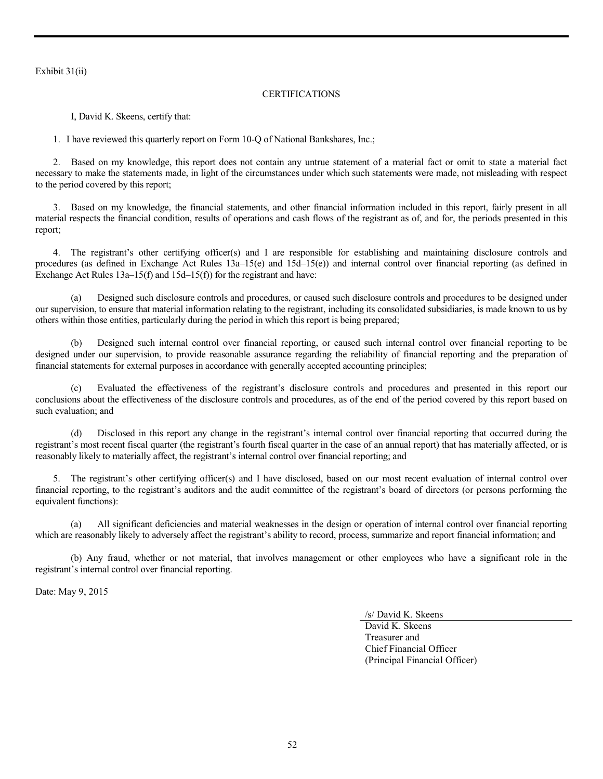Exhibit 31(ii)

# **CERTIFICATIONS**

I, David K. Skeens, certify that:

1. I have reviewed this quarterly report on Form 10-Q of National Bankshares, Inc.;

2. Based on my knowledge, this report does not contain any untrue statement of a material fact or omit to state a material fact necessary to make the statements made, in light of the circumstances under which such statements were made, not misleading with respect to the period covered by this report;

3. Based on my knowledge, the financial statements, and other financial information included in this report, fairly present in all material respects the financial condition, results of operations and cash flows of the registrant as of, and for, the periods presented in this report;

4. The registrant's other certifying officer(s) and I are responsible for establishing and maintaining disclosure controls and procedures (as defined in Exchange Act Rules 13a–15(e) and 15d–15(e)) and internal control over financial reporting (as defined in Exchange Act Rules 13a–15(f) and 15d–15(f)) for the registrant and have:

(a) Designed such disclosure controls and procedures, or caused such disclosure controls and procedures to be designed under our supervision, to ensure that material information relating to the registrant, including its consolidated subsidiaries, is made known to us by others within those entities, particularly during the period in which this report is being prepared;

(b) Designed such internal control over financial reporting, or caused such internal control over financial reporting to be designed under our supervision, to provide reasonable assurance regarding the reliability of financial reporting and the preparation of financial statements for external purposes in accordance with generally accepted accounting principles;

Evaluated the effectiveness of the registrant's disclosure controls and procedures and presented in this report our conclusions about the effectiveness of the disclosure controls and procedures, as of the end of the period covered by this report based on such evaluation; and

Disclosed in this report any change in the registrant's internal control over financial reporting that occurred during the registrant's most recent fiscal quarter (the registrant's fourth fiscal quarter in the case of an annual report) that has materially affected, or is reasonably likely to materially affect, the registrant's internal control over financial reporting; and

5. The registrant's other certifying officer(s) and I have disclosed, based on our most recent evaluation of internal control over financial reporting, to the registrant's auditors and the audit committee of the registrant's board of directors (or persons performing the equivalent functions):

(a) All significant deficiencies and material weaknesses in the design or operation of internal control over financial reporting which are reasonably likely to adversely affect the registrant's ability to record, process, summarize and report financial information; and

(b) Any fraud, whether or not material, that involves management or other employees who have a significant role in the registrant's internal control over financial reporting.

Date: May 9, 2015

/s/ David K. Skeens

David K. Skeens Treasurer and Chief Financial Officer (Principal Financial Officer)